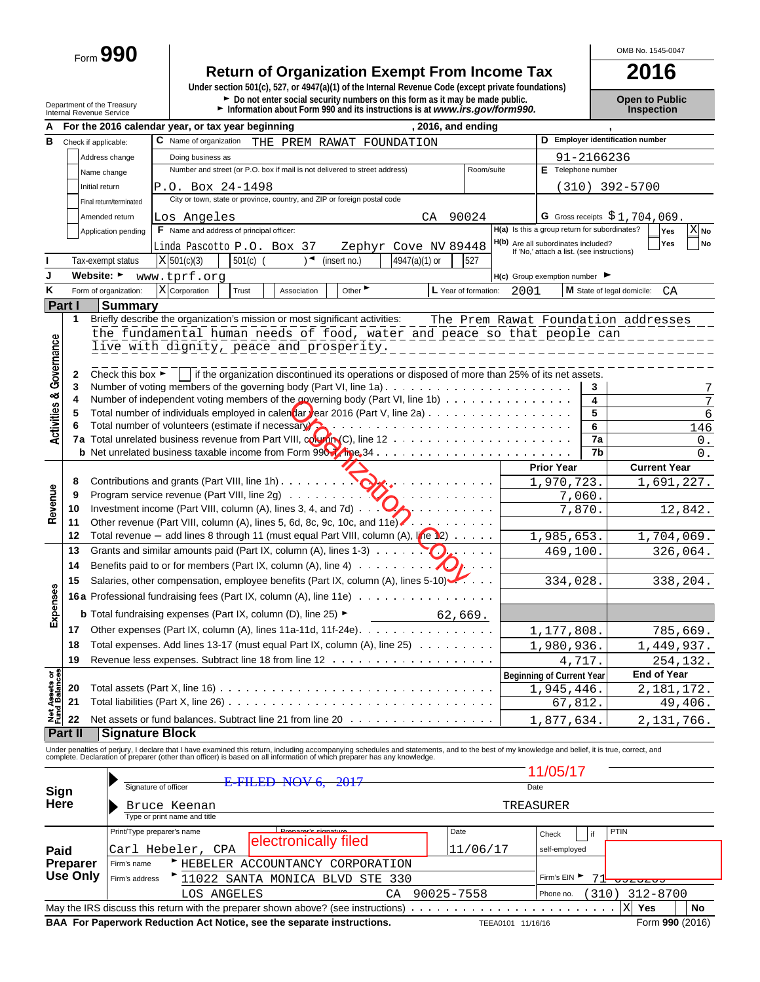Form **990**

# **Return of Organization Exempt From Income Tax**<br>
Under section 501(c), 527, or 4947(a)(1) of the Internal Revenue Code (except private foundations)

Department of the Treasury **Depen to Public**<br>Department of the Treasury **Depen to Public**<br>Internal Revenue Service **Depen to Public Depen internal Revenue Service internal Revenue Service <b>Depen to Public** 

OMB No. 1545-0047

| А                                  |                |                                      | , 2016, and ending<br>For the 2016 calendar year, or tax year beginning                                                                                                                                                           |                                  |            |                                     |  |
|------------------------------------|----------------|--------------------------------------|-----------------------------------------------------------------------------------------------------------------------------------------------------------------------------------------------------------------------------------|----------------------------------|------------|-------------------------------------|--|
| в                                  |                | Check if applicable:                 | <b>C</b> Name of organization<br>THE PREM RAWAT FOUNDATION                                                                                                                                                                        |                                  |            | D Employer identification number    |  |
|                                    |                | Address change                       | Doing business as                                                                                                                                                                                                                 |                                  | 91-2166236 |                                     |  |
|                                    |                | Name change                          | Number and street (or P.O. box if mail is not delivered to street address)<br>Room/suite                                                                                                                                          | E Telephone number               |            |                                     |  |
|                                    |                | Initial return                       | P.O. Box 24-1498                                                                                                                                                                                                                  |                                  |            | $(310)$ 392-5700                    |  |
|                                    |                | Final return/terminated              | City or town, state or province, country, and ZIP or foreign postal code                                                                                                                                                          |                                  |            |                                     |  |
|                                    |                | Amended return                       | Los Angeles<br>90024<br>CA                                                                                                                                                                                                        |                                  |            | G Gross receipts $$1,704,069$ .     |  |
|                                    |                | Application pending                  | H(a) Is this a group return for subordinates?<br><b>F</b> Name and address of principal officer:                                                                                                                                  |                                  |            | $\overline{X}$ <sub>No</sub><br>Yes |  |
|                                    |                |                                      | H(b) Are all subordinates included?<br>If 'No,' attach a list. (see instructions)<br>Linda Pascotto P.O. Box 37<br>Zephyr Cove NV 89448                                                                                           |                                  |            | Yes<br>No                           |  |
|                                    |                | Tax-exempt status                    | $\rightarrow$<br>(insert no.)<br>X 501(c)(3)<br>$501(c)$ (<br>$4947(a)(1)$ or<br>527                                                                                                                                              |                                  |            |                                     |  |
| J                                  |                | Website: ►                           | www.tprf.org<br>$H(c)$ Group exemption number $\blacktriangleright$                                                                                                                                                               |                                  |            |                                     |  |
| κ                                  |                | Form of organization:                | X Corporation<br>Other<br>Trust<br>L Year of formation:<br>2001<br>Association                                                                                                                                                    |                                  |            | M State of legal domicile:<br>CA    |  |
| <b>Part I</b>                      |                | Summary                              |                                                                                                                                                                                                                                   |                                  |            |                                     |  |
|                                    | 1              |                                      | Briefly describe the organization's mission or most significant activities:<br>The Prem Rawat Foundation addresses                                                                                                                |                                  |            |                                     |  |
|                                    |                |                                      | the fundamental human needs of food, water and peace so that people can                                                                                                                                                           |                                  |            |                                     |  |
|                                    |                |                                      | live with dignity, peace and prosperity.                                                                                                                                                                                          |                                  |            |                                     |  |
| <b>Activities &amp; Governance</b> | 2              | Check this box $\blacktriangleright$ | if the organization discontinued its operations or disposed of more than 25% of its net assets.                                                                                                                                   |                                  |            |                                     |  |
|                                    | 3              |                                      |                                                                                                                                                                                                                                   |                                  | 3          | 7                                   |  |
|                                    | 4              |                                      | Number of independent voting members of the governing body (Part VI, line 1b)                                                                                                                                                     |                                  | 4          | 7                                   |  |
|                                    | 5              |                                      | Total number of individuals employed in calen dary ear 2016 (Part V, line 2a) $\ldots \ldots \ldots \ldots \ldots$                                                                                                                |                                  | 5          | 6                                   |  |
|                                    |                |                                      | Total number of volunteers (estimate if necessary et al., and the state of the state of volunteers (estimate if necessary et al., and the state of the state of the state of the state of the state of the state of the state     |                                  | 6          | 146                                 |  |
|                                    |                |                                      |                                                                                                                                                                                                                                   |                                  | 7a         | 0.                                  |  |
|                                    |                |                                      |                                                                                                                                                                                                                                   |                                  | 7b         | 0.                                  |  |
|                                    | 8              |                                      |                                                                                                                                                                                                                                   | <b>Prior Year</b>                |            | <b>Current Year</b>                 |  |
|                                    | 9              |                                      | Contributions and grants (Part VIII, line 1h) $\cdots$ $\bigcirc_{\mathsf{X}}$<br>Program service revenue (Part VIII, line 2g) $\cdots \cdots \cdots$                                                                             | 1,970,723.<br>7,060.             |            | 1,691,227.                          |  |
| Revenue                            | 10             |                                      | Investment income (Part VIII, column (A), lines 3, 4, and 7d) $\ldots \bigvee_{\Lambda} \ldots \ldots \ldots$                                                                                                                     | 7,870.                           |            | 12,842.                             |  |
|                                    | 11             |                                      | Other revenue (Part VIII, column (A), lines 5, 6d, 8c, 9c, 10c, and 11e) $\sim$                                                                                                                                                   |                                  |            |                                     |  |
|                                    | 12             |                                      | Total revenue - add lines 8 through 11 (must equal Part VIII, column (A), line 12)                                                                                                                                                | 1,985,653.                       |            | 1,704,069.                          |  |
|                                    | 13             |                                      | Grants and similar amounts paid (Part IX, column (A), lines 1-3) $\cdots$ ().                                                                                                                                                     | 469,100.                         |            | 326,064.                            |  |
|                                    | 14             |                                      | Benefits paid to or for members (Part IX, column (A), line 4) $\ldots$ $\mathcal{U}_1$                                                                                                                                            |                                  |            |                                     |  |
|                                    | 15             |                                      | Salaries, other compensation, employee benefits (Part IX, column (A), lines $5-10$                                                                                                                                                | 334,028.                         |            | 338,204.                            |  |
| Expenses                           |                |                                      | <b>16a</b> Professional fundraising fees (Part IX, column (A), line 11e)                                                                                                                                                          |                                  |            |                                     |  |
|                                    |                |                                      | <b>b</b> Total fundraising expenses (Part IX, column (D), line 25) $\blacktriangleright$<br>62,669.                                                                                                                               |                                  |            |                                     |  |
|                                    | 17             |                                      | Other expenses (Part IX, column (A), lines 11a-11d, 11f-24e). $\ldots \ldots \ldots \ldots \ldots$                                                                                                                                | 1,177,808.                       |            | 785,669.                            |  |
|                                    | 18             |                                      | Total expenses. Add lines 13-17 (must equal Part IX, column (A), line 25)                                                                                                                                                         | 1,980,936.                       |            | 1,449,937.                          |  |
|                                    | 19             |                                      |                                                                                                                                                                                                                                   |                                  | 4,717.     | 254,132.                            |  |
| ਨ 8                                |                |                                      |                                                                                                                                                                                                                                   | <b>Beginning of Current Year</b> |            | End of Year                         |  |
|                                    | 20             |                                      |                                                                                                                                                                                                                                   | 1,945,446.                       |            | 2,181,172.                          |  |
| <b>Net Assets</b><br>Fund Balanc   | 21             |                                      | Total liabilities (Part X, line 26)                                                                                                                                                                                               | 67,812.                          |            | 49,406.                             |  |
|                                    | 22             |                                      | Net assets or fund balances. Subtract line 21 from line 20                                                                                                                                                                        | 1,877,634.                       |            | 2, 131, 766.                        |  |
|                                    | <b>Part II</b> | <b>Signature Block</b>               |                                                                                                                                                                                                                                   |                                  |            |                                     |  |
|                                    |                |                                      |                                                                                                                                                                                                                                   |                                  |            |                                     |  |
|                                    |                |                                      |                                                                                                                                                                                                                                   |                                  |            |                                     |  |
|                                    |                |                                      | Under penalties of perjury, I declare that I have examined this return, including accompanying schedules and statements, and to the best of my knowledge and belief, it is true, correct, and<br>complete. Declaration of prepare | 11/05/17                         |            |                                     |  |

| Sign                 | Signature of officer          |                                              | E-FILED NOV 6,<br>$-2017$                                              |                  | 11/05/17<br>Date             |                        |
|----------------------|-------------------------------|----------------------------------------------|------------------------------------------------------------------------|------------------|------------------------------|------------------------|
| Here                 |                               | Bruce Keenan<br>Type or print name and title |                                                                        |                  | TREASURER                    |                        |
| Paid                 | Print/Type preparer's name    | Carl Hebeler, CPA                            | <b>Droporor's signature</b><br>electronically filed                    | Date<br>11/06/17 | if<br>Check<br>self-employed | PTIN                   |
| Preparer<br>Use Only | Firm's name<br>Firm's address |                                              | FHEBELER ACCOUNTANCY CORPORATION                                       |                  | Firm's EIN ▶<br>71           |                        |
|                      |                               | ANGELES<br>LOS                               | L1022 SANTA MONICA BLVD STE 330<br>CA                                  | 90025-7558       | 310)<br>Phone no.            | $-0243402$<br>312-8700 |
|                      |                               |                                              |                                                                        |                  |                              | X <br>No<br>Yes        |
|                      |                               |                                              | BAA For Paperwork Reduction Act Notice, see the separate instructions. | <b>TEEA0101</b>  | 11/16/16                     | Form 990 (2016)        |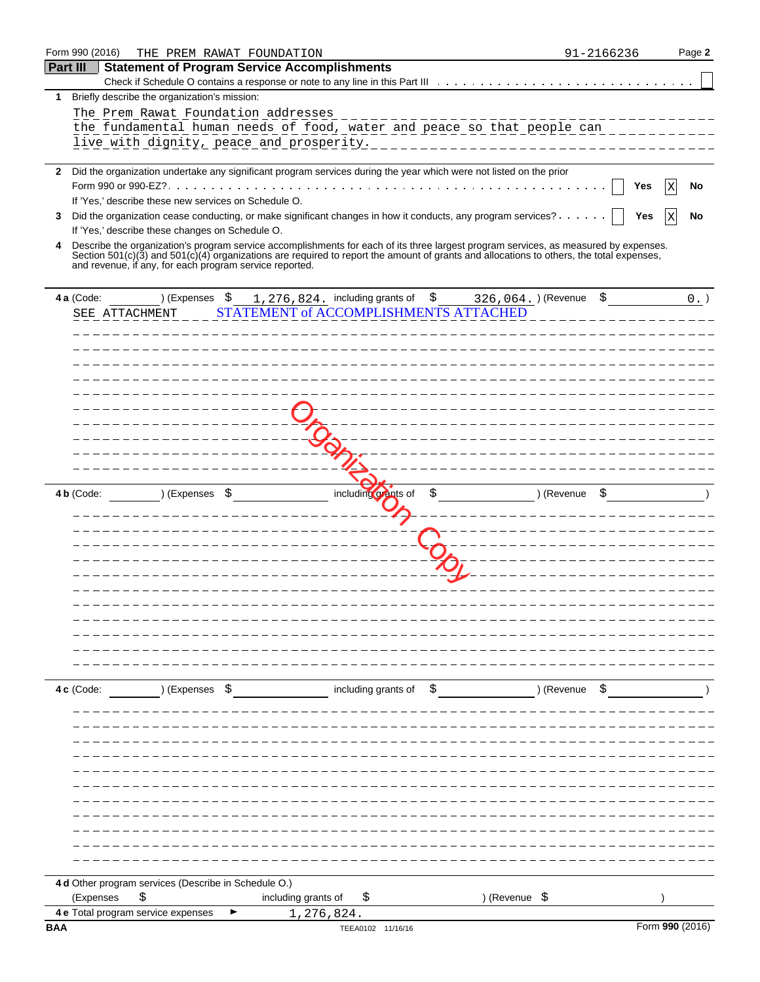|              | Form 990 (2016)<br>THE PREM RAWAT FOUNDATION                                                                                                                                                                                                                                                                                                               | 91-2166236    | Page 2          |
|--------------|------------------------------------------------------------------------------------------------------------------------------------------------------------------------------------------------------------------------------------------------------------------------------------------------------------------------------------------------------------|---------------|-----------------|
| Part III     | <b>Statement of Program Service Accomplishments</b>                                                                                                                                                                                                                                                                                                        |               |                 |
|              | Check if Schedule O contains a response or note to any line in this Part III                                                                                                                                                                                                                                                                               |               |                 |
| 1            | Briefly describe the organization's mission:                                                                                                                                                                                                                                                                                                               |               |                 |
|              | The Prem Rawat Foundation addresses                                                                                                                                                                                                                                                                                                                        |               |                 |
|              | the fundamental human needs of food, water and peace so that people can                                                                                                                                                                                                                                                                                    |               |                 |
|              | live with dignity, peace and prosperity.                                                                                                                                                                                                                                                                                                                   |               |                 |
|              |                                                                                                                                                                                                                                                                                                                                                            |               |                 |
| $\mathbf{2}$ | Did the organization undertake any significant program services during the year which were not listed on the prior                                                                                                                                                                                                                                         |               |                 |
|              |                                                                                                                                                                                                                                                                                                                                                            | Yes           | No              |
|              | If 'Yes,' describe these new services on Schedule O.                                                                                                                                                                                                                                                                                                       |               |                 |
| 3            | Did the organization cease conducting, or make significant changes in how it conducts, any program services?                                                                                                                                                                                                                                               | Yes           | No<br>ΙX        |
|              | If 'Yes,' describe these changes on Schedule O.                                                                                                                                                                                                                                                                                                            |               |                 |
| 4            | Describe the organization's program service accomplishments for each of its three largest program services, as measured by expenses.<br>Section 501(c)( $\overline{3}$ ) and 501(c)(4) organizations are required to report the amount of grants and allocations to others, the total expenses,<br>and revenue, if any, for each program service reported. |               |                 |
|              | $1,276,824$ . including grants of $$$<br>4 a (Code:<br>) (Expenses \$<br>326,064. ) (Revenue                                                                                                                                                                                                                                                               | \$            | $0.$ )          |
|              | STATEMENT of ACCOMPLISHMENTS ATTACHED<br>SEE ATTACHMENT                                                                                                                                                                                                                                                                                                    |               |                 |
|              |                                                                                                                                                                                                                                                                                                                                                            |               |                 |
|              |                                                                                                                                                                                                                                                                                                                                                            |               |                 |
|              |                                                                                                                                                                                                                                                                                                                                                            |               |                 |
|              |                                                                                                                                                                                                                                                                                                                                                            |               |                 |
|              |                                                                                                                                                                                                                                                                                                                                                            |               |                 |
|              |                                                                                                                                                                                                                                                                                                                                                            |               |                 |
|              |                                                                                                                                                                                                                                                                                                                                                            |               |                 |
|              |                                                                                                                                                                                                                                                                                                                                                            |               |                 |
|              |                                                                                                                                                                                                                                                                                                                                                            |               |                 |
|              |                                                                                                                                                                                                                                                                                                                                                            |               |                 |
|              |                                                                                                                                                                                                                                                                                                                                                            |               |                 |
|              | including grants of<br>\$<br>4 $b$ (Code:<br>) (Expenses<br>-Ş                                                                                                                                                                                                                                                                                             | ) (Revenue    |                 |
|              |                                                                                                                                                                                                                                                                                                                                                            |               |                 |
|              |                                                                                                                                                                                                                                                                                                                                                            |               |                 |
|              |                                                                                                                                                                                                                                                                                                                                                            |               |                 |
|              |                                                                                                                                                                                                                                                                                                                                                            |               |                 |
|              |                                                                                                                                                                                                                                                                                                                                                            |               |                 |
|              |                                                                                                                                                                                                                                                                                                                                                            |               |                 |
|              |                                                                                                                                                                                                                                                                                                                                                            |               |                 |
|              |                                                                                                                                                                                                                                                                                                                                                            |               |                 |
|              |                                                                                                                                                                                                                                                                                                                                                            |               |                 |
|              |                                                                                                                                                                                                                                                                                                                                                            |               |                 |
|              |                                                                                                                                                                                                                                                                                                                                                            |               |                 |
|              |                                                                                                                                                                                                                                                                                                                                                            |               |                 |
|              |                                                                                                                                                                                                                                                                                                                                                            |               |                 |
|              | including grants of $\sharp$<br>4 c (Code:<br>) (Expenses \$                                                                                                                                                                                                                                                                                               | ) (Revenue \$ |                 |
|              |                                                                                                                                                                                                                                                                                                                                                            |               |                 |
|              |                                                                                                                                                                                                                                                                                                                                                            |               |                 |
|              |                                                                                                                                                                                                                                                                                                                                                            |               |                 |
|              |                                                                                                                                                                                                                                                                                                                                                            |               |                 |
|              |                                                                                                                                                                                                                                                                                                                                                            |               |                 |
|              |                                                                                                                                                                                                                                                                                                                                                            |               |                 |
|              |                                                                                                                                                                                                                                                                                                                                                            |               |                 |
|              |                                                                                                                                                                                                                                                                                                                                                            |               |                 |
|              |                                                                                                                                                                                                                                                                                                                                                            |               |                 |
|              |                                                                                                                                                                                                                                                                                                                                                            |               |                 |
|              |                                                                                                                                                                                                                                                                                                                                                            |               |                 |
|              |                                                                                                                                                                                                                                                                                                                                                            |               |                 |
|              | 4 d Other program services (Describe in Schedule O.)                                                                                                                                                                                                                                                                                                       |               |                 |
|              | \$<br>including grants of<br>(Expenses<br>\$<br>) (Revenue \$                                                                                                                                                                                                                                                                                              |               |                 |
|              | 4 e Total program service expenses<br>1,276,824.                                                                                                                                                                                                                                                                                                           |               |                 |
| <b>BAA</b>   | TEEA0102 11/16/16                                                                                                                                                                                                                                                                                                                                          |               | Form 990 (2016) |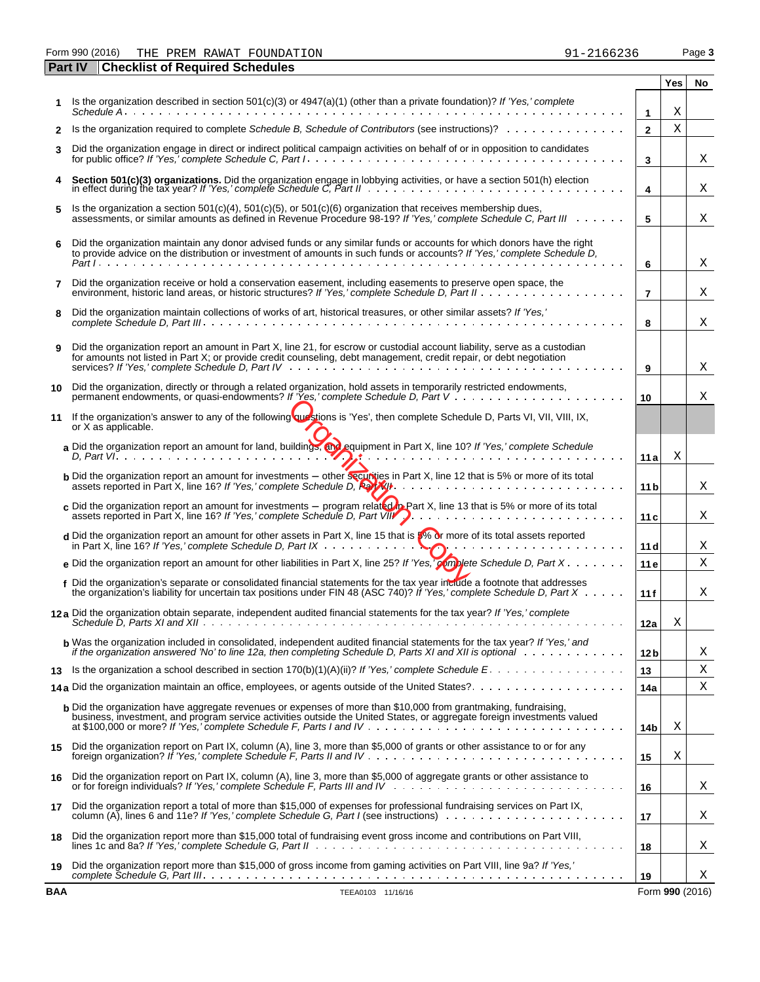Form 990 (2016) Page **3** THE PREM RAWAT FOUNDATION 91-2166236

|              | <b>Part IV</b><br><b>Checklist of Required Schedules</b>                                                                                                                                                                                              |                     |     |                 |
|--------------|-------------------------------------------------------------------------------------------------------------------------------------------------------------------------------------------------------------------------------------------------------|---------------------|-----|-----------------|
|              |                                                                                                                                                                                                                                                       |                     | Yes | No.             |
|              | Is the organization described in section 501(c)(3) or 4947(a)(1) (other than a private foundation)? If 'Yes,' complete                                                                                                                                |                     | Χ   |                 |
| $\mathbf{2}$ | Is the organization required to complete Schedule B, Schedule of Contributors (see instructions)?                                                                                                                                                     | 1<br>$\overline{2}$ | X   |                 |
|              |                                                                                                                                                                                                                                                       |                     |     |                 |
| 3            | Did the organization engage in direct or indirect political campaign activities on behalf of or in opposition to candidates                                                                                                                           | 3                   |     | Χ               |
|              | Section 501(c)(3) organizations. Did the organization engage in lobbying activities, or have a section 501(h) election in effect during the tax year? If 'Yes,' complete Schedule C, Part II                                                          | 4                   |     | х               |
| 5            | Is the organization a section $501(c)(4)$ , $501(c)(5)$ , or $501(c)(6)$ organization that receives membership dues,<br>assessments, or similar amounts as defined in Revenue Procedure 98-19? If 'Yes,' complete Schedule C, Part III                | 5                   |     | х               |
| 6            | Did the organization maintain any donor advised funds or any similar funds or accounts for which donors have the right<br>to provide advice on the distribution or investment of amounts in such funds or accounts? If 'Yes,' complete Schedule D,    | 6                   |     | Χ               |
| 7            | Did the organization receive or hold a conservation easement, including easements to preserve open space, the                                                                                                                                         | $\overline{7}$      |     | х               |
| 8            | Did the organization maintain collections of works of art, historical treasures, or other similar assets? If 'Yes,'                                                                                                                                   | 8                   |     | X               |
| 9            | Did the organization report an amount in Part X, line 21, for escrow or custodial account liability, serve as a custodian<br>for amounts not listed in Part X; or provide credit counseling, debt management, credit repair, or debt negotiation      | 9                   |     | х               |
| 10           | Did the organization, directly or through a related organization, hold assets in temporarily restricted endowments,                                                                                                                                   | 10                  |     | X               |
| 11           | If the organization's answer to any of the following questions is 'Yes', then complete Schedule D, Parts VI, VII, VIII, IX,<br>or X as applicable.                                                                                                    |                     |     |                 |
|              | a Did the organization report an amount for land, buildings, and equipment in Part X, line 10? If 'Yes,' complete Schedule                                                                                                                            | 11a                 | Χ   |                 |
|              | <b>b</b> Did the organization report an amount for investments – other securities in Part X, line 12 that is 5% or more of its total                                                                                                                  | 11 <sub>b</sub>     |     | X               |
|              | c Did the organization report an amount for investments – program related in Part X, line 13 that is 5% or more of its total                                                                                                                          | 11c                 |     | Χ               |
|              | d Did the organization report an amount for other assets in Part X, line 15 that is 5% or more of its total assets reported                                                                                                                           | 11d                 |     | Χ               |
|              | <b>e</b> Did the organization report an amount for other liabilities in Part X, line 25? If 'Yes,' complete Schedule D, Part X.                                                                                                                       | 11 e                |     | Χ               |
|              | f Did the organization's separate or consolidated financial statements for the tax year include a footnote that addresses<br>the organization's liability for uncertain tax positions under FIN 48 (ASC 740)? If 'Yes,' complete Schedule D, Part X   | 11f                 |     | Χ               |
|              | 12a Did the organization obtain separate, independent audited financial statements for the tax year? If 'Yes,' complete                                                                                                                               | 12a                 | Χ   |                 |
|              | <b>b</b> Was the organization included in consolidated, independent audited financial statements for the tax year? If 'Yes,' and<br>if the organization answered 'No' to line 12a, then completing Schedule D, Parts XI and XII is optional wimbed we | 12 <sub>b</sub>     |     | Χ               |
| 13           |                                                                                                                                                                                                                                                       | 13                  |     | X               |
|              |                                                                                                                                                                                                                                                       | 14a                 |     | Χ               |
|              | <b>b</b> Did the organization have aggregate revenues or expenses of more than \$10,000 from grantmaking, fundraising,<br>business, investment, and program service activities outside the United States, or aggregate foreign investments valued     | 14 <sub>b</sub>     | Χ   |                 |
| 15           | Did the organization report on Part IX, column (A), line 3, more than \$5,000 of grants or other assistance to or for any                                                                                                                             | 15                  | Χ   |                 |
| 16           | Did the organization report on Part IX, column (A), line 3, more than \$5,000 of aggregate grants or other assistance to                                                                                                                              | 16                  |     | Χ               |
| 17           | Did the organization report a total of more than \$15,000 of expenses for professional fundraising services on Part IX,                                                                                                                               | 17                  |     | Χ               |
| 18           | Did the organization report more than \$15,000 total of fundraising event gross income and contributions on Part VIII,                                                                                                                                | 18                  |     | Χ               |
| 19           | Did the organization report more than \$15,000 of gross income from gaming activities on Part VIII, line 9a? If 'Yes,'                                                                                                                                | 19                  |     | Χ               |
| <b>BAA</b>   | TEEA0103 11/16/16                                                                                                                                                                                                                                     |                     |     | Form 990 (2016) |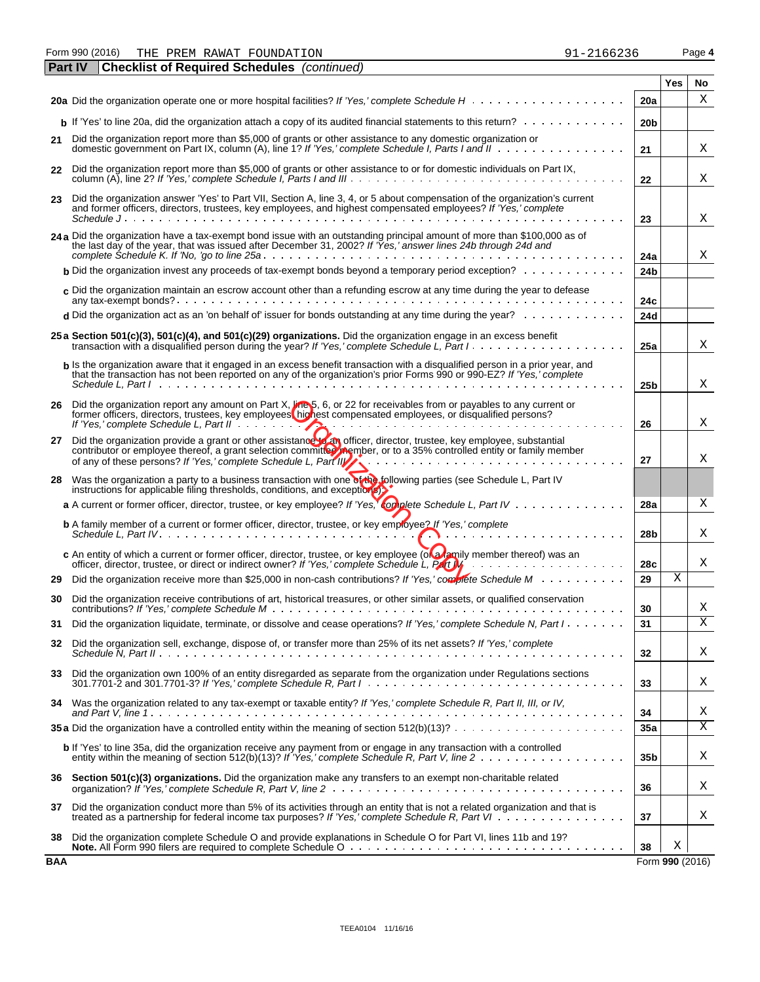Form 990 (2016) Page **4** THE PREM RAWAT FOUNDATION 91-2166236

|            | <b>Part IV</b><br><b>Checklist of Required Schedules</b> (continued)                                                                                                                                                                                         |                 |                 |    |
|------------|--------------------------------------------------------------------------------------------------------------------------------------------------------------------------------------------------------------------------------------------------------------|-----------------|-----------------|----|
|            |                                                                                                                                                                                                                                                              |                 | Yes             | No |
|            |                                                                                                                                                                                                                                                              | 20a             |                 | Χ  |
|            | $\mathbf b$ If 'Yes' to line 20a, did the organization attach a copy of its audited financial statements to this return?                                                                                                                                     | 20 <sub>b</sub> |                 |    |
| 21         | Did the organization report more than \$5,000 of grants or other assistance to any domestic organization or<br>domestic government on Part IX, column (A), line 1? If 'Yes,' complete Schedule I, Parts I and II                                             | 21              |                 | Χ  |
| 22         | Did the organization report more than \$5,000 of grants or other assistance to or for domestic individuals on Part IX,                                                                                                                                       | 22              |                 | X  |
| 23         | Did the organization answer 'Yes' to Part VII, Section A, line 3, 4, or 5 about compensation of the organization's current<br>and former officers, directors, trustees, key employees, and highest compensated employees? If 'Yes,' complete                 |                 |                 |    |
|            |                                                                                                                                                                                                                                                              | 23              |                 | Χ  |
|            | 24 a Did the organization have a tax-exempt bond issue with an outstanding principal amount of more than \$100,000 as of<br>the last day of the year, that was issued after December 31, 2002? If 'Yes,' answer lines 24b through 24d and                    | 24a             |                 | Χ  |
|            | <b>b</b> Did the organization invest any proceeds of tax-exempt bonds beyond a temporary period exception?                                                                                                                                                   | 24 <sub>b</sub> |                 |    |
|            | c Did the organization maintain an escrow account other than a refunding escrow at any time during the year to defease                                                                                                                                       | 24c             |                 |    |
|            | d Did the organization act as an 'on behalf of' issuer for bonds outstanding at any time during the year? $\ldots \ldots \ldots$                                                                                                                             | 24d             |                 |    |
|            | 25 a Section 501(c)(3), 501(c)(4), and 501(c)(29) organizations. Did the organization engage in an excess benefit<br>transaction with a disqualified person during the year? If 'Yes,' complete Schedule L, Part $1, \ldots, \ldots, \ldots, \ldots, \ldots$ | 25a             |                 | Χ  |
|            | b Is the organization aware that it engaged in an excess benefit transaction with a disqualified person in a prior year, and<br>that the transaction has not been reported on any of the organization's prior Forms 990 or 990-EZ? If 'Yes,' complete        |                 |                 |    |
|            |                                                                                                                                                                                                                                                              | 25 <sub>b</sub> |                 | Χ  |
|            | 26 Did the organization report any amount on Part X, line 5, 6, or 22 for receivables from or payables to any current or<br>former officers, directors, trustees, key employees highest compensated employees, or disqualified persons?                      | 26              |                 | Χ  |
| 27         | Did the organization provide a grant or other assistance to an officer, director, trustee, key employee, substantial<br>contributor or employee thereof, a grant selection committee member, or to a 35% controlled entity or fam                            |                 |                 |    |
|            | of any of these persons? If 'Yes,' complete Schedule L, Part IV                                                                                                                                                                                              | 27              |                 | Χ  |
| 28         | Was the organization a party to a business transaction with one of the following parties (see Schedule L, Part IV<br>instructions for applicable filing thresholds, conditions, and exceptions                                                               |                 |                 |    |
|            | a A current or former officer, director, trustee, or key employee? If 'Yes,' complete Schedule L, Part IV                                                                                                                                                    | 28a             |                 | Χ  |
|            | <b>b</b> A family member of a current or former officer, director, trustee, or key employee 2 If 'Yes,' complete                                                                                                                                             | 28 <sub>b</sub> |                 | Χ  |
|            | c An entity of which a current or former officer, director, trustee, or key employee (oka/amily member thereof) was an                                                                                                                                       | 28c             |                 | Χ  |
| 29         | Did the organization receive more than \$25,000 in non-cash contributions? If 'Yes,' complete Schedule M                                                                                                                                                     | 29              | Χ               |    |
| 30         | Did the organization receive contributions of art, historical treasures, or other similar assets, or qualified conservation                                                                                                                                  | 30              |                 | Χ  |
| 31         | Did the organization liquidate, terminate, or dissolve and cease operations? If 'Yes,' complete Schedule N, Part I                                                                                                                                           | 31              |                 | Χ  |
| 32         | Did the organization sell, exchange, dispose of, or transfer more than 25% of its net assets? If 'Yes,' complete                                                                                                                                             | 32              |                 | Χ  |
|            | 33 Did the organization own 100% of an entity disregarded as separate from the organization under Regulations sections                                                                                                                                       | 33              |                 | Χ  |
|            | 34 Was the organization related to any tax-exempt or taxable entity? If 'Yes,' complete Schedule R, Part II, III, or IV,                                                                                                                                     | 34              |                 | Χ  |
|            | <b>35 a</b> Did the organization have a controlled entity within the meaning of section $512(b)(13)? \ldots \ldots \ldots \ldots \ldots \ldots$                                                                                                              | 35a             |                 | X  |
|            | b If 'Yes' to line 35a, did the organization receive any payment from or engage in any transaction with a controlled                                                                                                                                         | 35 <sub>b</sub> |                 | Χ  |
|            | 36 Section 501(c)(3) organizations. Did the organization make any transfers to an exempt non-charitable related                                                                                                                                              | 36              |                 | Χ  |
|            | 37 Did the organization conduct more than 5% of its activities through an entity that is not a related organization and that is<br>treated as a partnership for federal income tax purposes? If 'Yes,' complete Schedule R, Part VI                          | 37              |                 | Χ  |
| 38         | Did the organization complete Schedule O and provide explanations in Schedule O for Part VI, lines 11b and 19?                                                                                                                                               | 38              | Χ               |    |
| <b>BAA</b> |                                                                                                                                                                                                                                                              |                 | Form 990 (2016) |    |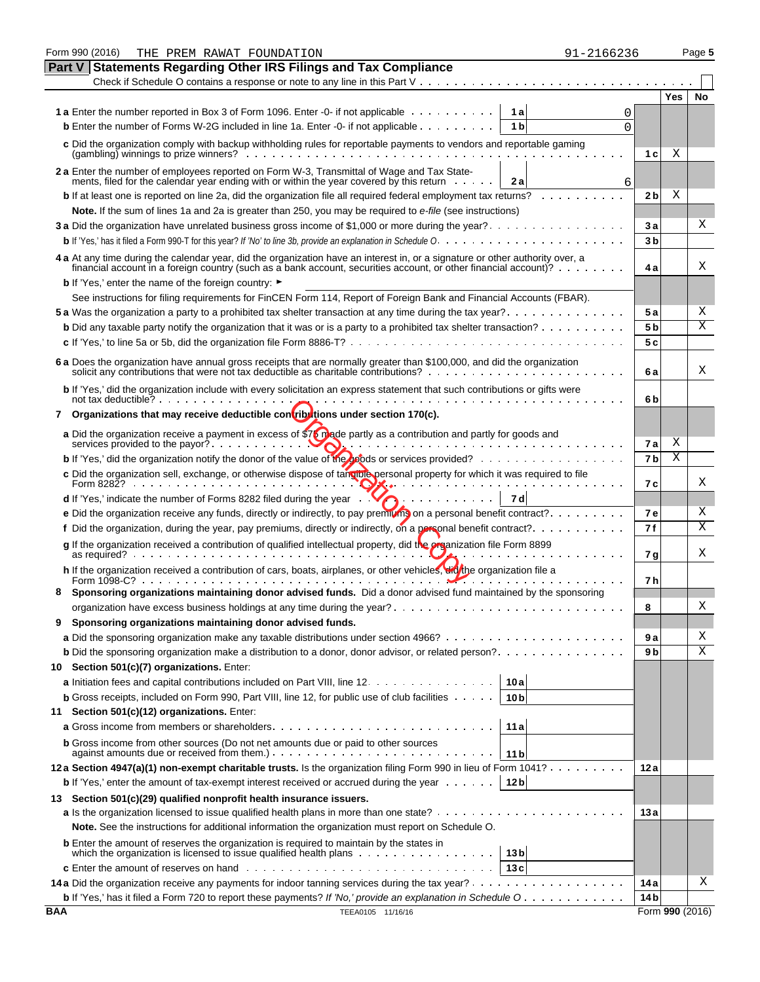|     | Form 990 (2016)<br>91-2166236<br>THE PREM RAWAT FOUNDATION                                                                                                                                                                                                                 |                |                 | Page 5 |
|-----|----------------------------------------------------------------------------------------------------------------------------------------------------------------------------------------------------------------------------------------------------------------------------|----------------|-----------------|--------|
|     | Part V<br><b>Statements Regarding Other IRS Filings and Tax Compliance</b>                                                                                                                                                                                                 |                |                 |        |
|     |                                                                                                                                                                                                                                                                            |                |                 |        |
|     |                                                                                                                                                                                                                                                                            |                | Yes             | No     |
|     | 1 a Enter the number reported in Box 3 of Form 1096. Enter -0- if not applicable<br>1a<br>0<br><b>b</b> Enter the number of Forms W-2G included in line 1a. Enter -0- if not applicable<br>1 <sub>b</sub>                                                                  |                |                 |        |
|     | $\Omega$                                                                                                                                                                                                                                                                   |                |                 |        |
|     | c Did the organization comply with backup withholding rules for reportable payments to vendors and reportable gaming                                                                                                                                                       | 1 c l          | Χ               |        |
|     | 2a Enter the number of employees reported on Form W-3, Transmittal of Wage and Tax State-                                                                                                                                                                                  |                |                 |        |
|     | ments, filed for the calendar year ending with or within the year covered by this return<br>2 a<br>6                                                                                                                                                                       |                |                 |        |
|     | <b>b</b> If at least one is reported on line 2a, did the organization file all required federal employment tax returns?                                                                                                                                                    | 2 bl           | Χ               |        |
|     | Note. If the sum of lines 1a and 2a is greater than 250, you may be required to e-file (see instructions)                                                                                                                                                                  |                |                 |        |
|     | 3 a Did the organization have unrelated business gross income of \$1,000 or more during the year?                                                                                                                                                                          | За             |                 | Χ      |
|     |                                                                                                                                                                                                                                                                            | 3b             |                 |        |
|     | 4 a At any time during the calendar year, did the organization have an interest in, or a signature or other authority over, a<br>financial account in a foreign country (such as a bank account, securities account, or other financial account)?                          | 4 a            |                 | Χ      |
|     | <b>b</b> If 'Yes,' enter the name of the foreign country: ►                                                                                                                                                                                                                |                |                 |        |
|     | See instructions for filing requirements for FinCEN Form 114, Report of Foreign Bank and Financial Accounts (FBAR).                                                                                                                                                        |                |                 |        |
|     |                                                                                                                                                                                                                                                                            | 5 a            |                 | Χ      |
|     | <b>b</b> Did any taxable party notify the organization that it was or is a party to a prohibited tax shelter transaction? $\ldots \ldots \ldots$                                                                                                                           | 5 <sub>b</sub> |                 | Χ      |
|     |                                                                                                                                                                                                                                                                            | 5c             |                 |        |
|     | 6 a Does the organization have annual gross receipts that are normally greater than \$100,000, and did the organization                                                                                                                                                    |                |                 |        |
|     |                                                                                                                                                                                                                                                                            | 6 a            |                 | Χ      |
|     | b If 'Yes,' did the organization include with every solicitation an express statement that such contributions or gifts were<br>not tax deductible? $\cdots$ $\cdots$                                                                                                       | 6b             |                 |        |
|     | 7 Organizations that may receive deductible contributions under section 170(c).                                                                                                                                                                                            |                |                 |        |
|     | a Did the organization receive a payment in excess of $$76$ made partly as a contribution and partly for goods and                                                                                                                                                         |                |                 |        |
|     | services provided to the payor? $\ldots$<br>the contract of the contract of the contract of the contract of the contract of the contract of the contract of the contract of the contract of the contract of the contract of the contract of the contract of the contract o | 7 a            | Χ               |        |
|     |                                                                                                                                                                                                                                                                            | 7 <sub>b</sub> | X               |        |
|     | c Did the organization sell, exchange, or otherwise dispose of targible personal property for which it was required to file<br>Form 8282? $\ldots$ $\ldots$ $\ldots$ $\ldots$ $\ldots$ $\ldots$ $\ldots$ $\ldots$                                                          | 7 с            |                 | Χ      |
|     | <b>d</b> If 'Yes,' indicate the number of Forms 8282 filed during the year $\binom{7}{1}$ ,<br>7 dl                                                                                                                                                                        |                |                 |        |
|     | e Did the organization receive any funds, directly or indirectly, to pay premiums on a personal benefit contract?                                                                                                                                                          | <b>7e</b>      |                 | Χ      |
|     | f Did the organization, during the year, pay premiums, directly or indirectly, on a personal benefit contract?.                                                                                                                                                            | 7 f            |                 | Χ      |
|     | g If the organization received a contribution of qualified intellectual property, did the preanization file Form 8899                                                                                                                                                      |                |                 |        |
|     |                                                                                                                                                                                                                                                                            | 7 g            |                 | Χ      |
|     | h If the organization received a contribution of cars, boats, airplanes, or other vehicles, did the organization file a                                                                                                                                                    | 7 h            |                 |        |
|     | Sponsoring organizations maintaining donor advised funds. Did a donor advised fund maintained by the sponsoring                                                                                                                                                            |                |                 |        |
|     |                                                                                                                                                                                                                                                                            | 8              |                 | Χ      |
| 9   | Sponsoring organizations maintaining donor advised funds.                                                                                                                                                                                                                  |                |                 |        |
|     |                                                                                                                                                                                                                                                                            | 9 a            |                 | X      |
|     | <b>b</b> Did the sponsoring organization make a distribution to a donor, donor advisor, or related person?                                                                                                                                                                 | 9 b            |                 | Χ      |
| 10  | Section 501(c)(7) organizations. Enter:                                                                                                                                                                                                                                    |                |                 |        |
|     | a Initiation fees and capital contributions included on Part VIII, line 12.<br>10 a                                                                                                                                                                                        |                |                 |        |
|     | <b>b</b> Gross receipts, included on Form 990, Part VIII, line 12, for public use of club facilities $\cdots$ .<br>10 <sub>b</sub>                                                                                                                                         |                |                 |        |
| 11  | Section 501(c)(12) organizations. Enter:                                                                                                                                                                                                                                   |                |                 |        |
|     | 11a                                                                                                                                                                                                                                                                        |                |                 |        |
|     | <b>b</b> Gross income from other sources (Do not net amounts due or paid to other sources<br>against amounts due or received from them.) $\ldots \ldots \ldots \ldots \ldots \ldots \ldots \ldots \ldots \ldots$<br>11 b                                                   |                |                 |        |
|     | 12a Section 4947(a)(1) non-exempt charitable trusts. Is the organization filing Form 990 in lieu of Form 1041?                                                                                                                                                             | 12 a           |                 |        |
|     | <b>b</b> If 'Yes,' enter the amount of tax-exempt interest received or accrued during the year $\dots$ .<br>12 <sub>b</sub>                                                                                                                                                |                |                 |        |
|     | 13 Section 501(c)(29) qualified nonprofit health insurance issuers.                                                                                                                                                                                                        |                |                 |        |
|     |                                                                                                                                                                                                                                                                            | 13 a           |                 |        |
|     | Note. See the instructions for additional information the organization must report on Schedule O.                                                                                                                                                                          |                |                 |        |
|     | <b>b</b> Enter the amount of reserves the organization is required to maintain by the states in                                                                                                                                                                            |                |                 |        |
|     | 13 <sub>b</sub><br>13c                                                                                                                                                                                                                                                     |                |                 |        |
|     |                                                                                                                                                                                                                                                                            | 14 a           |                 | Χ      |
|     | <b>b</b> If 'Yes,' has it filed a Form 720 to report these payments? If 'No,' provide an explanation in Schedule O                                                                                                                                                         | 14 b           |                 |        |
| BAA | TEEA0105 11/16/16                                                                                                                                                                                                                                                          |                | Form 990 (2016) |        |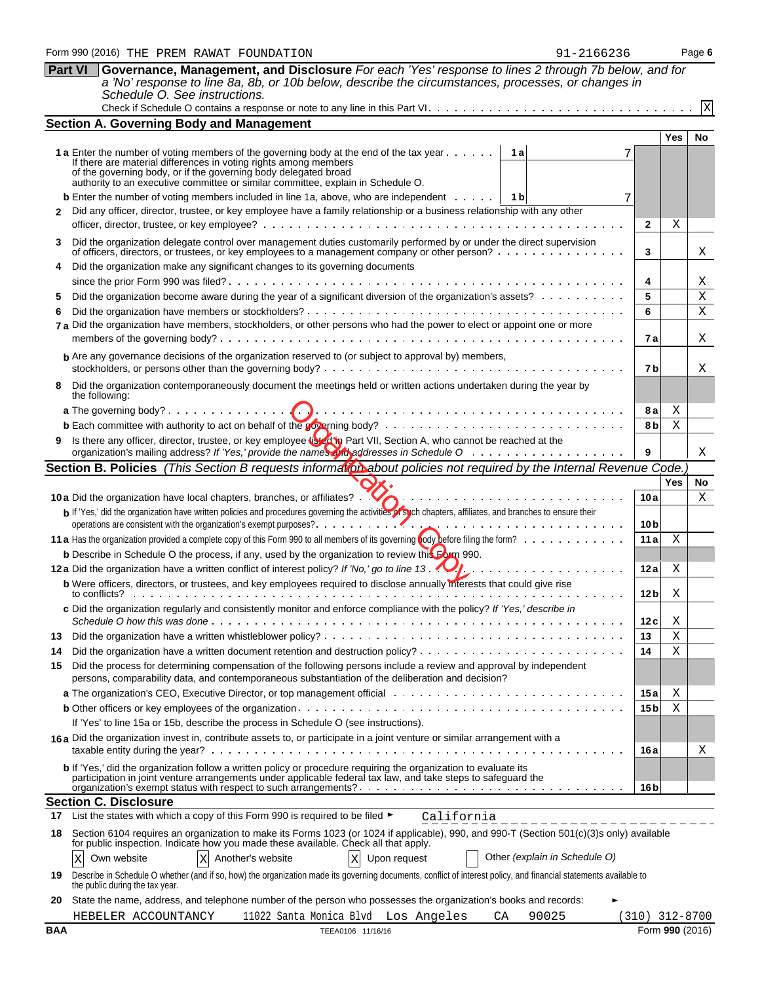|    | Governance, Management, and Disclosure For each 'Yes' response to lines 2 through 7b below, and for<br><b>Part VI</b><br>a 'No' response to line 8a, 8b, or 10b below, describe the circumstances, processes, or changes in                                                                                                                   |                 |            |                |
|----|-----------------------------------------------------------------------------------------------------------------------------------------------------------------------------------------------------------------------------------------------------------------------------------------------------------------------------------------------|-----------------|------------|----------------|
|    | Schedule O. See instructions.                                                                                                                                                                                                                                                                                                                 |                 |            |                |
|    |                                                                                                                                                                                                                                                                                                                                               |                 |            | X              |
|    | <b>Section A. Governing Body and Management</b>                                                                                                                                                                                                                                                                                               |                 |            |                |
|    |                                                                                                                                                                                                                                                                                                                                               |                 | <b>Yes</b> | No             |
|    | <b>1 a</b> Enter the number of voting members of the governing body at the end of the tax year<br>1а<br>If there are material differences in voting rights among members<br>of the governing body, or if the governing body delegated broad authority to an executive committee or similar committee, explain in Schedule O.                  |                 |            |                |
|    | <b>b</b> Enter the number of voting members included in line 1a, above, who are independent $\cdots$<br>1 b<br>7                                                                                                                                                                                                                              |                 |            |                |
| 2  | Did any officer, director, trustee, or key employee have a family relationship or a business relationship with any other                                                                                                                                                                                                                      |                 |            |                |
|    |                                                                                                                                                                                                                                                                                                                                               | $\mathbf{2}$    | Χ          |                |
| 3  | Did the organization delegate control over management duties customarily performed by or under the direct supervision<br>of officers, directors, or trustees, or key employees to a management company or other person?                                                                                                                       | 3               |            | Χ              |
|    | Did the organization make any significant changes to its governing documents                                                                                                                                                                                                                                                                  |                 |            |                |
|    |                                                                                                                                                                                                                                                                                                                                               | 4               |            | X              |
| 5  | Did the organization become aware during the year of a significant diversion of the organization's assets?                                                                                                                                                                                                                                    | 5               |            | X              |
|    |                                                                                                                                                                                                                                                                                                                                               | 6               |            | X              |
|    | 7 a Did the organization have members, stockholders, or other persons who had the power to elect or appoint one or more                                                                                                                                                                                                                       | 7а              |            | Χ              |
|    | <b>b</b> Are any governance decisions of the organization reserved to (or subject to approval by) members,                                                                                                                                                                                                                                    |                 |            |                |
|    |                                                                                                                                                                                                                                                                                                                                               | 7 b             |            | Χ              |
|    | Did the organization contemporaneously document the meetings held or written actions undertaken during the year by                                                                                                                                                                                                                            |                 |            |                |
|    | the following:<br><b>a</b> The governing body? $\cdots$ $\cdots$ $\cdots$                                                                                                                                                                                                                                                                     | 8а              | Χ          |                |
|    |                                                                                                                                                                                                                                                                                                                                               | 8 bl            | Χ          |                |
|    | 9 Is there any officer, director, trustee, or key employee listed in Part VII, Section A, who cannot be reached at the                                                                                                                                                                                                                        |                 |            |                |
|    |                                                                                                                                                                                                                                                                                                                                               | 9               |            | Χ              |
|    | Section B. Policies (This Section B requests information about policies not required by the Internal Revenue Code.                                                                                                                                                                                                                            |                 |            |                |
|    |                                                                                                                                                                                                                                                                                                                                               |                 | <b>Yes</b> | No             |
|    | 10 a Did the organization have local chapters, branches, or affiliates? (<br>.<br>Na kalendari katika mata mata mata mata mata mata                                                                                                                                                                                                           | 10a             |            | X              |
|    | b If 'Yes,' did the organization have written policies and procedures governing the activities of Such chapters, affiliates, and branches to ensure their                                                                                                                                                                                     | 10 b            |            |                |
|    |                                                                                                                                                                                                                                                                                                                                               | 11a             | Χ          |                |
|    | <b>b</b> Describe in Schedule O the process, if any, used by the organization to review this Form 990.                                                                                                                                                                                                                                        |                 |            |                |
|    | 12a Did the organization have a written conflict of interest policy? If 'No,' go to line 13.<br>.                                                                                                                                                                                                                                             | 12 a            | Χ          |                |
|    | b Were officers, directors, or trustees, and key employees required to disclose annually interests that could give rise<br>to conflicts?                                                                                                                                                                                                      | 12 <sub>b</sub> | Χ          |                |
|    | c Did the organization regularly and consistently monitor and enforce compliance with the policy? If 'Yes,' describe in<br>Schedule O how this was done                                                                                                                                                                                       | 12c             | Χ          |                |
| 13 |                                                                                                                                                                                                                                                                                                                                               | 13              | Χ          |                |
| 14 |                                                                                                                                                                                                                                                                                                                                               | 14              | Χ          |                |
| 15 | Did the process for determining compensation of the following persons include a review and approval by independent<br>persons, comparability data, and contemporaneous substantiation of the deliberation and decision?                                                                                                                       |                 |            |                |
|    |                                                                                                                                                                                                                                                                                                                                               | 15 a            | Χ          |                |
|    | If 'Yes' to line 15a or 15b, describe the process in Schedule O (see instructions).                                                                                                                                                                                                                                                           | 15 <sub>b</sub> | Χ          |                |
|    | 16a Did the organization invest in, contribute assets to, or participate in a joint venture or similar arrangement with a                                                                                                                                                                                                                     |                 |            |                |
|    |                                                                                                                                                                                                                                                                                                                                               | 16 a            |            | Χ              |
|    | b If 'Yes,' did the organization follow a written policy or procedure requiring the organization to evaluate its<br>participation in joint venture arrangements under applicable federal tax law, and take steps to safeguard the                                                                                                             |                 |            |                |
|    |                                                                                                                                                                                                                                                                                                                                               | 16 b            |            |                |
|    | <b>Section C. Disclosure</b>                                                                                                                                                                                                                                                                                                                  |                 |            |                |
|    | 17 List the states with which a copy of this Form 990 is required to be filed $\blacktriangleright$<br>California                                                                                                                                                                                                                             |                 |            |                |
| 18 | Section 6104 requires an organization to make its Forms 1023 (or 1024 if applicable), 990, and 990-T (Section 501(c)(3)s only) available<br>for public inspection. Indicate how you made these available. Check all that apply.<br>Other (explain in Schedule O)<br>Own website<br>$X$ Another's website<br>$\mathbf{x}$<br>Upon request<br>Χ |                 |            |                |
| 19 | Describe in Schedule O whether (and if so, how) the organization made its governing documents, conflict of interest policy, and financial statements available to<br>the public during the tax year.                                                                                                                                          |                 |            |                |
| 20 | State the name, address, and telephone number of the person who possesses the organization's books and records:                                                                                                                                                                                                                               |                 |            |                |
|    | 11022 Santa Monica Blvd Los Angeles<br>90025<br>HEBELER ACCOUNTANCY<br>CA                                                                                                                                                                                                                                                                     |                 |            | (310) 312-8700 |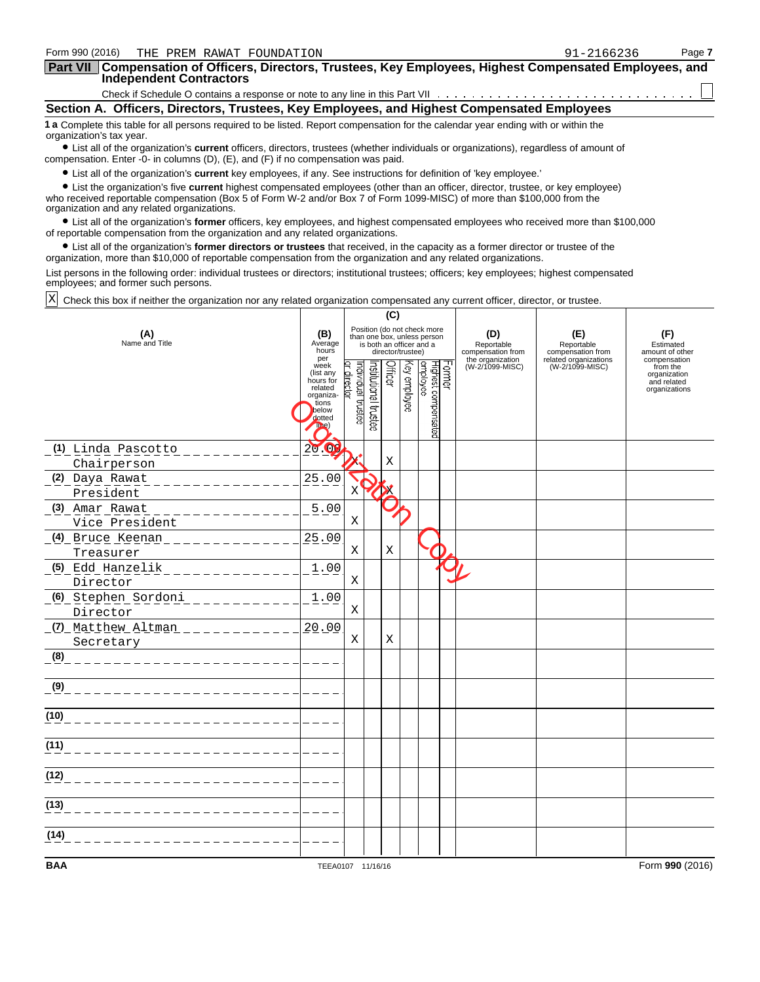| Form 990 (2016)<br>THE PREM RAWAT FOUNDATION                                                                                                                                                                                                                                                               |                                                                                                                                                                                                                        |                        |                      |                   |          |                                                                                        |        |                                                            | 91-2166236                                                      | Page 7                                              |
|------------------------------------------------------------------------------------------------------------------------------------------------------------------------------------------------------------------------------------------------------------------------------------------------------------|------------------------------------------------------------------------------------------------------------------------------------------------------------------------------------------------------------------------|------------------------|----------------------|-------------------|----------|----------------------------------------------------------------------------------------|--------|------------------------------------------------------------|-----------------------------------------------------------------|-----------------------------------------------------|
| Part VII Compensation of Officers, Directors, Trustees, Key Employees, Highest Compensated Employees, and                                                                                                                                                                                                  |                                                                                                                                                                                                                        |                        |                      |                   |          |                                                                                        |        |                                                            |                                                                 |                                                     |
| <b>Independent Contractors</b>                                                                                                                                                                                                                                                                             |                                                                                                                                                                                                                        |                        |                      |                   |          |                                                                                        |        |                                                            |                                                                 |                                                     |
| Section A. Officers, Directors, Trustees, Key Employees, and Highest Compensated Employees                                                                                                                                                                                                                 |                                                                                                                                                                                                                        |                        |                      |                   |          |                                                                                        |        |                                                            |                                                                 |                                                     |
| 1 a Complete this table for all persons required to be listed. Report compensation for the calendar year ending with or within the                                                                                                                                                                         |                                                                                                                                                                                                                        |                        |                      |                   |          |                                                                                        |        |                                                            |                                                                 |                                                     |
| organization's tax year.<br>• List all of the organization's current officers, directors, trustees (whether individuals or organizations), regardless of amount of                                                                                                                                         |                                                                                                                                                                                                                        |                        |                      |                   |          |                                                                                        |        |                                                            |                                                                 |                                                     |
| compensation. Enter -0- in columns (D), (E), and (F) if no compensation was paid.                                                                                                                                                                                                                          |                                                                                                                                                                                                                        |                        |                      |                   |          |                                                                                        |        |                                                            |                                                                 |                                                     |
| • List all of the organization's current key employees, if any. See instructions for definition of 'key employee.'                                                                                                                                                                                         |                                                                                                                                                                                                                        |                        |                      |                   |          |                                                                                        |        |                                                            |                                                                 |                                                     |
| • List the organization's five current highest compensated employees (other than an officer, director, trustee, or key employee)<br>who received reportable compensation (Box 5 of Form W-2 and/or Box 7 of Form 1099-MISC) of more than \$100,000 from the<br>organization and any related organizations. |                                                                                                                                                                                                                        |                        |                      |                   |          |                                                                                        |        |                                                            |                                                                 |                                                     |
|                                                                                                                                                                                                                                                                                                            | • List all of the organization's former officers, key employees, and highest compensated employees who received more than \$100,000<br>of reportable compensation from the organization and any related organizations. |                        |                      |                   |          |                                                                                        |        |                                                            |                                                                 |                                                     |
| • List all of the organization's former directors or trustees that received, in the capacity as a former director or trustee of the<br>organization, more than \$10,000 of reportable compensation from the organization and any related organizations.                                                    |                                                                                                                                                                                                                        |                        |                      |                   |          |                                                                                        |        |                                                            |                                                                 |                                                     |
| List persons in the following order: individual trustees or directors; institutional trustees; officers; key employees; highest compensated<br>employees; and former such persons.                                                                                                                         |                                                                                                                                                                                                                        |                        |                      |                   |          |                                                                                        |        |                                                            |                                                                 |                                                     |
| X<br>Check this box if neither the organization nor any related organization compensated any current officer, director, or trustee.                                                                                                                                                                        |                                                                                                                                                                                                                        |                        |                      |                   |          |                                                                                        |        |                                                            |                                                                 |                                                     |
|                                                                                                                                                                                                                                                                                                            |                                                                                                                                                                                                                        |                        |                      | (C)               |          |                                                                                        |        |                                                            |                                                                 |                                                     |
| (A)<br>Name and Title                                                                                                                                                                                                                                                                                      | (B)<br>Average<br>hours<br>per                                                                                                                                                                                         |                        |                      | director/trustee) |          | Position (do not check more<br>than one box, unless person<br>is both an officer and a |        | (D)<br>Reportable<br>compensation from<br>the organization | (E)<br>Reportable<br>compensation from<br>related organizations | (F)<br>Estimated<br>amount of other<br>compensation |
|                                                                                                                                                                                                                                                                                                            | week<br>(list any                                                                                                                                                                                                      |                        |                      | Officer           | Š,       | Highest compensated<br>employee                                                        | Former | (W-2/1099-MISC)                                            | (W-2/1099-MISC)                                                 | from the<br>organization                            |
|                                                                                                                                                                                                                                                                                                            | hours for<br>related                                                                                                                                                                                                   | ridividual<br>director |                      |                   |          |                                                                                        |        |                                                            |                                                                 | and related<br>organizations                        |
|                                                                                                                                                                                                                                                                                                            | organiza-<br>tions<br>below                                                                                                                                                                                            | trustee                | nstitutional trustee |                   | employee |                                                                                        |        |                                                            |                                                                 |                                                     |
|                                                                                                                                                                                                                                                                                                            | dotted<br>$\ln e$ )                                                                                                                                                                                                    |                        |                      |                   |          |                                                                                        |        |                                                            |                                                                 |                                                     |
|                                                                                                                                                                                                                                                                                                            |                                                                                                                                                                                                                        |                        |                      |                   |          |                                                                                        |        |                                                            |                                                                 |                                                     |
| (1) Linda Pascotto                                                                                                                                                                                                                                                                                         | 20.00                                                                                                                                                                                                                  |                        |                      | Χ                 |          |                                                                                        |        |                                                            |                                                                 |                                                     |
| Chairperson                                                                                                                                                                                                                                                                                                | 25.00                                                                                                                                                                                                                  |                        |                      |                   |          |                                                                                        |        |                                                            |                                                                 |                                                     |
| (2) Daya Rawat<br>President                                                                                                                                                                                                                                                                                |                                                                                                                                                                                                                        | Χ                      |                      |                   |          |                                                                                        |        |                                                            |                                                                 |                                                     |
| (3) Amar Rawat                                                                                                                                                                                                                                                                                             | 5.00                                                                                                                                                                                                                   |                        |                      |                   |          |                                                                                        |        |                                                            |                                                                 |                                                     |
| Vice President                                                                                                                                                                                                                                                                                             |                                                                                                                                                                                                                        | Χ                      |                      |                   |          |                                                                                        |        |                                                            |                                                                 |                                                     |
| <u> (4) Bruce Keenan </u>                                                                                                                                                                                                                                                                                  | 25.00                                                                                                                                                                                                                  |                        |                      |                   |          |                                                                                        |        |                                                            |                                                                 |                                                     |
| Treasurer                                                                                                                                                                                                                                                                                                  |                                                                                                                                                                                                                        | Χ                      |                      | Χ                 |          |                                                                                        |        |                                                            |                                                                 |                                                     |
| (5) Edd Hanzelik                                                                                                                                                                                                                                                                                           | 1.00                                                                                                                                                                                                                   |                        |                      |                   |          |                                                                                        |        |                                                            |                                                                 |                                                     |
| Director                                                                                                                                                                                                                                                                                                   |                                                                                                                                                                                                                        | Χ                      |                      |                   |          |                                                                                        |        |                                                            |                                                                 |                                                     |
| (6) Stephen Sordoni                                                                                                                                                                                                                                                                                        | 1.00                                                                                                                                                                                                                   | Χ                      |                      |                   |          |                                                                                        |        |                                                            |                                                                 |                                                     |
| Director<br>(7) Matthew Altman                                                                                                                                                                                                                                                                             | 20.00                                                                                                                                                                                                                  |                        |                      |                   |          |                                                                                        |        |                                                            |                                                                 |                                                     |
| Secretary                                                                                                                                                                                                                                                                                                  |                                                                                                                                                                                                                        | Χ                      |                      | Χ                 |          |                                                                                        |        |                                                            |                                                                 |                                                     |
| (8)                                                                                                                                                                                                                                                                                                        |                                                                                                                                                                                                                        |                        |                      |                   |          |                                                                                        |        |                                                            |                                                                 |                                                     |
| (9)                                                                                                                                                                                                                                                                                                        |                                                                                                                                                                                                                        |                        |                      |                   |          |                                                                                        |        |                                                            |                                                                 |                                                     |
| (10)                                                                                                                                                                                                                                                                                                       |                                                                                                                                                                                                                        |                        |                      |                   |          |                                                                                        |        |                                                            |                                                                 |                                                     |
|                                                                                                                                                                                                                                                                                                            |                                                                                                                                                                                                                        |                        |                      |                   |          |                                                                                        |        |                                                            |                                                                 |                                                     |
| (11)                                                                                                                                                                                                                                                                                                       |                                                                                                                                                                                                                        |                        |                      |                   |          |                                                                                        |        |                                                            |                                                                 |                                                     |
| (12)                                                                                                                                                                                                                                                                                                       |                                                                                                                                                                                                                        |                        |                      |                   |          |                                                                                        |        |                                                            |                                                                 |                                                     |
| (13)                                                                                                                                                                                                                                                                                                       |                                                                                                                                                                                                                        |                        |                      |                   |          |                                                                                        |        |                                                            |                                                                 |                                                     |
| (14)                                                                                                                                                                                                                                                                                                       |                                                                                                                                                                                                                        |                        |                      |                   |          |                                                                                        |        |                                                            |                                                                 |                                                     |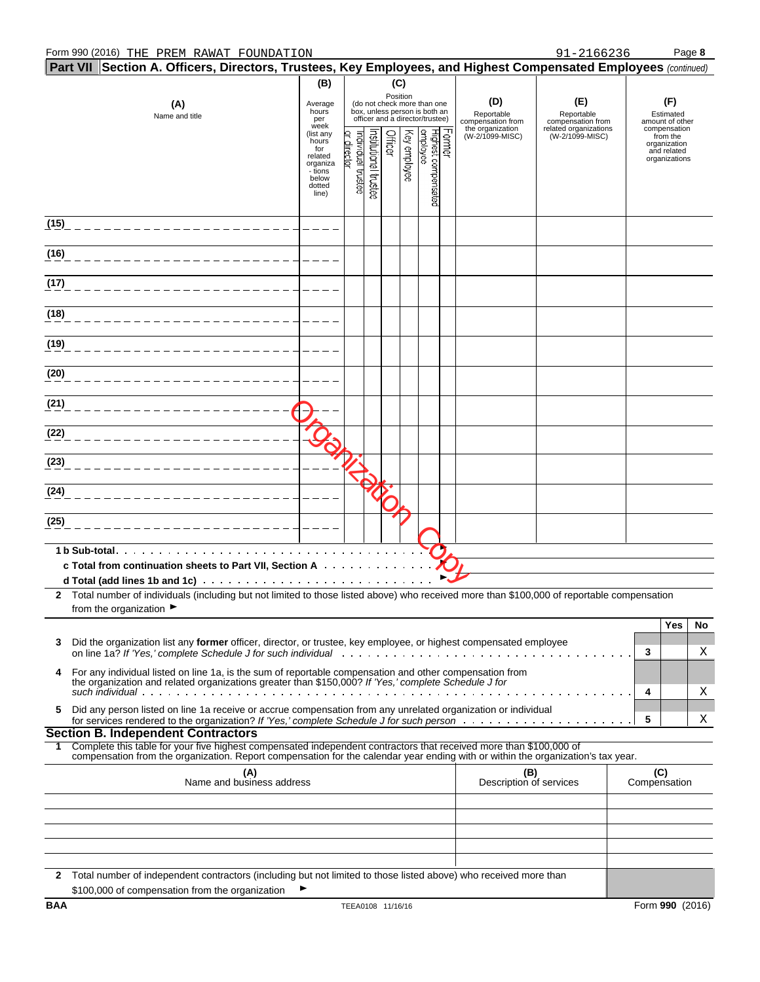|      | Part VII Section A. Officers, Directors, Trustees, Key Employees, and Highest Compensated Employees (continued)                                                                                                                                        |                              |                   |                      |         |                                                              |                                 |        |                                                     |                                                          |     |                                              |    |
|------|--------------------------------------------------------------------------------------------------------------------------------------------------------------------------------------------------------------------------------------------------------|------------------------------|-------------------|----------------------|---------|--------------------------------------------------------------|---------------------------------|--------|-----------------------------------------------------|----------------------------------------------------------|-----|----------------------------------------------|----|
|      |                                                                                                                                                                                                                                                        | (B)                          |                   |                      | (C)     |                                                              |                                 |        |                                                     |                                                          |     |                                              |    |
|      | (A)                                                                                                                                                                                                                                                    | Average<br>hours             |                   | Position             |         | (do not check more than one<br>box, unless person is both an |                                 | (D)    | (E)                                                 |                                                          | (F) |                                              |    |
|      | Name and title                                                                                                                                                                                                                                         | per<br>week                  |                   |                      |         |                                                              | officer and a director/trustee) |        | Reportable<br>compensation from<br>the organization | Reportable<br>compensation from<br>related organizations |     | Estimated<br>amount of other<br>compensation |    |
|      |                                                                                                                                                                                                                                                        | (list any<br>hours           |                   |                      | Officer |                                                              |                                 | Former | (W-2/1099-MISC)                                     | (W-2/1099-MISC)                                          |     | from the<br>organization                     |    |
|      |                                                                                                                                                                                                                                                        | for<br>related               | ər director       |                      |         |                                                              |                                 |        |                                                     |                                                          |     | and related<br>organizations                 |    |
|      |                                                                                                                                                                                                                                                        | organiza<br>- tions<br>below | ndividual trustee |                      |         | Key employee                                                 |                                 |        |                                                     |                                                          |     |                                              |    |
|      |                                                                                                                                                                                                                                                        | dotted<br>line)              |                   | nstitutional trustee |         |                                                              | Highest compensated<br>employee |        |                                                     |                                                          |     |                                              |    |
|      |                                                                                                                                                                                                                                                        |                              |                   |                      |         |                                                              |                                 |        |                                                     |                                                          |     |                                              |    |
| (15) |                                                                                                                                                                                                                                                        |                              |                   |                      |         |                                                              |                                 |        |                                                     |                                                          |     |                                              |    |
|      |                                                                                                                                                                                                                                                        |                              |                   |                      |         |                                                              |                                 |        |                                                     |                                                          |     |                                              |    |
| (16) |                                                                                                                                                                                                                                                        |                              |                   |                      |         |                                                              |                                 |        |                                                     |                                                          |     |                                              |    |
| (17) |                                                                                                                                                                                                                                                        |                              |                   |                      |         |                                                              |                                 |        |                                                     |                                                          |     |                                              |    |
|      |                                                                                                                                                                                                                                                        |                              |                   |                      |         |                                                              |                                 |        |                                                     |                                                          |     |                                              |    |
| (18) |                                                                                                                                                                                                                                                        |                              |                   |                      |         |                                                              |                                 |        |                                                     |                                                          |     |                                              |    |
|      |                                                                                                                                                                                                                                                        |                              |                   |                      |         |                                                              |                                 |        |                                                     |                                                          |     |                                              |    |
| (19) |                                                                                                                                                                                                                                                        |                              |                   |                      |         |                                                              |                                 |        |                                                     |                                                          |     |                                              |    |
|      |                                                                                                                                                                                                                                                        |                              |                   |                      |         |                                                              |                                 |        |                                                     |                                                          |     |                                              |    |
| (20) |                                                                                                                                                                                                                                                        |                              |                   |                      |         |                                                              |                                 |        |                                                     |                                                          |     |                                              |    |
| (21) |                                                                                                                                                                                                                                                        |                              |                   |                      |         |                                                              |                                 |        |                                                     |                                                          |     |                                              |    |
|      |                                                                                                                                                                                                                                                        |                              |                   |                      |         |                                                              |                                 |        |                                                     |                                                          |     |                                              |    |
| (22) |                                                                                                                                                                                                                                                        |                              |                   |                      |         |                                                              |                                 |        |                                                     |                                                          |     |                                              |    |
|      |                                                                                                                                                                                                                                                        |                              |                   |                      |         |                                                              |                                 |        |                                                     |                                                          |     |                                              |    |
| (23) |                                                                                                                                                                                                                                                        |                              |                   |                      |         |                                                              |                                 |        |                                                     |                                                          |     |                                              |    |
| (24) |                                                                                                                                                                                                                                                        |                              |                   |                      |         |                                                              |                                 |        |                                                     |                                                          |     |                                              |    |
|      |                                                                                                                                                                                                                                                        |                              |                   |                      |         |                                                              |                                 |        |                                                     |                                                          |     |                                              |    |
| (25) |                                                                                                                                                                                                                                                        |                              |                   |                      |         |                                                              |                                 |        |                                                     |                                                          |     |                                              |    |
|      |                                                                                                                                                                                                                                                        |                              |                   |                      |         |                                                              |                                 |        |                                                     |                                                          |     |                                              |    |
|      | 1 b Sub-total to the series of the series of the series of the series of the series of the series o<br>c Total from continuation sheets to Part VII, Section A                                                                                         |                              |                   |                      |         |                                                              |                                 |        |                                                     |                                                          |     |                                              |    |
|      |                                                                                                                                                                                                                                                        |                              |                   |                      |         |                                                              |                                 |        |                                                     |                                                          |     |                                              |    |
|      | 2 Total number of individuals (including but not limited to those listed above) who received more than \$100,000 of reportable compensation                                                                                                            |                              |                   |                      |         |                                                              |                                 |        |                                                     |                                                          |     |                                              |    |
|      | from the organization $\blacktriangleright$                                                                                                                                                                                                            |                              |                   |                      |         |                                                              |                                 |        |                                                     |                                                          |     |                                              |    |
|      |                                                                                                                                                                                                                                                        |                              |                   |                      |         |                                                              |                                 |        |                                                     |                                                          |     | Yes                                          | No |
| 3    | Did the organization list any <b>former</b> officer, director, or trustee, key employee, or highest compensated employee                                                                                                                               |                              |                   |                      |         |                                                              |                                 |        |                                                     |                                                          | 3   |                                              | Χ  |
|      |                                                                                                                                                                                                                                                        |                              |                   |                      |         |                                                              |                                 |        |                                                     |                                                          |     |                                              |    |
| 4    | For any individual listed on line 1a, is the sum of reportable compensation and other compensation from<br>the organization and related organizations greater than \$150,000? If 'Yes,' complete Schedule J for                                        |                              |                   |                      |         |                                                              |                                 |        |                                                     |                                                          |     |                                              |    |
|      |                                                                                                                                                                                                                                                        |                              |                   |                      |         |                                                              |                                 |        |                                                     |                                                          | 4   |                                              | Χ  |
| 5    | Did any person listed on line 1a receive or accrue compensation from any unrelated organization or individual                                                                                                                                          |                              |                   |                      |         |                                                              |                                 |        |                                                     |                                                          | 5   |                                              | Χ  |
|      | <b>Section B. Independent Contractors</b>                                                                                                                                                                                                              |                              |                   |                      |         |                                                              |                                 |        |                                                     |                                                          |     |                                              |    |
| 1.   | Complete this table for your five highest compensated independent contractors that received more than \$100,000 of<br>compensation from the organization. Report compensation for the calendar year ending with or within the organization's tax year. |                              |                   |                      |         |                                                              |                                 |        |                                                     |                                                          |     |                                              |    |
|      | (A)                                                                                                                                                                                                                                                    |                              |                   |                      |         |                                                              |                                 |        | (B)                                                 |                                                          |     | (C)                                          |    |
|      | Name and business address                                                                                                                                                                                                                              |                              |                   |                      |         |                                                              |                                 |        | Description of services                             |                                                          |     | Compensation                                 |    |
|      |                                                                                                                                                                                                                                                        |                              |                   |                      |         |                                                              |                                 |        |                                                     |                                                          |     |                                              |    |
|      |                                                                                                                                                                                                                                                        |                              |                   |                      |         |                                                              |                                 |        |                                                     |                                                          |     |                                              |    |
|      |                                                                                                                                                                                                                                                        |                              |                   |                      |         |                                                              |                                 |        |                                                     |                                                          |     |                                              |    |
|      |                                                                                                                                                                                                                                                        |                              |                   |                      |         |                                                              |                                 |        |                                                     |                                                          |     |                                              |    |
|      | 2 Total number of independent contractors (including but not limited to those listed above) who received more than                                                                                                                                     |                              |                   |                      |         |                                                              |                                 |        |                                                     |                                                          |     |                                              |    |
|      | \$100,000 of compensation from the organization                                                                                                                                                                                                        |                              |                   |                      |         |                                                              |                                 |        |                                                     |                                                          |     |                                              |    |
| BAA  |                                                                                                                                                                                                                                                        |                              | TEEA0108 11/16/16 |                      |         |                                                              |                                 |        |                                                     |                                                          |     | Form 990 (2016)                              |    |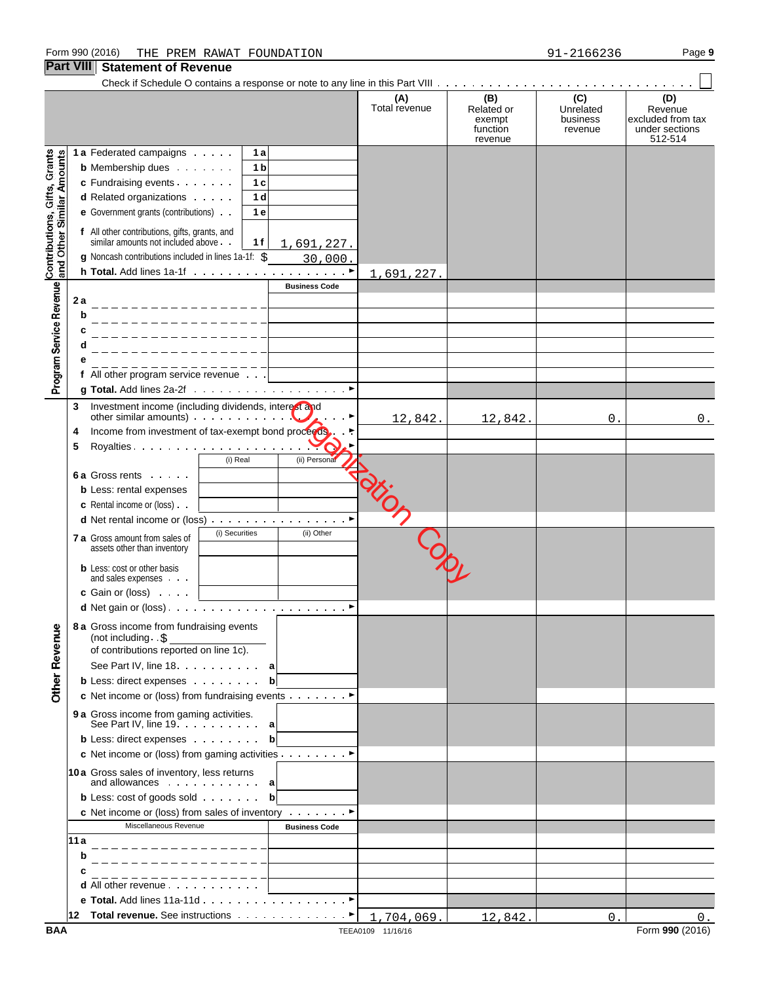|                                                           |      | ופווופוון טו ולפגפווטפ                                                                      |                      |                      |                                                    |                                         |                                                                  |
|-----------------------------------------------------------|------|---------------------------------------------------------------------------------------------|----------------------|----------------------|----------------------------------------------------|-----------------------------------------|------------------------------------------------------------------|
|                                                           |      |                                                                                             |                      | (A)<br>Total revenue | (B)<br>Related or<br>exempt<br>function<br>revenue | (C)<br>Unrelated<br>business<br>revenue | (D)<br>Revenue<br>excluded from tax<br>under sections<br>512-514 |
|                                                           |      | 1 a Federated campaigns<br>1а                                                               |                      |                      |                                                    |                                         |                                                                  |
|                                                           |      | <b>b</b> Membership dues<br>1 <sub>b</sub>                                                  |                      |                      |                                                    |                                         |                                                                  |
|                                                           |      | c Fundraising events<br>1 <sub>c</sub>                                                      |                      |                      |                                                    |                                         |                                                                  |
|                                                           |      | d Related organizations<br>1 <sub>d</sub>                                                   |                      |                      |                                                    |                                         |                                                                  |
|                                                           |      | e Government grants (contributions)<br>1e                                                   |                      |                      |                                                    |                                         |                                                                  |
| Contributions, Gifts, Grants<br>and Other Similar Amounts |      | f All other contributions, gifts, grants, and<br>similar amounts not included above.<br>1 f | <u>1,691,227.</u>    |                      |                                                    |                                         |                                                                  |
|                                                           |      | g Noncash contributions included in lines 1a-1f: \$                                         | 30,000.              |                      |                                                    |                                         |                                                                  |
|                                                           |      |                                                                                             |                      | 1,691,227.           |                                                    |                                         |                                                                  |
|                                                           |      |                                                                                             | <b>Business Code</b> |                      |                                                    |                                         |                                                                  |
| Program Service Revenue                                   | 2a   |                                                                                             |                      |                      |                                                    |                                         |                                                                  |
|                                                           | b    |                                                                                             |                      |                      |                                                    |                                         |                                                                  |
|                                                           |      |                                                                                             |                      |                      |                                                    |                                         |                                                                  |
|                                                           | d    |                                                                                             |                      |                      |                                                    |                                         |                                                                  |
|                                                           |      |                                                                                             |                      |                      |                                                    |                                         |                                                                  |
|                                                           |      | ________________<br>f All other program service revenue                                     |                      |                      |                                                    |                                         |                                                                  |
|                                                           |      |                                                                                             |                      |                      |                                                    |                                         |                                                                  |
|                                                           | 3    | Investment income (including dividends, interest and                                        |                      |                      |                                                    |                                         |                                                                  |
|                                                           |      |                                                                                             |                      | 12,842.              | 12,842.                                            | 0.                                      | $0_{.}$                                                          |
|                                                           | 4    | Income from investment of tax-exempt bond proceeds.                                         |                      |                      |                                                    |                                         |                                                                  |
|                                                           | 5    | Royalties                                                                                   |                      |                      |                                                    |                                         |                                                                  |
|                                                           |      | (i) Real                                                                                    | (ii) Personal        |                      |                                                    |                                         |                                                                  |
|                                                           |      | <b>6a Gross rents</b>                                                                       |                      |                      |                                                    |                                         |                                                                  |
|                                                           |      | <b>b</b> Less: rental expenses                                                              |                      |                      |                                                    |                                         |                                                                  |
|                                                           |      | <b>c</b> Rental income or (loss).                                                           |                      |                      |                                                    |                                         |                                                                  |
|                                                           |      | d Net rental income or (loss)                                                               |                      |                      |                                                    |                                         |                                                                  |
|                                                           |      | (i) Securities<br><b>7 a</b> Gross amount from sales of                                     | (ii) Other           |                      |                                                    |                                         |                                                                  |
|                                                           |      | assets other than inventory                                                                 |                      |                      |                                                    |                                         |                                                                  |
|                                                           |      | <b>b</b> Less: cost or other basis                                                          |                      |                      |                                                    |                                         |                                                                  |
|                                                           |      | and sales expenses                                                                          |                      |                      |                                                    |                                         |                                                                  |
|                                                           |      | <b>c</b> Gain or (loss) $\cdots$                                                            |                      |                      |                                                    |                                         |                                                                  |
|                                                           |      |                                                                                             |                      |                      |                                                    |                                         |                                                                  |
|                                                           |      | 8 a Gross income from fundraising events                                                    |                      |                      |                                                    |                                         |                                                                  |
|                                                           |      | (not including. $\therefore$ \$                                                             |                      |                      |                                                    |                                         |                                                                  |
|                                                           |      | of contributions reported on line 1c).                                                      |                      |                      |                                                    |                                         |                                                                  |
|                                                           |      | See Part IV, line 18. a                                                                     |                      |                      |                                                    |                                         |                                                                  |
| <b>Other Revenue</b>                                      |      | <b>b</b> Less: direct expenses                                                              | $\mathbf{b}$         |                      |                                                    |                                         |                                                                  |
|                                                           |      | c Net income or (loss) from fundraising events ►                                            |                      |                      |                                                    |                                         |                                                                  |
|                                                           |      | 9 a Gross income from gaming activities.<br>See Part IV, line 19. a                         |                      |                      |                                                    |                                         |                                                                  |
|                                                           |      | <b>b</b> Less: direct expenses                                                              | b                    |                      |                                                    |                                         |                                                                  |
|                                                           |      | c Net income or (loss) from gaming activities ▶                                             |                      |                      |                                                    |                                         |                                                                  |
|                                                           |      | 10a Gross sales of inventory, less returns                                                  |                      |                      |                                                    |                                         |                                                                  |
|                                                           |      | and allowances $\cdots$ a                                                                   |                      |                      |                                                    |                                         |                                                                  |
|                                                           |      | <b>b</b> Less: cost of goods sold $\cdots$                                                  | $\mathbf b$          |                      |                                                    |                                         |                                                                  |
|                                                           |      | <b>c</b> Net income or (loss) from sales of inventory $\cdots$                              |                      |                      |                                                    |                                         |                                                                  |
|                                                           |      | Miscellaneous Revenue                                                                       | <b>Business Code</b> |                      |                                                    |                                         |                                                                  |
|                                                           | 11 a |                                                                                             |                      |                      |                                                    |                                         |                                                                  |
|                                                           | b    |                                                                                             |                      |                      |                                                    |                                         |                                                                  |
|                                                           |      |                                                                                             |                      |                      |                                                    |                                         |                                                                  |
|                                                           |      | d All other revenue                                                                         |                      |                      |                                                    |                                         |                                                                  |
|                                                           |      | e Total. Add lines 11a-11d ▶                                                                |                      |                      |                                                    |                                         |                                                                  |
|                                                           |      | 12 Total revenue. See instructions $\cdots \cdots \cdots$ $\vert 1,704,069$ .               |                      |                      | 12,842.                                            | $0$ .                                   | 0.                                                               |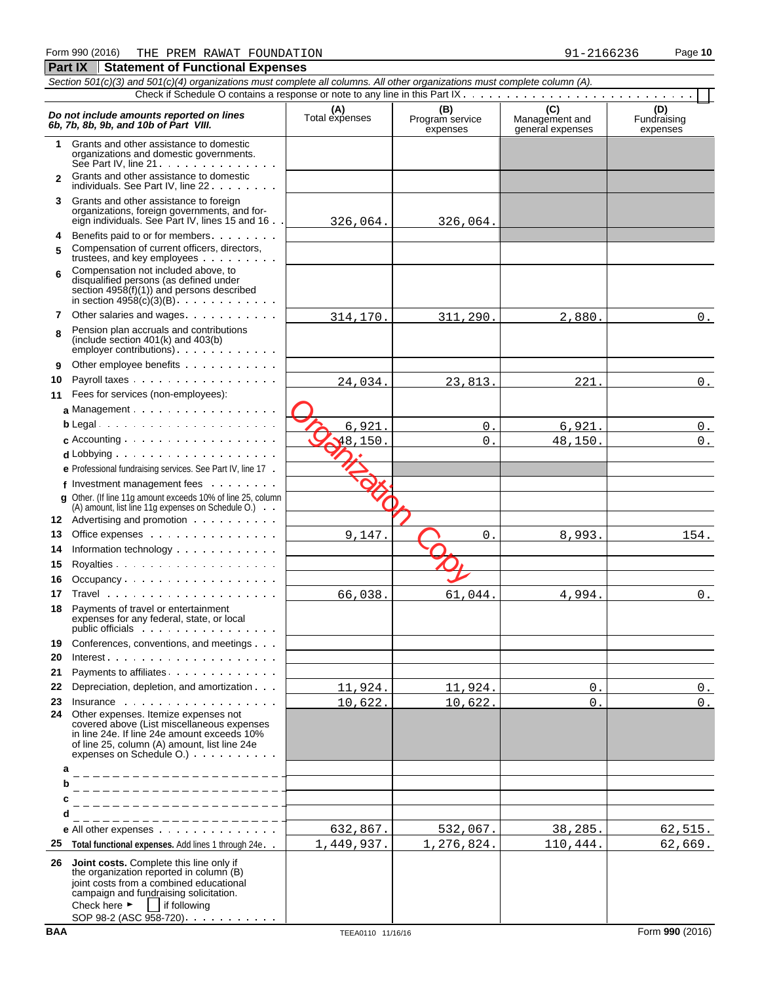| Section 501(c)(3) and 501(c)(4) organizations must complete all columns. All other organizations must complete column (A). |                                                                                                                                                                                                                  |                       |                                    |                                           |                                |  |  |  |  |  |
|----------------------------------------------------------------------------------------------------------------------------|------------------------------------------------------------------------------------------------------------------------------------------------------------------------------------------------------------------|-----------------------|------------------------------------|-------------------------------------------|--------------------------------|--|--|--|--|--|
|                                                                                                                            |                                                                                                                                                                                                                  |                       |                                    |                                           |                                |  |  |  |  |  |
|                                                                                                                            | Do not include amounts reported on lines<br>6b, 7b, 8b, 9b, and 10b of Part VIII.                                                                                                                                | (A)<br>Total expenses | (B)<br>Program service<br>expenses | (C)<br>Management and<br>general expenses | (D)<br>Fundraising<br>expenses |  |  |  |  |  |
| 1.                                                                                                                         | Grants and other assistance to domestic<br>organizations and domestic governments.<br>See Part IV, line $21 \cdot \cdot \cdot \cdot \cdot \cdot \cdot \cdot \cdot \cdot \cdot \cdot \cdot$                       |                       |                                    |                                           |                                |  |  |  |  |  |
| $\overline{2}$                                                                                                             | Grants and other assistance to domestic<br>individuals. See Part IV, line 22                                                                                                                                     |                       |                                    |                                           |                                |  |  |  |  |  |
|                                                                                                                            | 3 Grants and other assistance to foreign<br>organizations, foreign governments, and for-<br>eign individuals. See Part IV, lines 15 and 16                                                                       | <u>326,064.</u>       | 326,064.                           |                                           |                                |  |  |  |  |  |
| 4<br>5                                                                                                                     | Benefits paid to or for members<br>Compensation of current officers, directors,<br>trustees, and key employees                                                                                                   |                       |                                    |                                           |                                |  |  |  |  |  |
| 6                                                                                                                          | Compensation not included above, to<br>disqualified persons (as defined under<br>section $4958(f)(1)$ and persons described<br>in section $4958(c)(3)(B)$ .                                                      |                       |                                    |                                           |                                |  |  |  |  |  |
| 7                                                                                                                          | Other salaries and wages.                                                                                                                                                                                        | 314,170.              | 311,290.                           | 2,880.                                    | 0.                             |  |  |  |  |  |
| 8                                                                                                                          | Pension plan accruals and contributions<br>(include section $401(k)$ and $403(b)$<br>$\epsilon$ mployer contributions). $\ldots$ $\ldots$                                                                        |                       |                                    |                                           |                                |  |  |  |  |  |
| 9                                                                                                                          | Other employee benefits                                                                                                                                                                                          |                       |                                    |                                           |                                |  |  |  |  |  |
| 10                                                                                                                         | Payroll taxes                                                                                                                                                                                                    | 24,034.               | 23,813.                            | 221.                                      | $0$ .                          |  |  |  |  |  |
| 11                                                                                                                         | Fees for services (non-employees):                                                                                                                                                                               |                       |                                    |                                           |                                |  |  |  |  |  |
|                                                                                                                            |                                                                                                                                                                                                                  |                       |                                    |                                           |                                |  |  |  |  |  |
|                                                                                                                            | $b$ Legal                                                                                                                                                                                                        | 6,921.                | 0.                                 | 6,921.                                    | $0$ .                          |  |  |  |  |  |
|                                                                                                                            |                                                                                                                                                                                                                  | 48,150.               | 0.                                 | 48,150.                                   | $0$ .                          |  |  |  |  |  |
|                                                                                                                            |                                                                                                                                                                                                                  |                       |                                    |                                           |                                |  |  |  |  |  |
|                                                                                                                            | e Professional fundraising services. See Part IV, line 17.                                                                                                                                                       |                       |                                    |                                           |                                |  |  |  |  |  |
|                                                                                                                            | $f$ Investment management fees $\ldots$ ,                                                                                                                                                                        |                       |                                    |                                           |                                |  |  |  |  |  |
|                                                                                                                            | <b>q</b> Other. (If line 11g amount exceeds 10% of line 25, column<br>(A) amount, list line 11g expenses on Schedule O.)<br>12 Advertising and promotion                                                         |                       |                                    |                                           |                                |  |  |  |  |  |
|                                                                                                                            |                                                                                                                                                                                                                  |                       |                                    |                                           |                                |  |  |  |  |  |
| 13                                                                                                                         | Office expenses                                                                                                                                                                                                  | 9,147.                | 0.                                 | 8,993.                                    | 154.                           |  |  |  |  |  |
| 14                                                                                                                         | Information technology                                                                                                                                                                                           |                       |                                    |                                           |                                |  |  |  |  |  |
| 15                                                                                                                         |                                                                                                                                                                                                                  |                       |                                    |                                           |                                |  |  |  |  |  |
| 16                                                                                                                         |                                                                                                                                                                                                                  |                       |                                    |                                           |                                |  |  |  |  |  |
| 17                                                                                                                         |                                                                                                                                                                                                                  | 66,038.               | 61,044.                            | 4,994.                                    | $0$ .                          |  |  |  |  |  |
| 18                                                                                                                         | Payments of travel or entertainment<br>expenses for any federal, state, or local<br>public officials                                                                                                             |                       |                                    |                                           |                                |  |  |  |  |  |
| 19                                                                                                                         | Conferences, conventions, and meetings                                                                                                                                                                           |                       |                                    |                                           |                                |  |  |  |  |  |
| 20                                                                                                                         |                                                                                                                                                                                                                  |                       |                                    |                                           |                                |  |  |  |  |  |
| 21                                                                                                                         | Payments to affiliates.                                                                                                                                                                                          |                       |                                    |                                           |                                |  |  |  |  |  |
| 22                                                                                                                         | Depreciation, depletion, and amortization                                                                                                                                                                        | 11,924.               | 11,924.                            | $0$ .                                     | 0.                             |  |  |  |  |  |
| 23                                                                                                                         | $Insquare$ $\ldots$ $\ldots$ $\ldots$ $\ldots$ $\ldots$ $\ldots$ $\ldots$                                                                                                                                        | 10,622.               | 10,622.                            | $\Omega$ .                                | $0$ .                          |  |  |  |  |  |
|                                                                                                                            | 24 Other expenses. Itemize expenses not<br>covered above (List miscellaneous expenses<br>in line 24e. If line 24e amount exceeds 10%<br>of line 25, column (A) amount, list line 24e<br>expenses on Schedule O.) |                       |                                    |                                           |                                |  |  |  |  |  |
| a                                                                                                                          |                                                                                                                                                                                                                  |                       |                                    |                                           |                                |  |  |  |  |  |
| b                                                                                                                          |                                                                                                                                                                                                                  |                       |                                    |                                           |                                |  |  |  |  |  |
| с                                                                                                                          |                                                                                                                                                                                                                  |                       |                                    |                                           |                                |  |  |  |  |  |
| d                                                                                                                          |                                                                                                                                                                                                                  |                       |                                    |                                           |                                |  |  |  |  |  |
|                                                                                                                            | e All other expenses                                                                                                                                                                                             | 632,867.              | 532,067.                           | 38,285.                                   | 62,515.                        |  |  |  |  |  |
| 25                                                                                                                         | Total functional expenses. Add lines 1 through 24e                                                                                                                                                               | 1,449,937.            | 1,276,824.                         | 110,444.                                  | 62,669.                        |  |  |  |  |  |
| 26                                                                                                                         | Joint costs. Complete this line only if<br>the organization reported in column (B)<br>joint costs from a combined educational<br>campaign and fundraising solicitation.<br>Check here ►<br>if following          |                       |                                    |                                           |                                |  |  |  |  |  |

SOP 98-2 (ASC 958-720)

 $\sim 100$  km s  $^{-1}$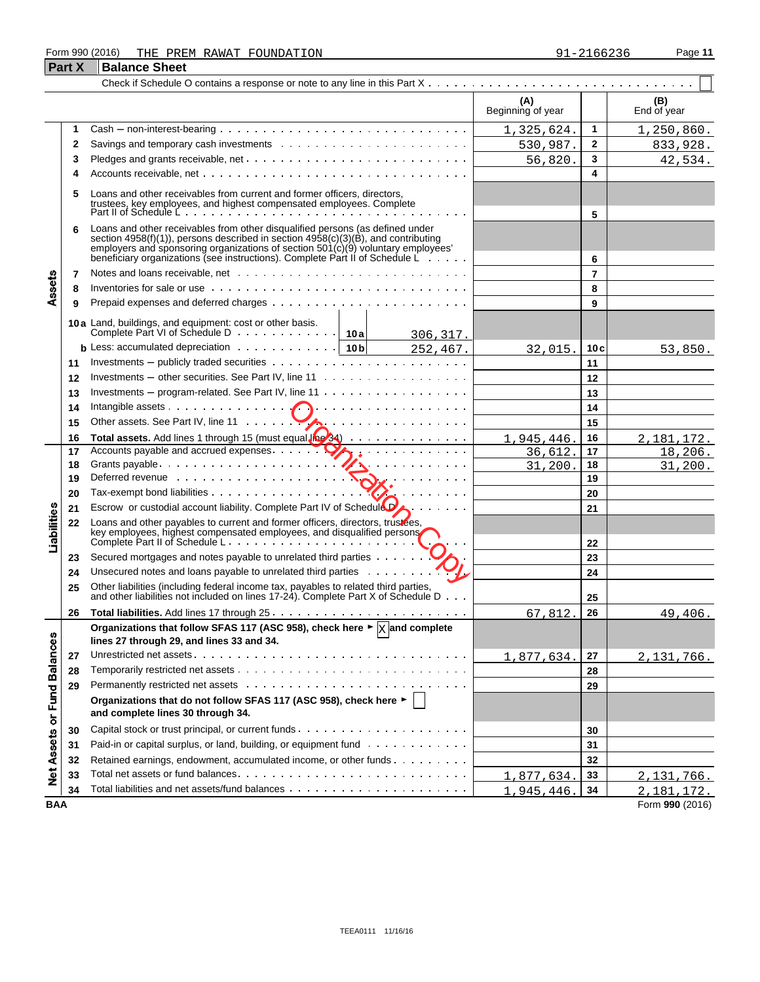#### Form 990 (2016) Page **11** THE PREM RAWAT FOUNDATION 91-2166236

#### **Part X** Balance Sheet Check if Schedule O contains a response or note to any line in this Part X and the control **(A) (B)** Beginning of year | Find of year **1** Cash ' non-interest-bearing **1** 1,250,860. **2** Savings and temporary cash investments **2** 833,928. **3** Pledges and grants receivable, net **3** 56,820. 42,534. **4** Accounts receivable, net **Accounts** receivable, net **Accounts** received by **4 4 5** Loans and other receivables from current and former officers, directors, trustees, key employees, and highest compensated employees. Complete Part II of Schedule L **5 6** Loans and other receivables from other disqualified persons (as defined under section 4958(f)(1)), persons described in section 4958(c)(3)(B), and contributing employers and sponsoring organizations of section 501(c)(9) voluntary employees' beneficiary organizations (see instructions). Complete Part II of Schedule L **6 7** Notes and loans receivable, net **7** Assets **8** Inventories for sale or use **8 9** Prepaid expenses and deferred charges **9 10a** Land, buildings, and equipment: cost or other basis. Complete Part VI of Schedule D **10a** 306,317. **b** Less: accumulated depreciation **10c 10c 10c 10c 10c 10c 10c 10c 10c 10c 10c 11c 10c 11c 11c 11c 11c 12c 12c 12c 12c 12c 12c 12c 12c 12c 12c 12c 12c 12c 12c** 252,467. 32,015. **10c** 53,850 **11** Investments – publicly traded securities **11 11 11 11 11 11 11 12** Investments – other securities. See Part IV, line 11 **12 12 12 12 13** Investments – program-related. See Part IV, line  $11 \cdot \ldots \cdot \ldots \cdot \ldots \cdot \ldots$ Organization Contract Contract Contract Contract Contract Contract Contract Contract Copyright Contract Copyright Contract Copyright Contract Copyright Contract Copyright Contract Copyright Contract Copyright Copyright Cop **14** Intangible assets **14.14** Intangible assets **14.14** Intangible assets **14.14 15** Other assets. See Part IV, line 11 **15 16 Total assets.** Add lines 1 through 15 (must equal  $\left|\frac{\ln \varphi}{34}\right|$ , .............. | 1,945,446, 16 1,945,446. **16** 2,181,172. **17** Accounts payable and accrued expenses **17** Accounts payable and accrued expenses **17** Accounts payable and accrued expenses **17** <u>36,612.</u> 17 18,206 18 Grants payable **18** Grants payable **18 18** Grants payable **18 18** 31,200 **19** Deferred revenue **19 20** Tax-exempt bond liabilities **20 21** Escrow or custodial account liability. Complete Part IV of Schedule  $\nu_1$ , ...... Liabilities **22** Loans and other payables to current and former officers, directors, trustees, key employees, highest compensated employees, and disqualified persons. Complete Part II of Schedule L **22 23** Secured mortgages and notes payable to unrelated third parties **23** 23 **24** Unsecured notes and loans payable to unrelated third parties **24** Discovery **24** 24 **25** Other liabilities (including federal income tax, payables to related third parties, and other liabilities not included on lines 17-24). Complete Part X of Schedule D **25 26 Total liabilities.** Add lines 17 through 25 **26** 49,406 Organizations that follow SFAS 117 (ASC 958), check here ► <mark>X</mark> and complete **Balances lines 27 through 29, and lines 33 and 34. 27** Unrestricted net assets **27** 2,131,766. **28** Temporarily restricted net assets **28 29** Permanently restricted net assets **29** or Fund **Organizations that do not follow SFAS 117 (ASC 958), check here** G **and complete lines 30 through 34. 30** Capital stock or trust principal, or current funds **30 Net Assets 31** Paid-in or capital surplus, or land, building, or equipment fund **31** All **31 31 31 32** Retained earnings, endowment, accumulated income, or other funds  $\ldots$ ,  $\ldots$ ,  $\vdots$ **33** Total net assets or fund balances. **33** Total intervalsed and **33** Total intervalsed and **33** Total intervalsed and **33** 2,131,766 **34** Total liabilities and net assets/fund balances **34** 2,181,172

**BAA** Form **990** (2016)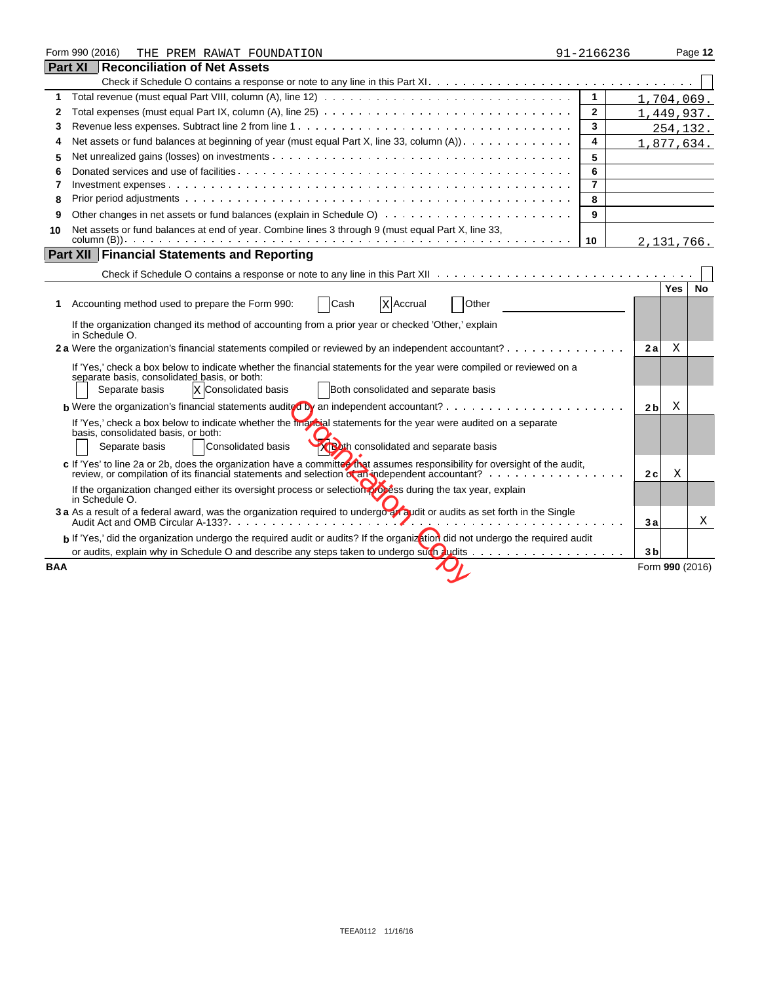|            | Form 990 (2016)<br>THE PREM RAWAT FOUNDATION                                                                                                                                                                                                           | 91-2166236     |                | Page 12          |  |
|------------|--------------------------------------------------------------------------------------------------------------------------------------------------------------------------------------------------------------------------------------------------------|----------------|----------------|------------------|--|
|            | <b>Part XI Reconciliation of Net Assets</b>                                                                                                                                                                                                            |                |                |                  |  |
|            |                                                                                                                                                                                                                                                        |                |                |                  |  |
| 1          |                                                                                                                                                                                                                                                        | $\mathbf{1}$   |                | 1,704,069.       |  |
| 2          |                                                                                                                                                                                                                                                        | $\mathbf{2}$   |                | 1,449,937.       |  |
| 3          |                                                                                                                                                                                                                                                        | 3              |                | 254, 132.        |  |
| 4          | Net assets or fund balances at beginning of year (must equal Part X, line 33, column (A)) $\ldots \ldots \ldots \ldots$                                                                                                                                | 4              |                | 1,877,634.       |  |
| 5          |                                                                                                                                                                                                                                                        | 5              |                |                  |  |
| 6          |                                                                                                                                                                                                                                                        | 6              |                |                  |  |
| 7          |                                                                                                                                                                                                                                                        | $\overline{7}$ |                |                  |  |
| 8          |                                                                                                                                                                                                                                                        | 8              |                |                  |  |
| 9          |                                                                                                                                                                                                                                                        | 9              |                |                  |  |
| 10         | Net assets or fund balances at end of year. Combine lines 3 through 9 (must equal Part X, line 33,                                                                                                                                                     |                |                |                  |  |
|            |                                                                                                                                                                                                                                                        | 10             |                | 2,131,766.       |  |
|            | <b>Part XII Financial Statements and Reporting</b>                                                                                                                                                                                                     |                |                |                  |  |
|            |                                                                                                                                                                                                                                                        |                |                |                  |  |
|            |                                                                                                                                                                                                                                                        |                |                | Yes<br><b>No</b> |  |
| 1          | Cash<br>Other<br>Accounting method used to prepare the Form 990:<br><b>X</b> Accrual                                                                                                                                                                   |                |                |                  |  |
|            | If the organization changed its method of accounting from a prior year or checked 'Other,' explain<br>in Schedule O.                                                                                                                                   |                |                |                  |  |
|            | 2 a Were the organization's financial statements compiled or reviewed by an independent accountant?                                                                                                                                                    |                | 2a             | Χ                |  |
|            | If 'Yes,' check a box below to indicate whether the financial statements for the year were compiled or reviewed on a<br>separate basis, consolidated basis, or both:<br>X Consolidated basis<br>Both consolidated and separate basis<br>Separate basis |                |                |                  |  |
|            | <b>b</b> Were the organization's financial statements audited by an independent accountant? $\cdots$                                                                                                                                                   |                | 2 <sub>b</sub> | Χ                |  |
|            | If 'Yes,' check a box below to indicate whether the finariojal statements for the year were audited on a separate<br>basis, consolidated basis, or both:<br>X Both consolidated and separate basis<br>Separate basis<br><b>Consolidated basis</b>      |                |                |                  |  |
|            | c If 'Yes' to line 2a or 2b, does the organization have a committe that assumes responsibility for oversight of the audit,<br>review, or compilation of its financial statements and selection of an-independent accountant?                           |                | 2 c            | Χ                |  |
|            | If the organization changed either its oversight process or selection process during the tax year, explain<br>in Schedule O.                                                                                                                           |                |                |                  |  |
|            | 3 a As a result of a federal award, was the organization required to undergo an audit or audits as set forth in the Single                                                                                                                             |                | 3a             | Χ                |  |
|            | b If 'Yes,' did the organization undergo the required audit or audits? If the organization did not undergo the required audit                                                                                                                          |                |                |                  |  |
|            |                                                                                                                                                                                                                                                        |                | 3 <sub>b</sub> |                  |  |
| <b>BAA</b> |                                                                                                                                                                                                                                                        |                |                | Form 990 (2016)  |  |
|            |                                                                                                                                                                                                                                                        |                |                |                  |  |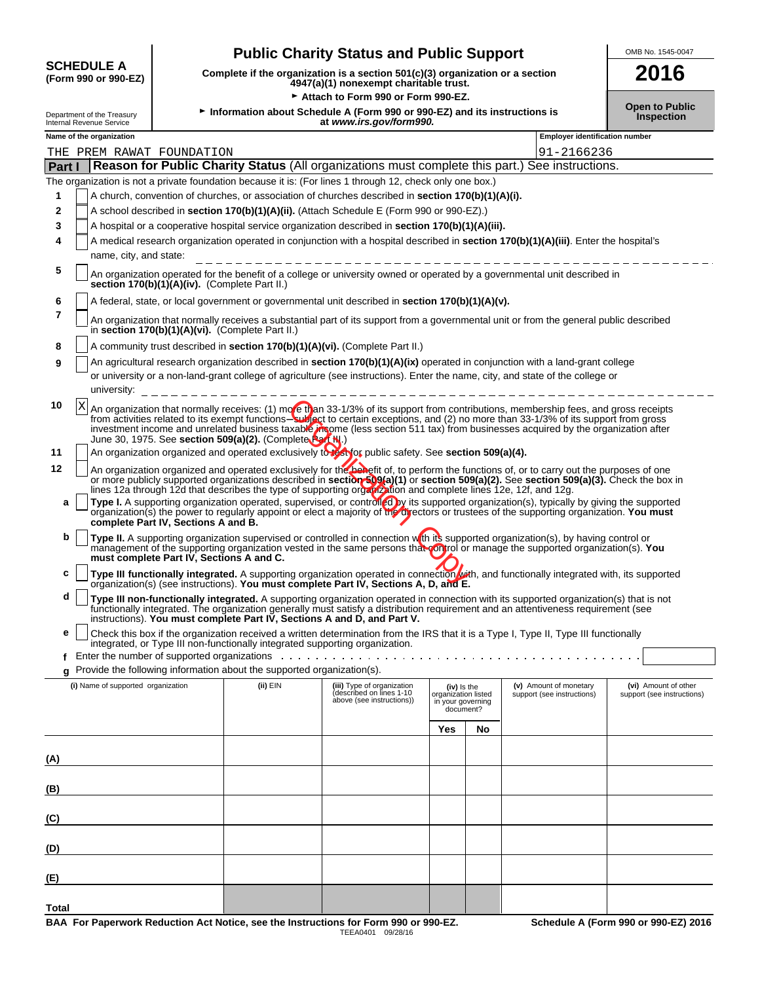| <b>SCHEDULE A</b>    |  |
|----------------------|--|
| (Form 990 or 990-EZ) |  |

# **Public Charity Status and Public Support**

**(Form 990 or 990-EZ) Complete if the organization is a section 501(c)(3) organization or a section 4947(a)(1) nonexempt charitable trust. 2016**

Attach to Form 990 or Form 990-EZ.

Department of the Treasury G **Information about Schedule A (Form 990 or 990-EZ) and its instructions is Inspection** Internal Revenue Service **at** *www.irs.gov/form990.*

|  | OMB No. 1545-0047 |  |
|--|-------------------|--|
|  |                   |  |

**Open to Public<br>Inspection** 

|               |   | internal Revenue Service                                                                                                                                                   |  |                                                                                                                     | at www.irs.gov/iorni990.                                                                                                                                                                                                                                                                                                                                                                                           |                                                                      |    |                                                      |                                                    |
|---------------|---|----------------------------------------------------------------------------------------------------------------------------------------------------------------------------|--|---------------------------------------------------------------------------------------------------------------------|--------------------------------------------------------------------------------------------------------------------------------------------------------------------------------------------------------------------------------------------------------------------------------------------------------------------------------------------------------------------------------------------------------------------|----------------------------------------------------------------------|----|------------------------------------------------------|----------------------------------------------------|
|               |   | Name of the organization                                                                                                                                                   |  |                                                                                                                     |                                                                                                                                                                                                                                                                                                                                                                                                                    |                                                                      |    | <b>Employer identification number</b>                |                                                    |
|               |   | THE PREM RAWAT FOUNDATION                                                                                                                                                  |  |                                                                                                                     |                                                                                                                                                                                                                                                                                                                                                                                                                    |                                                                      |    | 91-2166236                                           |                                                    |
| <b>Part I</b> |   |                                                                                                                                                                            |  |                                                                                                                     | Reason for Public Charity Status (All organizations must complete this part.) See instructions.                                                                                                                                                                                                                                                                                                                    |                                                                      |    |                                                      |                                                    |
|               |   |                                                                                                                                                                            |  |                                                                                                                     | The organization is not a private foundation because it is: (For lines 1 through 12, check only one box.)                                                                                                                                                                                                                                                                                                          |                                                                      |    |                                                      |                                                    |
| 1             |   |                                                                                                                                                                            |  |                                                                                                                     | A church, convention of churches, or association of churches described in <b>section 170(b)(1)(A)(i).</b>                                                                                                                                                                                                                                                                                                          |                                                                      |    |                                                      |                                                    |
| 2             |   |                                                                                                                                                                            |  |                                                                                                                     | A school described in section 170(b)(1)(A)(ii). (Attach Schedule E (Form 990 or 990-EZ).)                                                                                                                                                                                                                                                                                                                          |                                                                      |    |                                                      |                                                    |
| 3             |   |                                                                                                                                                                            |  |                                                                                                                     | A hospital or a cooperative hospital service organization described in section 170(b)(1)(A)(iii).                                                                                                                                                                                                                                                                                                                  |                                                                      |    |                                                      |                                                    |
| 4             |   |                                                                                                                                                                            |  |                                                                                                                     | A medical research organization operated in conjunction with a hospital described in section 170(b)(1)(A)(iii). Enter the hospital's                                                                                                                                                                                                                                                                               |                                                                      |    |                                                      |                                                    |
|               |   | name, city, and state:                                                                                                                                                     |  |                                                                                                                     |                                                                                                                                                                                                                                                                                                                                                                                                                    |                                                                      |    |                                                      |                                                    |
| 5             |   | An organization operated for the benefit of a college or university owned or operated by a governmental unit described in<br>section 170(b)(1)(A)(iv). (Complete Part II.) |  |                                                                                                                     |                                                                                                                                                                                                                                                                                                                                                                                                                    |                                                                      |    |                                                      |                                                    |
| 6<br>7        |   |                                                                                                                                                                            |  |                                                                                                                     | A federal, state, or local government or governmental unit described in section 170(b)(1)(A)(v).                                                                                                                                                                                                                                                                                                                   |                                                                      |    |                                                      |                                                    |
|               |   | in section 170(b)(1)(A)(vi). (Complete Part II.)                                                                                                                           |  |                                                                                                                     | An organization that normally receives a substantial part of its support from a governmental unit or from the general public described                                                                                                                                                                                                                                                                             |                                                                      |    |                                                      |                                                    |
| 8             |   |                                                                                                                                                                            |  |                                                                                                                     | A community trust described in section 170(b)(1)(A)(vi). (Complete Part II.)                                                                                                                                                                                                                                                                                                                                       |                                                                      |    |                                                      |                                                    |
| 9             |   |                                                                                                                                                                            |  |                                                                                                                     | An agricultural research organization described in section 170(b)(1)(A)(ix) operated in conjunction with a land-grant college<br>or university or a non-land-grant college of agriculture (see instructions). Enter the name, city, and state of the college or                                                                                                                                                    |                                                                      |    |                                                      |                                                    |
|               |   | university:                                                                                                                                                                |  | and the contract of the contract of the contract of the contract of the contract of the contract of the contract of |                                                                                                                                                                                                                                                                                                                                                                                                                    |                                                                      |    |                                                      |                                                    |
| 10            | Х |                                                                                                                                                                            |  | June 30, 1975. See section 509(a)(2). (Complete Part HJ.)                                                           | An organization that normally receives: (1) more than 33-1/3% of its support from contributions, membership fees, and gross receipts<br>from activities related to its exempt functions—subject to certain exceptions, and (2) no more than 33-1/3% of its support from gross<br>investment income and unrelated business taxable income (less section 511 tax) from businesses acquired by the organization after |                                                                      |    |                                                      |                                                    |
| 11            |   |                                                                                                                                                                            |  |                                                                                                                     | An organization organized and operated exclusively to rest for public safety. See section 509(a)(4).                                                                                                                                                                                                                                                                                                               |                                                                      |    |                                                      |                                                    |
| 12            |   |                                                                                                                                                                            |  |                                                                                                                     | An organization organized and operated exclusively for the benefit of, to perform the functions of, or to carry out the purposes of one<br>or more publicly supported organizations described in section 509(a)(1) or section 509(a)(2). See section 509(a)(3). Check the box in<br>lines 12a through 12d that describes the type of supporting organization and complete lines 12e, 12f, and 12g.                 |                                                                      |    |                                                      |                                                    |
| а             |   | complete Part IV, Sections A and B.                                                                                                                                        |  |                                                                                                                     | Type I. A supporting organization operated, supervised, or controlled by its supported organization(s), typically by giving the supported<br>organization(s) the power to regularly appoint or elect a majority of the directors or trustees of the supporting organization. You must                                                                                                                              |                                                                      |    |                                                      |                                                    |
| b             |   | must complete Part IV, Sections A and C.                                                                                                                                   |  |                                                                                                                     | Type II. A supporting organization supervised or controlled in connection with its supported organization(s), by having control or<br>management of the supporting organization vested in the same persons that control or manage the supported organization(s). You                                                                                                                                               |                                                                      |    |                                                      |                                                    |
| c             |   |                                                                                                                                                                            |  |                                                                                                                     | Type III functionally integrated. A supporting organization operated in connection/with, and functionally integrated with, its supported<br>organization(s) (see instructions). You must complete Part IV, Sections A, D, and E.                                                                                                                                                                                   |                                                                      |    |                                                      |                                                    |
| d             |   |                                                                                                                                                                            |  |                                                                                                                     | Type III non-functionally integrated. A supporting organization operated in connection with its supported organization(s) that is not<br>functionally integrated. The organization generally must satisfy a distribution requirement and an attentiveness requirement (see<br>instructions). You must complete Part IV, Sections A and D, and Part V.                                                              |                                                                      |    |                                                      |                                                    |
| е             |   |                                                                                                                                                                            |  | integrated, or Type III non-functionally integrated supporting organization.                                        | Check this box if the organization received a written determination from the IRS that it is a Type I, Type II, Type III functionally                                                                                                                                                                                                                                                                               |                                                                      |    |                                                      |                                                    |
| f             |   |                                                                                                                                                                            |  |                                                                                                                     | Enter the number of supported organizations enters in the content of the number of supported organizations of the content of the number of the number of supported or games and the number of the number of the number of the                                                                                                                                                                                      |                                                                      |    |                                                      |                                                    |
|               |   |                                                                                                                                                                            |  | q Provide the following information about the supported organization(s).                                            |                                                                                                                                                                                                                                                                                                                                                                                                                    |                                                                      |    |                                                      |                                                    |
|               |   | (i) Name of supported organization                                                                                                                                         |  | (ii) EIN                                                                                                            | (iii) Type of organization<br>(described on lines 1-10<br>above (see instructions))                                                                                                                                                                                                                                                                                                                                | (iv) Is the<br>organization listed<br>in your governing<br>document? |    | (v) Amount of monetary<br>support (see instructions) | (vi) Amount of other<br>support (see instructions) |
|               |   |                                                                                                                                                                            |  |                                                                                                                     |                                                                                                                                                                                                                                                                                                                                                                                                                    | Yes                                                                  | No |                                                      |                                                    |
| (A)           |   |                                                                                                                                                                            |  |                                                                                                                     |                                                                                                                                                                                                                                                                                                                                                                                                                    |                                                                      |    |                                                      |                                                    |
|               |   |                                                                                                                                                                            |  |                                                                                                                     |                                                                                                                                                                                                                                                                                                                                                                                                                    |                                                                      |    |                                                      |                                                    |
| (B)           |   |                                                                                                                                                                            |  |                                                                                                                     |                                                                                                                                                                                                                                                                                                                                                                                                                    |                                                                      |    |                                                      |                                                    |
| (C)           |   |                                                                                                                                                                            |  |                                                                                                                     |                                                                                                                                                                                                                                                                                                                                                                                                                    |                                                                      |    |                                                      |                                                    |
| (D)           |   |                                                                                                                                                                            |  |                                                                                                                     |                                                                                                                                                                                                                                                                                                                                                                                                                    |                                                                      |    |                                                      |                                                    |
| (E)           |   |                                                                                                                                                                            |  |                                                                                                                     |                                                                                                                                                                                                                                                                                                                                                                                                                    |                                                                      |    |                                                      |                                                    |
| <b>Total</b>  |   |                                                                                                                                                                            |  |                                                                                                                     |                                                                                                                                                                                                                                                                                                                                                                                                                    |                                                                      |    |                                                      |                                                    |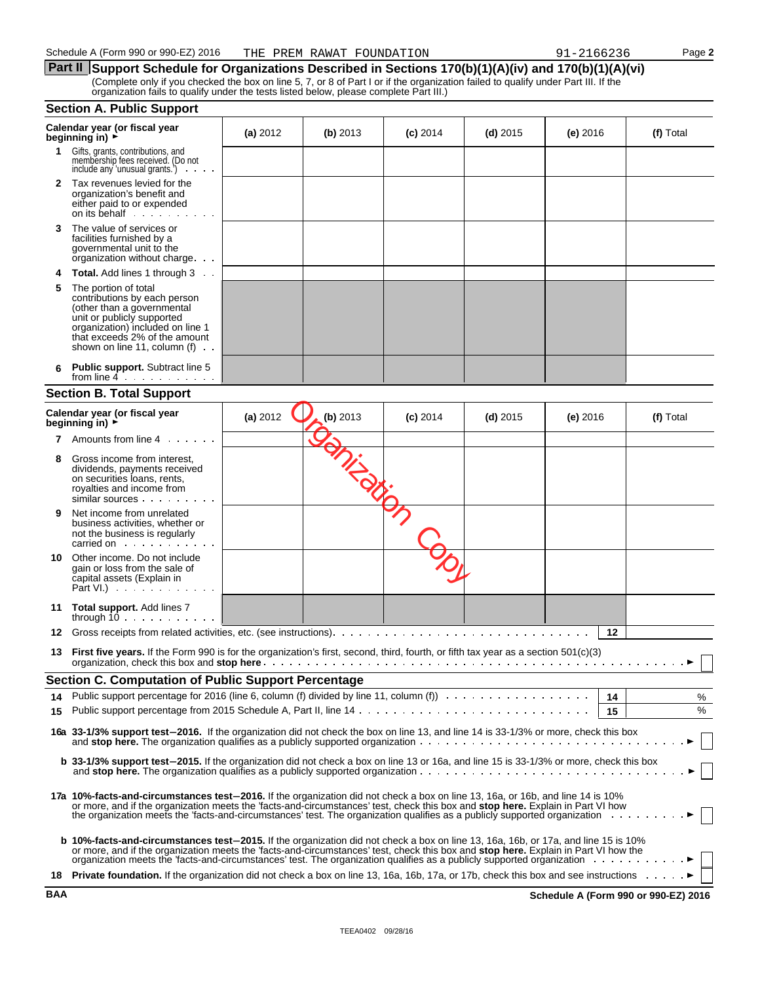**Part II** Support Schedule for Organizations Described in Sections 170(b)(1)(A)(iv) and 170(b)(1)(A)(vi) (Complete only if you checked the box on line 5, 7, or 8 of Part I or if the organization failed to qualify under Part III. If the organization fails to qualify under the tests listed below, please complete Part III.)

|              | <b>Section A. Public Support</b>                                                                                                                                                                                                                                                                                                                                                |          |          |            |            |            |           |
|--------------|---------------------------------------------------------------------------------------------------------------------------------------------------------------------------------------------------------------------------------------------------------------------------------------------------------------------------------------------------------------------------------|----------|----------|------------|------------|------------|-----------|
|              | Calendar year (or fiscal year<br>beginning in) $\rightarrow$                                                                                                                                                                                                                                                                                                                    | (a) 2012 | (b) 2013 | $(c)$ 2014 | $(d)$ 2015 | (e) $2016$ | (f) Total |
| $\mathbf{1}$ | Gifts, grants, contributions, and<br>membership fees received. (Do not<br>include any 'unusual grants.')                                                                                                                                                                                                                                                                        |          |          |            |            |            |           |
| 2            | Tax revenues levied for the<br>organization's benefit and<br>either paid to or expended<br>on its behalf                                                                                                                                                                                                                                                                        |          |          |            |            |            |           |
| 3            | The value of services or<br>facilities furnished by a<br>governmental unit to the<br>organization without charge                                                                                                                                                                                                                                                                |          |          |            |            |            |           |
| 4            | <b>Total.</b> Add lines 1 through 3                                                                                                                                                                                                                                                                                                                                             |          |          |            |            |            |           |
| 5            | The portion of total<br>contributions by each person<br>(other than a governmental<br>unit or publicly supported<br>organization) included on line 1<br>that exceeds 2% of the amount<br>shown on line 11, column (f) $\cdot$ .                                                                                                                                                 |          |          |            |            |            |           |
|              | <b>Public support.</b> Subtract line 5<br>from line $4$ , $\ldots$ , $\ldots$                                                                                                                                                                                                                                                                                                   |          |          |            |            |            |           |
|              | <b>Section B. Total Support</b>                                                                                                                                                                                                                                                                                                                                                 |          |          |            |            |            |           |
|              | Calendar year (or fiscal year<br>beginning in) $\rightarrow$                                                                                                                                                                                                                                                                                                                    | (a) 2012 | (b) 2013 | $(c)$ 2014 | $(d)$ 2015 | $(e)$ 2016 | (f) Total |
| 7            | Amounts from line 4                                                                                                                                                                                                                                                                                                                                                             |          |          |            |            |            |           |
| 8            | Gross income from interest,<br>dividends, payments received<br>on securities loans, rents,<br>royalties and income from<br>similar sources                                                                                                                                                                                                                                      |          |          |            |            |            |           |
| 9            | Net income from unrelated<br>business activities, whether or<br>not the business is regularly<br>carried on example and set of the set of the set of the set of the set of the set of the set of the set of the                                                                                                                                                                 |          |          |            |            |            |           |
|              | <b>10</b> Other income. Do not include<br>gain or loss from the sale of<br>capital assets (Explain in<br>Part VI.) $\cdots$ $\cdots$                                                                                                                                                                                                                                            |          |          |            |            |            |           |
|              | 11 Total support. Add lines 7<br>through $10$                                                                                                                                                                                                                                                                                                                                   |          |          |            |            |            |           |
|              |                                                                                                                                                                                                                                                                                                                                                                                 |          |          |            |            | 12         |           |
|              | First five years. If the Form 990 is for the organization's first, second, third, fourth, or fifth tax year as a section 501(c)(3)                                                                                                                                                                                                                                              |          |          |            |            |            |           |
|              | <b>Section C. Computation of Public Support Percentage</b>                                                                                                                                                                                                                                                                                                                      |          |          |            |            |            |           |
| 14           | Public support percentage for 2016 (line 6, column (f) divided by line 11, column (f) $\ldots \ldots \ldots \ldots \ldots$                                                                                                                                                                                                                                                      |          |          |            |            | 14         | %         |
| 15           |                                                                                                                                                                                                                                                                                                                                                                                 |          |          |            |            | 15         | %         |
|              | 16a 33-1/3% support test-2016. If the organization did not check the box on line 13, and line 14 is 33-1/3% or more, check this box                                                                                                                                                                                                                                             |          |          |            |            |            |           |
|              | <b>b</b> 33-1/3% support test-2015. If the organization did not check a box on line 13 or 16a, and line 15 is 33-1/3% or more, check this box<br>and stop here. The organization qualifies as a publicly supported organization with the content of the content of the content of the content of the organization of the content of the content of the content of the content o |          |          |            |            |            |           |

| 17a 10%-facts-and-circumstances test-2016. If the organization did not check a box on line 13, 16a, or 16b, and line 14 is 10%  |
|---------------------------------------------------------------------------------------------------------------------------------|
| or more, and if the organization meets the 'facts-and-circumstances' test, check this box and stop here. Explain in Part VI how |
| the organization meets the 'facts-and-circumstances' test. The organization qualifies as a publicly supported organization      |

| <b>b 10%-facts-and-circumstances test-2015.</b> If the organization did not check a box on line 13, 16a, 16b, or 17a, and line 15 is 10%<br>or more, and if the organization meets the 'facts-and-circumstances' test, check this box and <b>stop here.</b> Explain in Part VI how the |  |
|----------------------------------------------------------------------------------------------------------------------------------------------------------------------------------------------------------------------------------------------------------------------------------------|--|
| organization meets the 'facts-and-circumstances' test. The organization qualifies as a publicly supported organization $\dots \dots \dots \dots$                                                                                                                                       |  |
| 18 Private foundation. If the organization did not check a box on line 13, 16a, 16b, 17a, or 17b, check this box and see instructions •                                                                                                                                                |  |

**BAA Schedule A (Form 990 or 990-EZ) 2016**

 $\ldots$   $\blacktriangleright$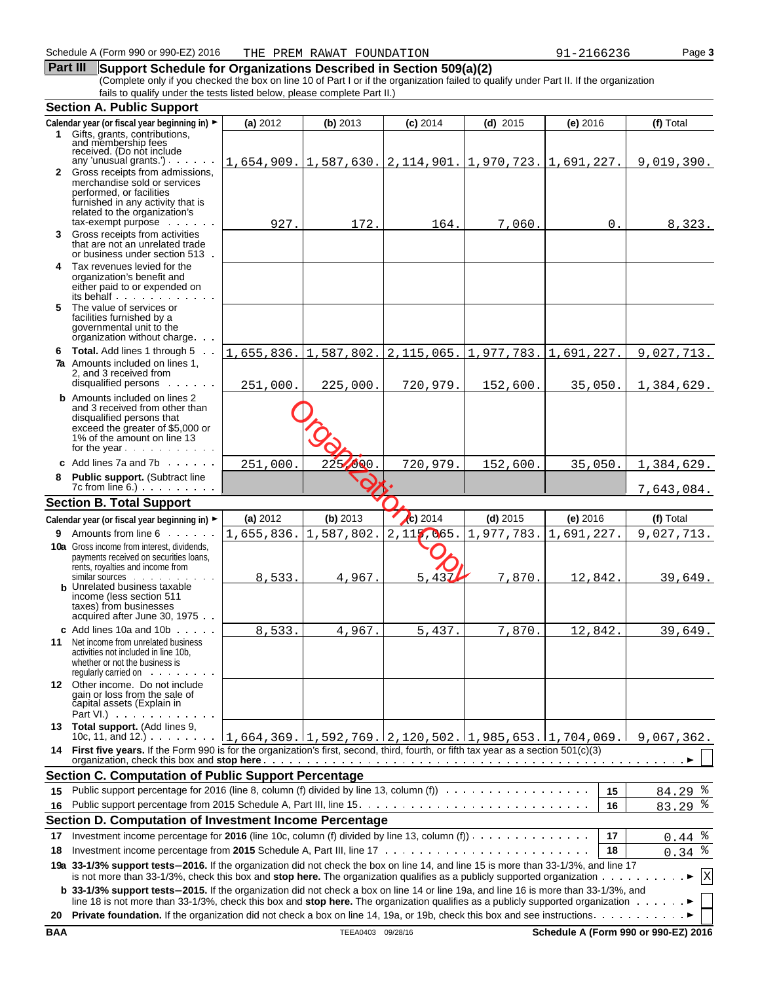# **Part III** Support Schedule for Organizations Described in Section 509(a)(2)

(Complete only if you checked the box on line 10 of Part I or if the organization failed to qualify under Part II. If the organization fails to qualify under the tests listed below, please complete Part II.)

|      | <b>Section A. Public Support</b>                                                                                                                                                                                                          |            |            |                                                        |            |            |             |
|------|-------------------------------------------------------------------------------------------------------------------------------------------------------------------------------------------------------------------------------------------|------------|------------|--------------------------------------------------------|------------|------------|-------------|
|      | Calendar year (or fiscal year beginning in) ►                                                                                                                                                                                             | (a) 2012   | (b) 2013   | $(c)$ 2014                                             | $(d)$ 2015 | $(e)$ 2016 | (f) Total   |
|      | 1 Gifts, grants, contributions,                                                                                                                                                                                                           |            |            |                                                        |            |            |             |
|      | and membership fees<br>received. (Do not include                                                                                                                                                                                          |            |            |                                                        |            |            |             |
|      | any 'unusual grants.') $\ldots$<br>2 Gross receipts from admissions,                                                                                                                                                                      |            |            | 1,654,909. 1,587,630. 2,114,901. 1,970,723. 1,691,227. |            |            | 9,019,390.  |
|      | merchandise sold or services                                                                                                                                                                                                              |            |            |                                                        |            |            |             |
|      | performed, or facilities                                                                                                                                                                                                                  |            |            |                                                        |            |            |             |
|      | furnished in any activity that is<br>related to the organization's                                                                                                                                                                        |            |            |                                                        |            |            |             |
|      | $tax$ -exempt purpose $\ldots$                                                                                                                                                                                                            | 927.       | 172        | 164.                                                   | 7,060.     | 0.         | 8,323.      |
| 3    | Gross receipts from activities                                                                                                                                                                                                            |            |            |                                                        |            |            |             |
|      | that are not an unrelated trade<br>or business under section 513.                                                                                                                                                                         |            |            |                                                        |            |            |             |
|      | 4 Tax revenues levied for the                                                                                                                                                                                                             |            |            |                                                        |            |            |             |
|      | organization's benefit and                                                                                                                                                                                                                |            |            |                                                        |            |            |             |
|      | either paid to or expended on<br>its behalf                                                                                                                                                                                               |            |            |                                                        |            |            |             |
|      | 5 The value of services or                                                                                                                                                                                                                |            |            |                                                        |            |            |             |
|      | facilities furnished by a                                                                                                                                                                                                                 |            |            |                                                        |            |            |             |
|      | governmental unit to the<br>organization without charge.                                                                                                                                                                                  |            |            |                                                        |            |            |             |
|      | 6 Total. Add lines 1 through 5                                                                                                                                                                                                            | 1,655,836. | 1,587,802. | 2, 115, 065.                                           | 1,977,783. |            |             |
|      | <b>7a</b> Amounts included on lines 1,                                                                                                                                                                                                    |            |            |                                                        |            | 1,691,227. | 9,027,713.  |
|      | 2, and 3 received from                                                                                                                                                                                                                    |            |            |                                                        |            |            |             |
|      | disqualified persons                                                                                                                                                                                                                      | 251,000.   | 225,000    | 720,979.                                               | 152,600.   | 35,050.    | 1,384,629.  |
|      | <b>b</b> Amounts included on lines 2<br>and 3 received from other than                                                                                                                                                                    |            |            |                                                        |            |            |             |
|      | disqualified persons that                                                                                                                                                                                                                 |            |            |                                                        |            |            |             |
|      | exceed the greater of \$5,000 or                                                                                                                                                                                                          |            |            |                                                        |            |            |             |
|      | 1% of the amount on line 13<br>for the year                                                                                                                                                                                               |            |            |                                                        |            |            |             |
|      | c Add lines $7a$ and $7b$ $\cdots$ $\cdots$                                                                                                                                                                                               | 251,000    | 225/000    | 720,979                                                | 152,600    | 35,050     | 1,384,629.  |
| 8    | Public support. (Subtract line                                                                                                                                                                                                            |            |            |                                                        |            |            |             |
|      | $7c$ from line 6.) $\ldots$ $\ldots$ $\ldots$                                                                                                                                                                                             |            |            |                                                        |            |            | 7,643,084.  |
|      | <b>Section B. Total Support</b>                                                                                                                                                                                                           |            |            |                                                        |            |            |             |
|      | Calendar year (or fiscal year beginning in) ►                                                                                                                                                                                             | (a) 2012   | (b) 2013   | $\sqrt{c}$ ) 2014                                      | $(d)$ 2015 | (e) 2016   | (f) Total   |
| 9    | Amounts from line 6                                                                                                                                                                                                                       | 1,655,836. | 1,587,802. | 2,115,065.                                             | 1,977,783. | 1,691,227. | 9,027,713.  |
|      | <b>10a</b> Gross income from interest, dividends,                                                                                                                                                                                         |            |            |                                                        |            |            |             |
|      | payments received on securities loans,                                                                                                                                                                                                    |            |            |                                                        |            |            |             |
|      | rents, royalties and income from<br>similar sources                                                                                                                                                                                       | 8,533      | 4,967.     | 5.432                                                  | 7,870.     | 12,842.    | 39,649.     |
|      | <b>b</b> Unrelated business taxable                                                                                                                                                                                                       |            |            |                                                        |            |            |             |
|      | income (less section 511<br>taxes) from businesses                                                                                                                                                                                        |            |            |                                                        |            |            |             |
|      | acquired after June 30, 1975.                                                                                                                                                                                                             |            |            |                                                        |            |            |             |
|      | c Add lines 10a and 10b $\cdots$                                                                                                                                                                                                          | 8,533.     | 4,967.     | 5,437.                                                 | 7,870.     | 12,842.    | 39,649.     |
|      | <b>11</b> Net income from unrelated business                                                                                                                                                                                              |            |            |                                                        |            |            |             |
|      | activities not included in line 10b,<br>whether or not the business is                                                                                                                                                                    |            |            |                                                        |            |            |             |
|      | regularly carried on                                                                                                                                                                                                                      |            |            |                                                        |            |            |             |
|      | 12 Other income. Do not include                                                                                                                                                                                                           |            |            |                                                        |            |            |             |
|      | gain or loss from the sale of<br>capital assets (Explain in                                                                                                                                                                               |            |            |                                                        |            |            |             |
|      | Part VI.) $\cdots$                                                                                                                                                                                                                        |            |            |                                                        |            |            |             |
|      | 13 Total support. (Add lines 9,                                                                                                                                                                                                           |            |            |                                                        |            |            |             |
|      | 10c, 11, and 12.) $\ldots$ 1., 664, 369. 1, 592, 769. 2, 120, 502. 11, 985, 653. 11, 704, 069. 1<br>14 First five years. If the Form 990 is for the organization's first, second, third, fourth, or fifth tax year as a section 501(c)(3) |            |            |                                                        |            |            | 9,067,362.  |
|      |                                                                                                                                                                                                                                           |            |            |                                                        |            |            |             |
|      | <b>Section C. Computation of Public Support Percentage</b>                                                                                                                                                                                |            |            |                                                        |            |            |             |
| 15   | Public support percentage for 2016 (line 8, column (f) divided by line 13, column (f))                                                                                                                                                    |            |            |                                                        |            | 15         | $84.29$ $8$ |
| 16   |                                                                                                                                                                                                                                           |            |            |                                                        |            | 16         | $83.29$ $%$ |
|      | Section D. Computation of Investment Income Percentage                                                                                                                                                                                    |            |            |                                                        |            |            |             |
| 17   | Investment income percentage for 2016 (line 10c, column (f) divided by line 13, column (f) $\dots \dots \dots \dots$                                                                                                                      |            |            |                                                        |            | 17         | $0.44$ $8$  |
| 18   |                                                                                                                                                                                                                                           |            |            |                                                        |            | 18         | ႜ<br>0.34   |
|      | 19a 33-1/3% support tests-2016. If the organization did not check the box on line 14, and line 15 is more than 33-1/3%, and line 17                                                                                                       |            |            |                                                        |            |            |             |
|      | is not more than 33-1/3%, check this box and stop here. The organization qualifies as a publicly supported organization                                                                                                                   |            |            |                                                        |            |            | X           |
|      | b 33-1/3% support tests-2015. If the organization did not check a box on line 14 or line 19a, and line 16 is more than 33-1/3%, and                                                                                                       |            |            |                                                        |            |            |             |
|      | line 18 is not more than 33-1/3%, check this box and stop here. The organization qualifies as a publicly supported organization $\dots \dots$                                                                                             |            |            |                                                        |            |            |             |
| 20 - |                                                                                                                                                                                                                                           |            |            |                                                        |            |            |             |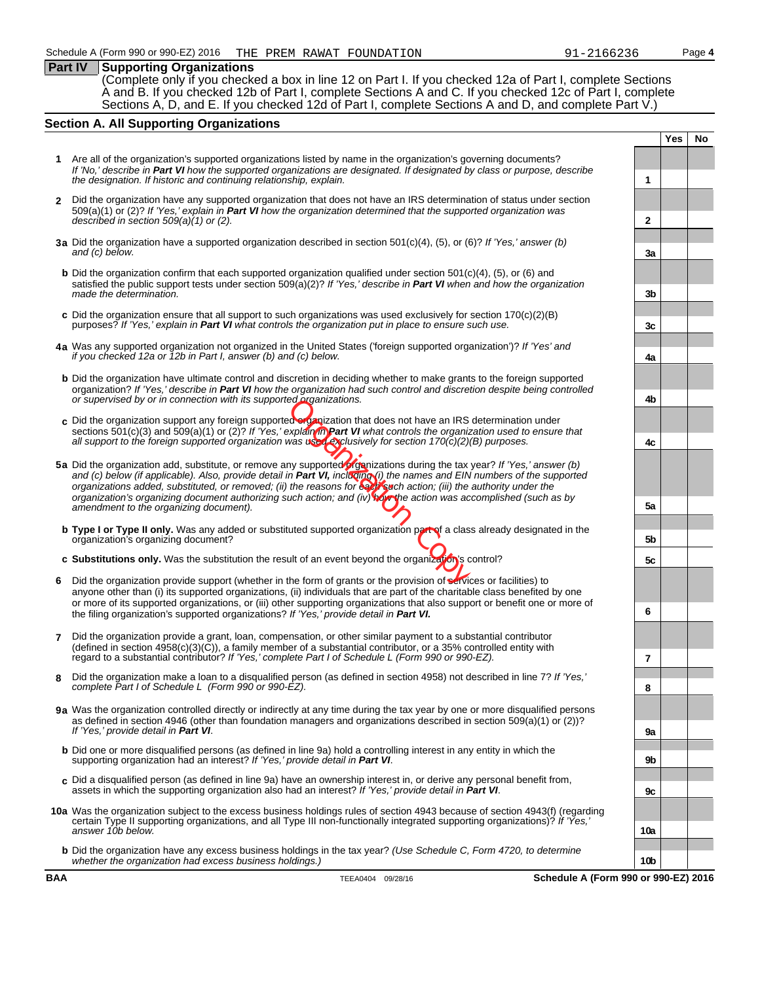#### **Part IV Supporting Organizations**

(Complete only if you checked a box in line 12 on Part I. If you checked 12a of Part I, complete Sections A and B. If you checked 12b of Part I, complete Sections A and C. If you checked 12c of Part I, complete Sections A, D, and E. If you checked 12d of Part I, complete Sections A and D, and complete Part V.)

#### **Section A. All Supporting Organizations**

- **1** Are all of the organization's supported organizations listed by name in the organization's governing documents? *If 'No,' describe in Part VI how the supported organizations are designated. If designated by class or purpose, describe the designation. If historic and continuing relationship, explain.* **1 2** Did the organization have any supported organization that does not have an IRS determination of status under section 509(a)(1) or (2)? *If 'Yes,' explain in Part VI how the organization determined that the supported organization was*
- *described in section 509(a)(1) or (2).* **2 a3** Did the organization have a supported organization described in section 501(c)(4), (5), or (6)? *If 'Yes,' answer (b) and (c) below.* **3a**
- **b** Did the organization confirm that each supported organization qualified under section 501(c)(4), (5), or (6) and satisfied the public support tests under section 509(a)(2)? *If 'Yes,' describe in Part VI when and how the organization made the determination.* **3b 3b**
- **c** Did the organization ensure that all support to such organizations was used exclusively for section 170(c)(2)(B) purposes? *If 'Yes,' explain in Part VI* what controls the organization put in place to ensure such use.
- **a4** Was any supported organization not organized in the United States ('foreign supported organization')? *If 'Yes' and if you checked 12a or 12b in Part I, answer (b) and (c) below.* **a4**
- **b** Did the organization have ultimate control and discretion in deciding whether to make grants to the foreign supported organization? *If 'Yes,' describe in Part VI how the organization had such control and discretion despite being controlled or supervised by or in connection with its supported organizations.* **4b**
- **c** Did the organization support any foreign supported organization that does not have an IRS determination under sections 501(c)(3) and 509(a)(1) or (2)? *If 'Yes,' explain in Part VI what controls the organization used to ensure that all support to the foreign supported organization was used exclusively for section 170(c)(2)(B) purposes.* **4c**
- 5a Did the organization add, substitute, or remove any supported *o*rganizations during the tax year? *If 'Yes,' answer (b) and (c) below (if applicable). Also, provide detail in Part VI, including (i) the names and EIN numbers of the supported organizations added, substituted, or removed; (ii) the reasons for each such action; (iii) the authority under the organization's organizing document authorizing such action; and (iv) how the action was accomplished (such as by* amendment to the organizing document). **Assumed to the organizing document** (see the organizing document). ed organizations.<br>
Subsetigation that does not have an IRS<br>
Explain (m) Part VI what controls the organization<br>
was used exclusively for section 170(c)(2)<br>
my supported organizations during the tax<br>
the reasons for  $\frac{G}{G$
- **b Type I or Type II only.** Was any added or substituted supported organization part of a class already designated in the organization's organizing document? **b5**
- **c Substitutions only.** Was the substitution the result of an event beyond the organization's control? **c5**
- **6** Did the organization provide support (whether in the form of grants or the provision of services or facilities) to anyone other than (i) its supported organizations, (ii) individuals that are part of the charitable class benefited by one or more of its supported organizations, or (iii) other supporting organizations that also support or benefit one or more of the filing organization's supported organizations? *If 'Yes,' provide detail in Part VI.* **6**
- **7** Did the organization provide a grant, loan, compensation, or other similar payment to a substantial contributor (defined in section  $4958(c)(3)(\tilde{C})$ ), a family member of a substantial contributor, or a 35% controlled entity with regard to a substantial contributor? *If 'Yes,' complete Part I of Schedule L (Form 990 or 990-EZ).* **7**
- **8** Did the organization make a loan to a disqualified person (as defined in section 4958) not described in line 7? *If 'Yes,' complete Part I of Schedule L (Form 990 or 990-EZ).* **8**
- 9a Was the organization controlled directly or indirectly at any time during the tax year by one or more disqualified persons as defined in section 4946 (other than foundation managers and organizations described in section 509(a)(1) or (2))? *If 'Yes,' provide detail in Part VI*. **a**
- **b** Did one or more disqualified persons (as defined in line 9a) hold a controlling interest in any entity in which the supporting organization had an interest? *If 'Yes,' provide detail in Part VI*. **b9**
- **c** Did a disqualified person (as defined in line 9a) have an ownership interest in, or derive any personal benefit from, assets in which the supporting organization also had an interest? *If 'Yes,' provide detail in Part VI*. **c9**
- **10a** Was the organization subject to the excess business holdings rules of section 4943 because of section 4943(f) (regarding certain Type II supporting organizations, and all Type III non-functionally integrated supporting organizations)? *If 'Yes,' answer 10b below.* **10a**
	- **b** Did the organization have any excess business holdings in the tax year? *(Use Schedule C, Form 4720, to determine whether the organization had excess business holdings.)* **10b**

**Yes No**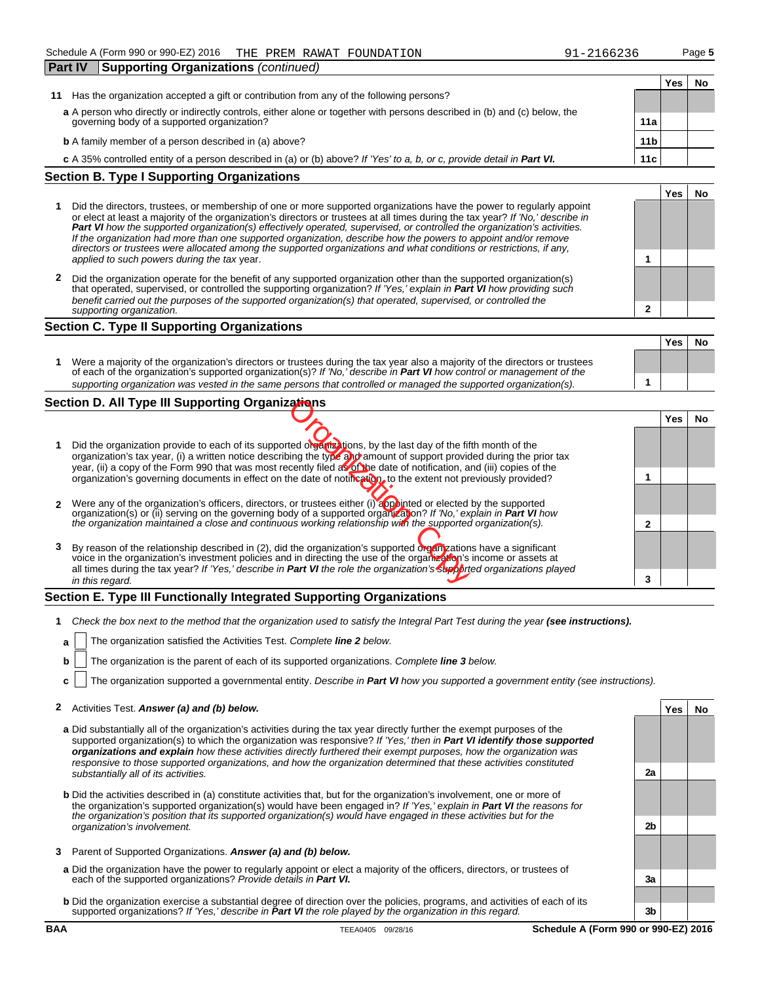| <b>Part IV</b> | <b>Supporting Organizations (continued)</b>                                                                               |                 |     |    |
|----------------|---------------------------------------------------------------------------------------------------------------------------|-----------------|-----|----|
|                |                                                                                                                           |                 | Yes | Nο |
| 11             | Has the organization accepted a gift or contribution from any of the following persons?                                   |                 |     |    |
|                | a A person who directly or indirectly controls, either alone or together with persons described in (b) and (c) below, the |                 |     |    |
|                | governing body of a supported organization?                                                                               | 11a             |     |    |
|                | <b>b</b> A family member of a person described in (a) above?                                                              | 11 <sub>b</sub> |     |    |
|                | c A 35% controlled entity of a person described in (a) or (b) above? If 'Yes' to a, b, or c, provide detail in Part VI.   | 11c             |     |    |
|                | Section R. Tyne I Supporting Organizations                                                                                |                 |     |    |

#### **Section B. Type I Supporting Organizations**

- **1** Did the directors, trustees, or membership of one or more supported organizations have the power to regularly appoint or elect at least a majority of the organization's directors or trustees at all times during the tax year? *If 'No,' describe in Part VI how the supported organization(s) effectively operated, supervised, or controlled the organization's activities. If the organization had more than one supported organization, describe how the powers to appoint and/or remove directors or trustees were allocated among the supported organizations and what conditions or restrictions, if any, applied to such powers during the tax* year. **1**
- **2** Did the organization operate for the benefit of any supported organization other than the supported organization(s) that operated, supervised, or controlled the supporting organization? *If 'Yes,' explain in Part VI how providing such benefit carried out the purposes of the supported organization(s) that operated, supervised, or controlled the supporting organization.* **2**

#### **Section C. Type II Supporting Organizations**

|                                                                                                                                                                                                                                                               | Yes | No |
|---------------------------------------------------------------------------------------------------------------------------------------------------------------------------------------------------------------------------------------------------------------|-----|----|
| Were a majority of the organization's directors or trustees during the tax year also a majority of the directors or trustees<br>of each of the organization's supported organization(s)? If 'No,' describe in <b>Part VI</b> how control or management of the |     |    |
| supporting organization was vested in the same persons that controlled or managed the supported organization(s).                                                                                                                                              |     |    |

#### **Section D. All Type III Supporting Organizations**

| Section D. All Type III Supporting Organizations                                                                                                                                                                                                                                                                                                                          |  |     |    |  |  |  |  |
|---------------------------------------------------------------------------------------------------------------------------------------------------------------------------------------------------------------------------------------------------------------------------------------------------------------------------------------------------------------------------|--|-----|----|--|--|--|--|
|                                                                                                                                                                                                                                                                                                                                                                           |  | Yes | No |  |  |  |  |
| Did the organization provide to each of its supported organizations, by the last day of the fifth month of the<br>organization's tax year, (i) a written notice describing the type and amount of support provided during the prior tax<br>year, (ii) a copy of the Form 990 that was most recently filed as of the date of notification, and (iii) copies of the         |  |     |    |  |  |  |  |
| organization's governing documents in effect on the date of notification, to the extent not previously provided?                                                                                                                                                                                                                                                          |  |     |    |  |  |  |  |
| Were any of the organization's officers, directors, or trustees either (i) appointed or elected by the supported<br>organization(s) or (ii) serving on the governing body of a supported organization? If 'No,' explain in Part VI how                                                                                                                                    |  |     |    |  |  |  |  |
| the organization maintained a close and continuous working relationship with the supported organization(s).                                                                                                                                                                                                                                                               |  |     |    |  |  |  |  |
| By reason of the relationship described in (2), did the organization's supported organizations have a significant<br>voice in the organization's investment policies and in directing the use of the organization's income or assets at<br>all times during the tax year? If 'Yes,' describe in <b>Part VI</b> the role the organization's supported organizations played |  |     |    |  |  |  |  |
| in this regard.                                                                                                                                                                                                                                                                                                                                                           |  |     |    |  |  |  |  |

#### **Section E. Type III Functionally Integrated Supporting Organizations**

- **1** Check the box next to the method that the organization used to satisfy the Integral Part Test during the year (see instructions).
	- **a** The organization satisfied the Activities Test. Complete **line 2** below.
	- **b** The organization is the parent of each of its supported organizations. *Complete line 3 below.*
	- **c** The organization supported a governmental entity. *Describe in Part VI how you supported a government entity (see instructions).*

#### **2** Activities Test. *Answer (a) and (b) below.* **Yes No Yes No**

- **a** Did substantially all of the organization's activities during the tax year directly further the exempt purposes of the supported organization(s) to which the organization was responsive? *If 'Yes,' then in Part VI identify those supported organizations and explain how these activities directly furthered their exempt purposes, how the organization was responsive to those supported organizations, and how the organization determined that these activities constituted substantially all of its activities.* **a2**
- **b** Did the activities described in (a) constitute activities that, but for the organization's involvement, one or more of the organization's supported organization(s) would have been engaged in? *If 'Yes,' explain in Part VI the reasons for the organization's position that its supported organization(s) would have engaged in these activities but for the organization's involvement.* **b2**
- **3** Parent of Supported Organizations. *Answer (a) and (b) below.*
- **a** Did the organization have the power to regularly appoint or elect a majority of the officers, directors, or trustees of each of the supported organizations? *Provide details in Part VI.* **a3**
- **b** Did the organization exercise a substantial degree of direction over the policies, programs, and activities of each of its supported organizations? *If 'Yes,' describe in Part VI the role played by the organization in this regard.* **3b**

**Yes No**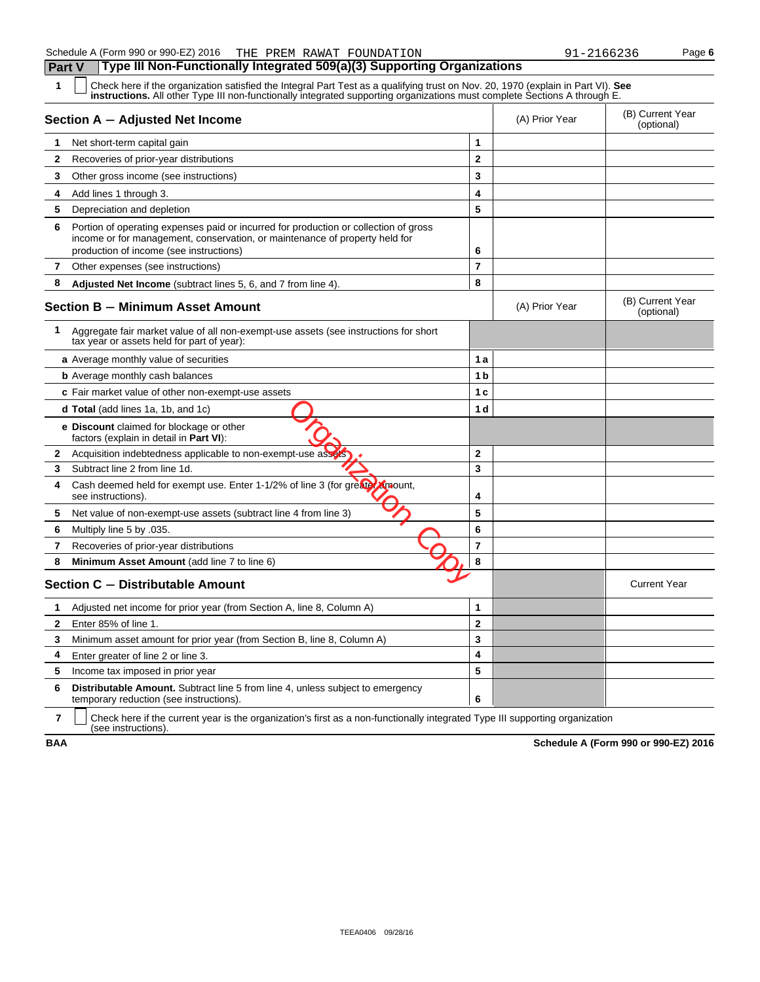| 1            | Check here if the organization satisfied the Integral Part Test as a qualifying trust on Nov. 20, 1970 (explain in Part VI). See<br>instructions. All other Type III non-functionally integrated supporting organizations must complete Sections A through E. |                |                |                                |
|--------------|---------------------------------------------------------------------------------------------------------------------------------------------------------------------------------------------------------------------------------------------------------------|----------------|----------------|--------------------------------|
|              | Section A - Adjusted Net Income                                                                                                                                                                                                                               |                | (A) Prior Year | (B) Current Year<br>(optional) |
| 1.           | Net short-term capital gain                                                                                                                                                                                                                                   | 1              |                |                                |
| $\mathbf{2}$ | Recoveries of prior-year distributions                                                                                                                                                                                                                        | $\mathbf{2}$   |                |                                |
| 3            | Other gross income (see instructions)                                                                                                                                                                                                                         | 3              |                |                                |
| 4            | Add lines 1 through 3.                                                                                                                                                                                                                                        | 4              |                |                                |
| 5            | Depreciation and depletion                                                                                                                                                                                                                                    | 5              |                |                                |
| 6            | Portion of operating expenses paid or incurred for production or collection of gross<br>income or for management, conservation, or maintenance of property held for<br>production of income (see instructions)                                                | 6              |                |                                |
| $\mathbf{7}$ | Other expenses (see instructions)                                                                                                                                                                                                                             | $\overline{7}$ |                |                                |
| 8            | Adjusted Net Income (subtract lines 5, 6, and 7 from line 4).                                                                                                                                                                                                 | 8              |                |                                |
|              | <b>Section B - Minimum Asset Amount</b>                                                                                                                                                                                                                       |                | (A) Prior Year | (B) Current Year<br>(optional) |
| 1            | Aggregate fair market value of all non-exempt-use assets (see instructions for short<br>tax year or assets held for part of year):                                                                                                                            |                |                |                                |
|              | a Average monthly value of securities                                                                                                                                                                                                                         | 1a             |                |                                |
|              | <b>b</b> Average monthly cash balances                                                                                                                                                                                                                        | 1 <sub>b</sub> |                |                                |
|              | c Fair market value of other non-exempt-use assets                                                                                                                                                                                                            | 1 <sub>c</sub> |                |                                |
|              | d Total (add lines 1a, 1b, and 1c)                                                                                                                                                                                                                            | 1 <sub>d</sub> |                |                                |
|              | e Discount claimed for blockage or other<br>factors (explain in detail in Part VI):                                                                                                                                                                           |                |                |                                |
|              | 2 Acquisition indebtedness applicable to non-exempt-use assets                                                                                                                                                                                                | $\overline{2}$ |                |                                |
| 3            | Subtract line 2 from line 1d.                                                                                                                                                                                                                                 | 3              |                |                                |
| 4            | Cash deemed held for exempt use. Enter 1-1/2% of line 3 (for greater amount,<br>see instructions).                                                                                                                                                            | 4              |                |                                |
| 5            | Net value of non-exempt-use assets (subtract line 4 from line 3)                                                                                                                                                                                              | 5              |                |                                |
| 6            | Multiply line 5 by .035.                                                                                                                                                                                                                                      | 6              |                |                                |
| 7            | Recoveries of prior-year distributions                                                                                                                                                                                                                        | $\overline{7}$ |                |                                |
| 8            | Minimum Asset Amount (add line 7 to line 6)                                                                                                                                                                                                                   | 8              |                |                                |
|              | Section C – Distributable Amount                                                                                                                                                                                                                              |                |                | <b>Current Year</b>            |
| 1            | Adjusted net income for prior year (from Section A, line 8, Column A)                                                                                                                                                                                         | 1              |                |                                |
| $\mathbf{2}$ | Enter 85% of line 1.                                                                                                                                                                                                                                          | $\overline{2}$ |                |                                |
| 3            | Minimum asset amount for prior year (from Section B, line 8, Column A)                                                                                                                                                                                        | 3              |                |                                |
| 4            | Enter greater of line 2 or line 3.                                                                                                                                                                                                                            | 4              |                |                                |
| 5            | Income tax imposed in prior year                                                                                                                                                                                                                              | 5              |                |                                |
| 6            | <b>Distributable Amount.</b> Subtract line 5 from line 4, unless subject to emergency<br>temporary reduction (see instructions).                                                                                                                              | 6              |                |                                |
|              |                                                                                                                                                                                                                                                               |                |                |                                |

**7** | Check here if the current year is the organization's first as a non-functionally integrated Type III supporting organization (see instructions).

**BAA Schedule A (Form 990 or 990-EZ) 2016**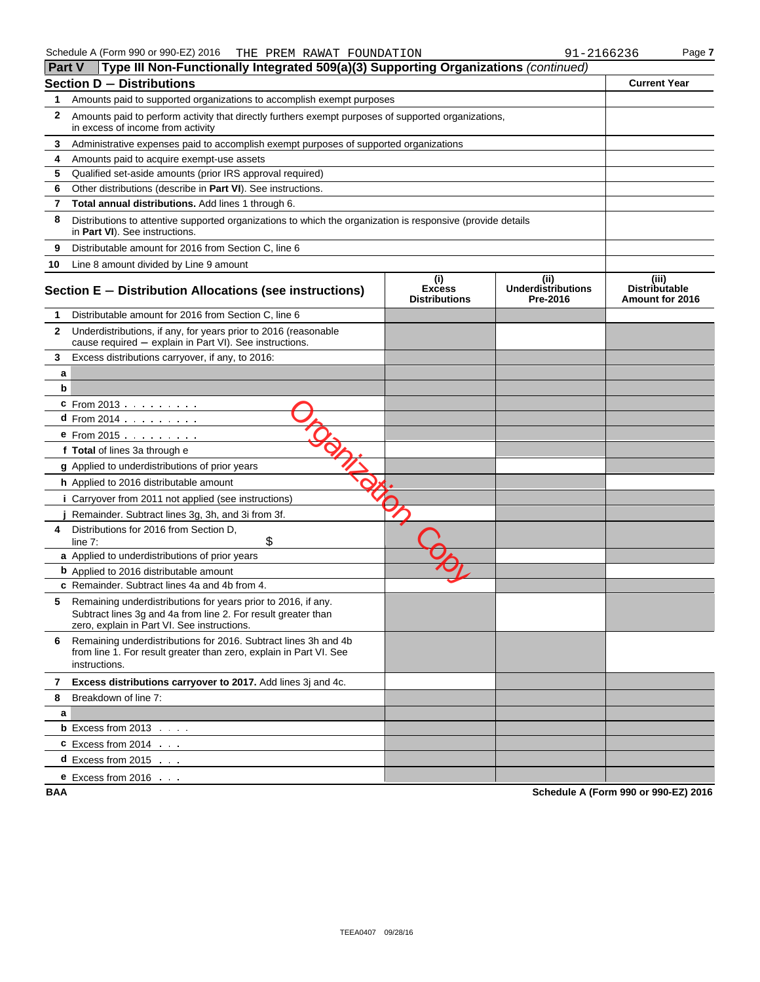| <b>Part V</b> | Type III Non-Functionally Integrated 509(a)(3) Supporting Organizations (continued)                                                                                           |                                                       |                                               |                                                  |  |  |  |  |
|---------------|-------------------------------------------------------------------------------------------------------------------------------------------------------------------------------|-------------------------------------------------------|-----------------------------------------------|--------------------------------------------------|--|--|--|--|
|               | <b>Section D - Distributions</b>                                                                                                                                              |                                                       |                                               | <b>Current Year</b>                              |  |  |  |  |
| 1             | Amounts paid to supported organizations to accomplish exempt purposes                                                                                                         |                                                       |                                               |                                                  |  |  |  |  |
| 2             | Amounts paid to perform activity that directly furthers exempt purposes of supported organizations,<br>in excess of income from activity                                      |                                                       |                                               |                                                  |  |  |  |  |
| 3             | Administrative expenses paid to accomplish exempt purposes of supported organizations                                                                                         |                                                       |                                               |                                                  |  |  |  |  |
| 4             | Amounts paid to acquire exempt-use assets                                                                                                                                     |                                                       |                                               |                                                  |  |  |  |  |
| 5             | Qualified set-aside amounts (prior IRS approval required)                                                                                                                     |                                                       |                                               |                                                  |  |  |  |  |
| 6             | Other distributions (describe in Part VI). See instructions.                                                                                                                  |                                                       |                                               |                                                  |  |  |  |  |
| 7             | Total annual distributions. Add lines 1 through 6.                                                                                                                            |                                                       |                                               |                                                  |  |  |  |  |
| 8             | Distributions to attentive supported organizations to which the organization is responsive (provide details<br>in Part VI). See instructions.                                 |                                                       |                                               |                                                  |  |  |  |  |
| 9             | Distributable amount for 2016 from Section C, line 6                                                                                                                          |                                                       |                                               |                                                  |  |  |  |  |
| 10            | Line 8 amount divided by Line 9 amount                                                                                                                                        |                                                       |                                               |                                                  |  |  |  |  |
|               | Section E - Distribution Allocations (see instructions)                                                                                                                       | $\mathbf{u}$<br><b>Excess</b><br><b>Distributions</b> | (ii)<br><b>Underdistributions</b><br>Pre-2016 | (iii)<br><b>Distributable</b><br>Amount for 2016 |  |  |  |  |
| 1             | Distributable amount for 2016 from Section C, line 6                                                                                                                          |                                                       |                                               |                                                  |  |  |  |  |
| $\mathbf{2}$  | Underdistributions, if any, for years prior to 2016 (reasonable<br>cause required - explain in Part VI). See instructions.                                                    |                                                       |                                               |                                                  |  |  |  |  |
| 3             | Excess distributions carryover, if any, to 2016:                                                                                                                              |                                                       |                                               |                                                  |  |  |  |  |
| a             |                                                                                                                                                                               |                                                       |                                               |                                                  |  |  |  |  |
| b             |                                                                                                                                                                               |                                                       |                                               |                                                  |  |  |  |  |
|               | <b>c</b> From 2013                                                                                                                                                            |                                                       |                                               |                                                  |  |  |  |  |
|               | d From 2014                                                                                                                                                                   |                                                       |                                               |                                                  |  |  |  |  |
|               | $e$ From 2015 $\ldots$                                                                                                                                                        |                                                       |                                               |                                                  |  |  |  |  |
|               | f Total of lines 3a through e                                                                                                                                                 |                                                       |                                               |                                                  |  |  |  |  |
|               | <b>g</b> Applied to underdistributions of prior years                                                                                                                         |                                                       |                                               |                                                  |  |  |  |  |
|               | h Applied to 2016 distributable amount                                                                                                                                        |                                                       |                                               |                                                  |  |  |  |  |
|               | <i>i</i> Carryover from 2011 not applied (see instructions)                                                                                                                   |                                                       |                                               |                                                  |  |  |  |  |
|               | Remainder. Subtract lines 3g, 3h, and 3i from 3f.                                                                                                                             |                                                       |                                               |                                                  |  |  |  |  |
| 4             | Distributions for 2016 from Section D,<br>line $7:$<br>\$                                                                                                                     |                                                       |                                               |                                                  |  |  |  |  |
|               | a Applied to underdistributions of prior years                                                                                                                                |                                                       |                                               |                                                  |  |  |  |  |
|               | <b>b</b> Applied to 2016 distributable amount                                                                                                                                 |                                                       |                                               |                                                  |  |  |  |  |
|               | c Remainder. Subtract lines 4a and 4b from 4.                                                                                                                                 |                                                       |                                               |                                                  |  |  |  |  |
| 5             | Remaining underdistributions for years prior to 2016, if any.<br>Subtract lines 3g and 4a from line 2. For result greater than<br>zero, explain in Part VI. See instructions. |                                                       |                                               |                                                  |  |  |  |  |
| 6             | Remaining underdistributions for 2016. Subtract lines 3h and 4b<br>from line 1. For result greater than zero, explain in Part VI. See<br>instructions.                        |                                                       |                                               |                                                  |  |  |  |  |
| $\mathbf{7}$  | Excess distributions carryover to 2017. Add lines 3j and 4c.                                                                                                                  |                                                       |                                               |                                                  |  |  |  |  |
| 8             | Breakdown of line 7:                                                                                                                                                          |                                                       |                                               |                                                  |  |  |  |  |
| a             |                                                                                                                                                                               |                                                       |                                               |                                                  |  |  |  |  |
|               | <b>b</b> Excess from $2013$ $\ldots$                                                                                                                                          |                                                       |                                               |                                                  |  |  |  |  |
|               | $C$ Excess from 2014 $\ldots$                                                                                                                                                 |                                                       |                                               |                                                  |  |  |  |  |
|               | <b>d</b> Excess from 2015 $\ldots$                                                                                                                                            |                                                       |                                               |                                                  |  |  |  |  |
|               | <b>e</b> Excess from 2016 $\ldots$                                                                                                                                            |                                                       |                                               |                                                  |  |  |  |  |

**BAA Schedule A (Form 990 or 990-EZ) 2016**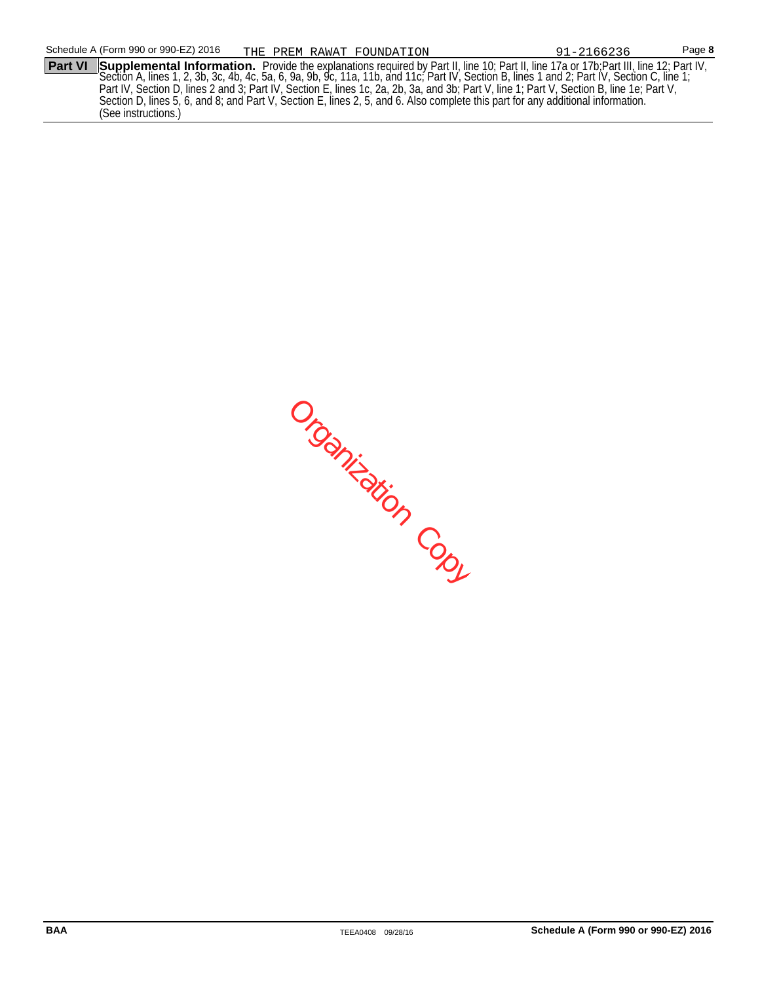**Part VI Supplemental Information.** Provide the explanations required by Part II, line 10; Part II, line 17a or 17b;Part III, line 12; Part IV, Section A, lines 1, 2, 3b, 3c, 4b, 4c, 5a, 6, 9a, 9b, 9c, 11a, 11b, and 11c; Part IV, Section B, lines 1 and 2; Part IV, Section C, line 1; Part IV, Section D, lines 2 and 3; Part IV, Section E, lines 1c, 2a, 2b, 3a, and 3b; Part V, line 1; Part V, Section B, line 1e; Part V, Section D, lines 5, 6, and 8; and Part V, Section E, lines 2, 5, and 6. Also complete this part for any additional information. (See instructions.)

Organization Copy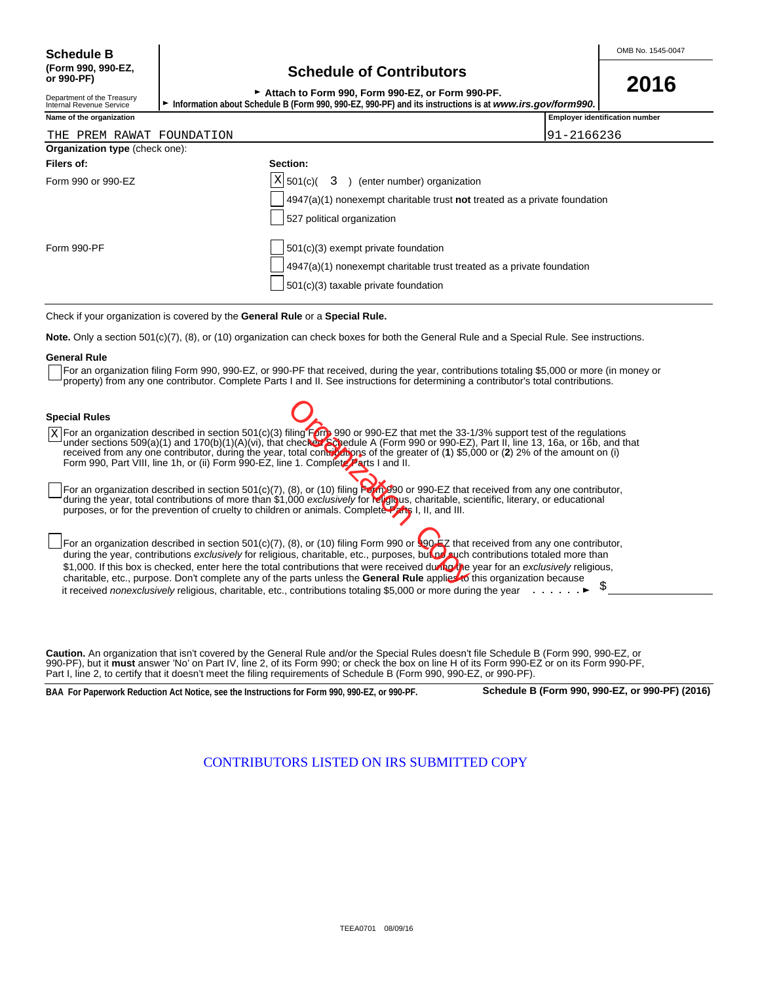Department of the Treasury<br>Internal Revenue Service

# **(Form 990, 990-EZ, Schedule of Contributors or 990-PF)**

| OUNUMUD OF OUNING TO                                                                               | 2016 |
|----------------------------------------------------------------------------------------------------|------|
| Attach to Form 990, Form 990-EZ, or Form 990-PF.                                                   |      |
| estion about Cabedule D (Form 000,000 F7,000 DF) and its instructions is at unusu ins max/form000. |      |

Information about Schedule B (Form 990, 990-EZ, 990-PF) and its instructions is at *www.irs.gov/form990.* 

| Name of the organization              |                                                                                                                                                                     | <b>Employer identification number</b> |
|---------------------------------------|---------------------------------------------------------------------------------------------------------------------------------------------------------------------|---------------------------------------|
| THE PREM RAWAT FOUNDATION             |                                                                                                                                                                     | 91-2166236                            |
| <b>Organization type (check one):</b> |                                                                                                                                                                     |                                       |
| Filers of:                            | Section:                                                                                                                                                            |                                       |
| Form 990 or 990-EZ                    | $X$ 501(c)(<br>3 ) (enter number) organization<br>$ 4947(a)(1)$ nonexempt charitable trust <b>not</b> treated as a private foundation<br>527 political organization |                                       |
| Form 990-PF                           | $\vert$ 501(c)(3) exempt private foundation<br>4947(a)(1) nonexempt charitable trust treated as a private foundation                                                |                                       |

Check if your organization is covered by the **General Rule** or a **Special Rule.**

**Note.** Only a section 501(c)(7), (8), or (10) organization can check boxes for both the General Rule and a Special Rule. See instructions.

#### **General Rule**

For an organization filing Form 990, 990-EZ, or 990-PF that received, during the year, contributions totaling \$5,000 or more (in money or property) from any one contributor. Complete Parts I and II. See instructions for determining a contributor's total contributions.

501(c)(3) taxable private foundation

| <b>Special Rules</b>                                                                                                                                                                                                                                                                                                                                                                                                                                                                                                                                                                                                                                          |
|---------------------------------------------------------------------------------------------------------------------------------------------------------------------------------------------------------------------------------------------------------------------------------------------------------------------------------------------------------------------------------------------------------------------------------------------------------------------------------------------------------------------------------------------------------------------------------------------------------------------------------------------------------------|
| $\vert X \vert$ For an organization described in section 501(c)(3) filing Form 990 or 990-EZ that met the 33-1/3% support test of the regulations<br>under sections 509(a)(1) and 170(b)(1)(A)(vi), that checked Schedule A (Form 990 or 990-EZ), Part II, line 13, 16a, or 16b, and that<br>received from any one contributor, during the year, total contributions of the greater of (1) \$5,000 or (2) 2% of the amount on (i)<br>Form 990, Part VIII, line 1h, or (ii) Form 990-EZ, line 1. Complete Parts I and II.                                                                                                                                      |
| For an organization described in section 501(c)(7), (8), or (10) filing Form 990 FZ that received from any one contributor,<br>during the year, total contributions of more than \$1,000 exclusively for feirgious, charitable, scientific, literary, or educational<br>purposes, or for the prevention of cruelty to children or animals. Complete Parts I, II, and III.                                                                                                                                                                                                                                                                                     |
| For an organization described in section 501(c)(7), (8), or (10) filing Form 990 or 990-EZ that received from any one contributor,<br>during the year, contributions exclusively for religious, charitable, etc., purposes, but posuch contributions totaled more than<br>\$1,000. If this box is checked, enter here the total contributions that were received during the year for an exclusively religious,<br>charitable, etc., purpose. Don't complete any of the parts unless the General Rule applies to this organization because<br>it received nonexclusively religious, charitable, etc., contributions totaling \$5,000 or more during the year ▶ |

**Caution.** An organization that isn't covered by the General Rule and/or the Special Rules doesn't file Schedule B (Form 990, 990-EZ, or 990-PF), but it **must** answer 'No' on Part IV, line 2, of its Form 990; or check the box on line H of its Form 990-EZ or on its Form 990-PF, Part I, line 2, to certify that it doesn't meet the filing requirements of Schedule B (Form 990, 990-EZ, or 990-PF).

**BAA For Paperwork Reduction Act Notice, see the Instructions for Form 990, 990-EZ, or 990-PF. Schedule B (Form 990, 990-EZ, or 990-PF) (2016)**

CONTRIBUTORS LISTED ON IRS SUBMITTED COPY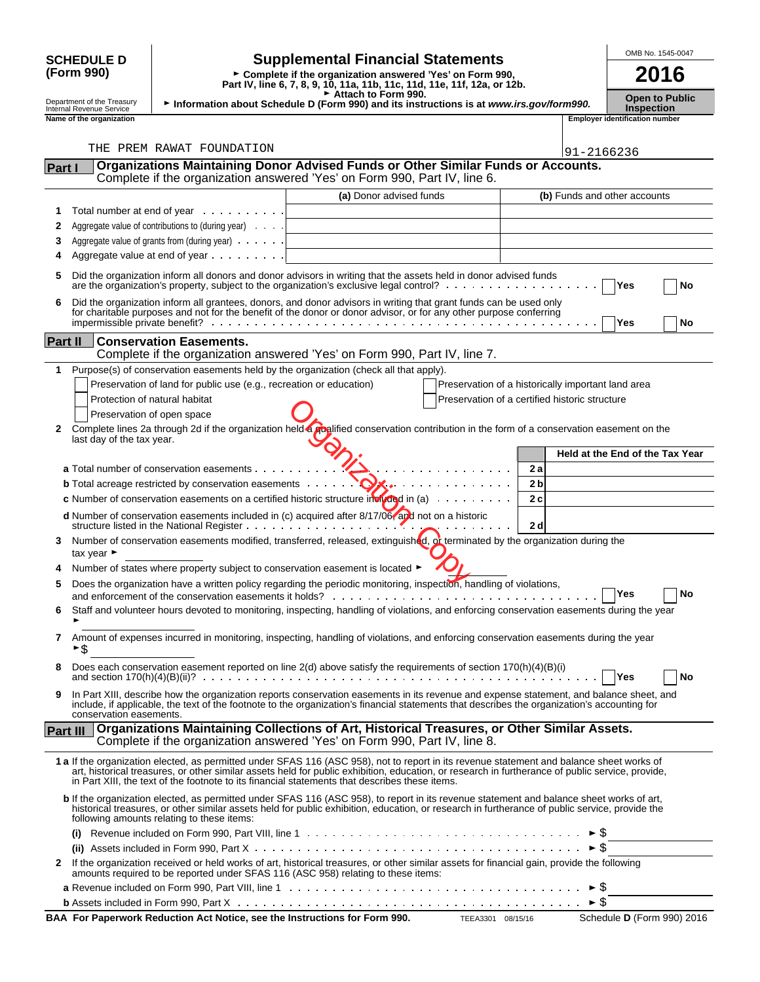| <b>SCHEDULE D</b><br>(Form 990) |                                                        |                                                                                                                                                                                    | OMB No. 1545-0047                                                                                                                                                                                                                                                                                                                                                                               |                                                    |                |                                   |                                            |
|---------------------------------|--------------------------------------------------------|------------------------------------------------------------------------------------------------------------------------------------------------------------------------------------|-------------------------------------------------------------------------------------------------------------------------------------------------------------------------------------------------------------------------------------------------------------------------------------------------------------------------------------------------------------------------------------------------|----------------------------------------------------|----------------|-----------------------------------|--------------------------------------------|
|                                 |                                                        | <b>Supplemental Financial Statements</b><br>► Complete if the organization answered 'Yes' on Form 990,<br>Part IV, line 6, 7, 8, 9, 10, 11a, 11b, 11c, 11d, 11e, 11f, 12a, or 12b. |                                                                                                                                                                                                                                                                                                                                                                                                 |                                                    |                |                                   | 2016                                       |
|                                 | Department of the Treasury<br>Internal Revenue Service |                                                                                                                                                                                    | Attach to Form 990.<br>Information about Schedule D (Form 990) and its instructions is at www.irs.gov/form990.                                                                                                                                                                                                                                                                                  |                                                    |                |                                   | <b>Open to Public</b><br><b>Inspection</b> |
|                                 | Name of the organization                               |                                                                                                                                                                                    |                                                                                                                                                                                                                                                                                                                                                                                                 |                                                    |                |                                   | <b>Employer identification number</b>      |
|                                 |                                                        |                                                                                                                                                                                    |                                                                                                                                                                                                                                                                                                                                                                                                 |                                                    |                |                                   |                                            |
|                                 |                                                        | THE PREM RAWAT FOUNDATION                                                                                                                                                          | Organizations Maintaining Donor Advised Funds or Other Similar Funds or Accounts.                                                                                                                                                                                                                                                                                                               |                                                    |                | 91-2166236                        |                                            |
| Part I                          |                                                        |                                                                                                                                                                                    | Complete if the organization answered 'Yes' on Form 990, Part IV, line 6.                                                                                                                                                                                                                                                                                                                       |                                                    |                |                                   |                                            |
|                                 |                                                        |                                                                                                                                                                                    | (a) Donor advised funds                                                                                                                                                                                                                                                                                                                                                                         |                                                    |                |                                   | (b) Funds and other accounts               |
| 1.<br>2                         |                                                        | Total number at end of year<br>Aggregate value of contributions to (during year)                                                                                                   |                                                                                                                                                                                                                                                                                                                                                                                                 |                                                    |                |                                   |                                            |
| 3                               |                                                        | Aggregate value of grants from (during year)                                                                                                                                       |                                                                                                                                                                                                                                                                                                                                                                                                 |                                                    |                |                                   |                                            |
|                                 |                                                        | Aggregate value at end of year                                                                                                                                                     |                                                                                                                                                                                                                                                                                                                                                                                                 |                                                    |                |                                   |                                            |
| 5                               |                                                        |                                                                                                                                                                                    | Did the organization inform all donors and donor advisors in writing that the assets held in donor advised funds<br>are the organization's property, subject to the organization's exclusive legal control? $\ldots \ldots \ldots \ldots \ldots$                                                                                                                                                |                                                    |                |                                   | Yes<br>No                                  |
| 6                               |                                                        |                                                                                                                                                                                    | Did the organization inform all grantees, donors, and donor advisors in writing that grant funds can be used only<br>for charitable purposes and not for the benefit of the donor or donor advisor, or for any other purpose conferring                                                                                                                                                         |                                                    |                |                                   |                                            |
|                                 |                                                        |                                                                                                                                                                                    |                                                                                                                                                                                                                                                                                                                                                                                                 |                                                    |                |                                   | Yes<br>No                                  |
| Part II                         |                                                        | <b>Conservation Easements.</b>                                                                                                                                                     | Complete if the organization answered 'Yes' on Form 990, Part IV, line 7.                                                                                                                                                                                                                                                                                                                       |                                                    |                |                                   |                                            |
| 1.                              |                                                        |                                                                                                                                                                                    | Purpose(s) of conservation easements held by the organization (check all that apply).                                                                                                                                                                                                                                                                                                           |                                                    |                |                                   |                                            |
|                                 |                                                        | Preservation of land for public use (e.g., recreation or education)                                                                                                                |                                                                                                                                                                                                                                                                                                                                                                                                 | Preservation of a historically important land area |                |                                   |                                            |
|                                 | Protection of natural habitat                          |                                                                                                                                                                                    |                                                                                                                                                                                                                                                                                                                                                                                                 | Preservation of a certified historic structure     |                |                                   |                                            |
|                                 | Preservation of open space                             |                                                                                                                                                                                    |                                                                                                                                                                                                                                                                                                                                                                                                 |                                                    |                |                                   |                                            |
| 2                               | last day of the tax year.                              |                                                                                                                                                                                    | Complete lines 2a through 2d if the organization held a gualified conservation contribution in the form of a conservation easement on the                                                                                                                                                                                                                                                       |                                                    |                |                                   |                                            |
|                                 |                                                        |                                                                                                                                                                                    |                                                                                                                                                                                                                                                                                                                                                                                                 |                                                    |                |                                   | Held at the End of the Tax Year            |
|                                 |                                                        | <b>a</b> Total number of conservation easements                                                                                                                                    |                                                                                                                                                                                                                                                                                                                                                                                                 |                                                    | 2 a            |                                   |                                            |
|                                 |                                                        |                                                                                                                                                                                    | <b>b</b> Total acreage restricted by conservation easements $\ldots$ , $\bigcirc$ x, $\ldots$ ,                                                                                                                                                                                                                                                                                                 |                                                    | 2 <sub>b</sub> |                                   |                                            |
|                                 |                                                        |                                                                                                                                                                                    | <b>c</b> Number of conservation easements on a certified historic structure in $f(x)$ and $f(x)$                                                                                                                                                                                                                                                                                                |                                                    | 2c             |                                   |                                            |
|                                 |                                                        | structure listed in the National Register                                                                                                                                          | d Number of conservation easements included in (c) acquired after 8/17/06, and not on a historic                                                                                                                                                                                                                                                                                                |                                                    | 2 d            |                                   |                                            |
| 3                               | tax year $\blacktriangleright$                         |                                                                                                                                                                                    | Number of conservation easements modified, transferred, released, extinguished, or terminated by the organization during the                                                                                                                                                                                                                                                                    |                                                    |                |                                   |                                            |
|                                 |                                                        |                                                                                                                                                                                    | Number of states where property subject to conservation easement is located ▶                                                                                                                                                                                                                                                                                                                   |                                                    |                |                                   |                                            |
| 5                               |                                                        |                                                                                                                                                                                    | Does the organization have a written policy regarding the periodic monitoring, inspection, handling of violations,                                                                                                                                                                                                                                                                              |                                                    |                |                                   | Yes<br>No                                  |
| 6                               |                                                        |                                                                                                                                                                                    | Staff and volunteer hours devoted to monitoring, inspecting, handling of violations, and enforcing conservation easements during the year                                                                                                                                                                                                                                                       |                                                    |                |                                   |                                            |
| 7                               | ►\$                                                    |                                                                                                                                                                                    | Amount of expenses incurred in monitoring, inspecting, handling of violations, and enforcing conservation easements during the year                                                                                                                                                                                                                                                             |                                                    |                |                                   |                                            |
| 8                               |                                                        |                                                                                                                                                                                    | Does each conservation easement reported on line $2(d)$ above satisfy the requirements of section $170(h)(4)(B)(i)$                                                                                                                                                                                                                                                                             |                                                    |                |                                   | <b>No</b><br>Yes                           |
| 9                               | conservation easements.                                |                                                                                                                                                                                    | In Part XIII, describe how the organization reports conservation easements in its revenue and expense statement, and balance sheet, and<br>include, if applicable, the text of the footnote to the organization's financial statements that describes the organization's accounting for                                                                                                         |                                                    |                |                                   |                                            |
|                                 |                                                        |                                                                                                                                                                                    | Part III   Organizations Maintaining Collections of Art, Historical Treasures, or Other Similar Assets.<br>Complete if the organization answered 'Yes' on Form 990, Part IV, line 8.                                                                                                                                                                                                            |                                                    |                |                                   |                                            |
|                                 |                                                        |                                                                                                                                                                                    | 1 a If the organization elected, as permitted under SFAS 116 (ASC 958), not to report in its revenue statement and balance sheet works of<br>art, historical treasures, or other similar assets held for public exhibition, education, or research in furtherance of public service, provide,<br>in Part XIII, the text of the footnote to its financial statements that describes these items. |                                                    |                |                                   |                                            |
|                                 |                                                        | following amounts relating to these items:                                                                                                                                         | b If the organization elected, as permitted under SFAS 116 (ASC 958), to report in its revenue statement and balance sheet works of art,<br>historical treasures, or other similar assets held for public exhibition, education, or research in furtherance of public service, provide the                                                                                                      |                                                    |                |                                   |                                            |
|                                 |                                                        |                                                                                                                                                                                    |                                                                                                                                                                                                                                                                                                                                                                                                 |                                                    |                | $\triangleright$ $\triangleright$ |                                            |
|                                 |                                                        |                                                                                                                                                                                    |                                                                                                                                                                                                                                                                                                                                                                                                 |                                                    |                | ► \$                              |                                            |
| 2                               |                                                        |                                                                                                                                                                                    | If the organization received or held works of art, historical treasures, or other similar assets for financial gain, provide the following<br>amounts required to be reported under SFAS 116 (ASC 958) relating to these items:                                                                                                                                                                 |                                                    |                |                                   |                                            |
|                                 |                                                        |                                                                                                                                                                                    |                                                                                                                                                                                                                                                                                                                                                                                                 |                                                    |                | $\blacktriangleright$ $\Im$       |                                            |

| BAA For Paperwork Reduction Act Notice, see the Instructions for Form 990. | TEEA3301 08/15/16 | Schedule <b>D</b> (Form 990) 2016 |
|----------------------------------------------------------------------------|-------------------|-----------------------------------|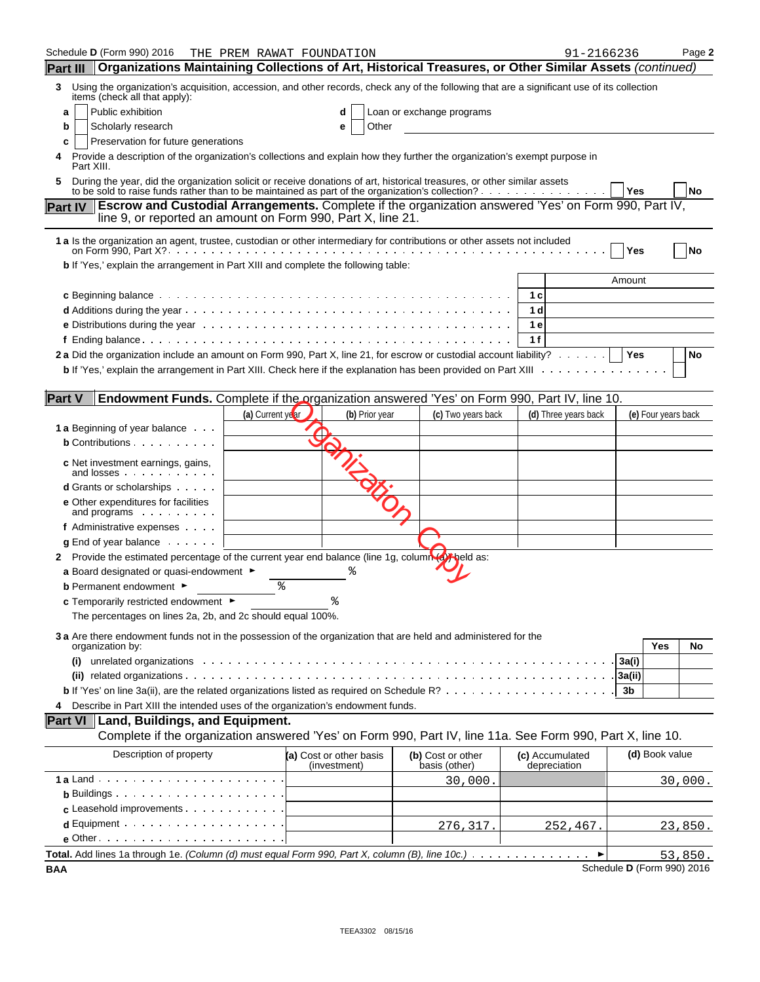| Schedule D (Form 990) 2016                                                                                                                                                                                                           | THE PREM RAWAT FOUNDATION |                                         |                                    | 91-2166236                      | Page 2                     |
|--------------------------------------------------------------------------------------------------------------------------------------------------------------------------------------------------------------------------------------|---------------------------|-----------------------------------------|------------------------------------|---------------------------------|----------------------------|
| Organizations Maintaining Collections of Art, Historical Treasures, or Other Similar Assets (continued)<br><b>Part III</b>                                                                                                           |                           |                                         |                                    |                                 |                            |
| Using the organization's acquisition, accession, and other records, check any of the following that are a significant use of its collection<br>3<br>items (check all that apply):                                                    |                           |                                         |                                    |                                 |                            |
| Public exhibition<br>a                                                                                                                                                                                                               |                           | d                                       | Loan or exchange programs          |                                 |                            |
| Scholarly research<br>b                                                                                                                                                                                                              |                           | Other<br>е                              |                                    |                                 |                            |
| Preservation for future generations<br>c                                                                                                                                                                                             |                           |                                         |                                    |                                 |                            |
| Provide a description of the organization's collections and explain how they further the organization's exempt purpose in<br>4<br>Part XIII.                                                                                         |                           |                                         |                                    |                                 |                            |
| During the year, did the organization solicit or receive donations of art, historical treasures, or other similar assets<br>5<br>to be sold to raise funds rather than to be maintained as part of the organization's collection?    |                           |                                         |                                    |                                 | <b>No</b><br>Yes           |
| <b>Escrow and Custodial Arrangements.</b> Complete if the organization answered 'Yes' on Form 990, Part IV,<br><b>Part IV</b><br>line 9, or reported an amount on Form 990, Part X, line 21.                                         |                           |                                         |                                    |                                 |                            |
| 1 a Is the organization an agent, trustee, custodian or other intermediary for contributions or other assets not included                                                                                                            |                           |                                         |                                    |                                 | Yes<br>No                  |
| b If 'Yes,' explain the arrangement in Part XIII and complete the following table:                                                                                                                                                   |                           |                                         |                                    |                                 | Amount                     |
| c Beginning balance by a series of the series of the series of the series of the series of the series of the series of the series of the series of the series of the series of the series of the series of the series of the s       |                           |                                         |                                    | 1 c                             |                            |
|                                                                                                                                                                                                                                      |                           |                                         |                                    | 1 d                             |                            |
|                                                                                                                                                                                                                                      |                           |                                         |                                    |                                 |                            |
|                                                                                                                                                                                                                                      |                           |                                         |                                    | 1 e<br>1f                       |                            |
|                                                                                                                                                                                                                                      |                           |                                         |                                    |                                 |                            |
| 2 a Did the organization include an amount on Form 990, Part X, line 21, for escrow or custodial account liability?                                                                                                                  |                           |                                         |                                    |                                 | Yes<br>No                  |
|                                                                                                                                                                                                                                      |                           |                                         |                                    |                                 |                            |
|                                                                                                                                                                                                                                      |                           |                                         |                                    |                                 |                            |
| <b>Part V</b><br><b>Endowment Funds.</b> Complete if the organization answered 'Yes' on Form 990, Part IV, line 10.                                                                                                                  |                           |                                         |                                    |                                 |                            |
|                                                                                                                                                                                                                                      | (a) Current year          | (b) Prior year                          | (c) Two years back                 | (d) Three years back            | (e) Four years back        |
| <b>1 a</b> Beginning of year balance                                                                                                                                                                                                 |                           |                                         |                                    |                                 |                            |
| <b>b</b> Contributions                                                                                                                                                                                                               |                           |                                         |                                    |                                 |                            |
| c Net investment earnings, gains,<br>and losses                                                                                                                                                                                      |                           |                                         |                                    |                                 |                            |
| <b>d</b> Grants or scholarships                                                                                                                                                                                                      |                           |                                         |                                    |                                 |                            |
| e Other expenditures for facilities<br>and programs                                                                                                                                                                                  |                           |                                         |                                    |                                 |                            |
| f Administrative expenses                                                                                                                                                                                                            |                           |                                         |                                    |                                 |                            |
| $g$ End of year balance $\cdots$                                                                                                                                                                                                     |                           |                                         |                                    |                                 |                            |
| Provide the estimated percentage of the current year end balance (line 1g, column (a) held as:<br>2.                                                                                                                                 |                           |                                         |                                    |                                 |                            |
| a Board designated or quasi-endowment $\blacktriangleright$                                                                                                                                                                          |                           |                                         |                                    |                                 |                            |
| <b>b</b> Permanent endowment ►                                                                                                                                                                                                       | ి                         |                                         |                                    |                                 |                            |
| <b>c</b> Temporarily restricted endowment $\blacktriangleright$                                                                                                                                                                      |                           |                                         |                                    |                                 |                            |
| The percentages on lines 2a, 2b, and 2c should equal 100%.                                                                                                                                                                           |                           |                                         |                                    |                                 |                            |
|                                                                                                                                                                                                                                      |                           |                                         |                                    |                                 |                            |
| 3 a Are there endowment funds not in the possession of the organization that are held and administered for the<br>organization by:                                                                                                   |                           |                                         |                                    |                                 | Yes<br>No                  |
| unrelated organizations experience in the control of the control of the control of the control of the control of the control of the control of the control of the control of the control of the control of the control of the<br>(i) |                           |                                         |                                    |                                 | 3a(i)                      |
|                                                                                                                                                                                                                                      |                           |                                         |                                    |                                 | 3a(ii)                     |
|                                                                                                                                                                                                                                      |                           |                                         |                                    |                                 | 3b                         |
|                                                                                                                                                                                                                                      |                           |                                         |                                    |                                 |                            |
| Describe in Part XIII the intended uses of the organization's endowment funds.<br>4                                                                                                                                                  |                           |                                         |                                    |                                 |                            |
| Part VI   Land, Buildings, and Equipment.                                                                                                                                                                                            |                           |                                         |                                    |                                 |                            |
| Complete if the organization answered 'Yes' on Form 990, Part IV, line 11a. See Form 990, Part X, line 10.                                                                                                                           |                           |                                         |                                    |                                 |                            |
| Description of property                                                                                                                                                                                                              |                           | (a) Cost or other basis<br>(investment) | (b) Cost or other<br>basis (other) | (c) Accumulated<br>depreciation | (d) Book value             |
|                                                                                                                                                                                                                                      |                           |                                         | 30,000.                            |                                 | 30,000.                    |
|                                                                                                                                                                                                                                      |                           |                                         |                                    |                                 |                            |
| c Leasehold improvements                                                                                                                                                                                                             |                           |                                         |                                    |                                 |                            |
|                                                                                                                                                                                                                                      |                           |                                         | 276, 317.                          | 252, 467.                       | 23,850.                    |
| $e$ Other $\cdots$ $\cdots$ $\cdots$ $\cdots$ $\cdots$ $\cdots$ $\cdots$ $\cdots$                                                                                                                                                    |                           |                                         |                                    |                                 |                            |
| Total. Add lines 1a through 1e. (Column (d) must equal Form 990, Part X, column (B), line 10c.)                                                                                                                                      |                           |                                         |                                    |                                 | 53,850.                    |
| <b>BAA</b>                                                                                                                                                                                                                           |                           |                                         |                                    |                                 | Schedule D (Form 990) 2016 |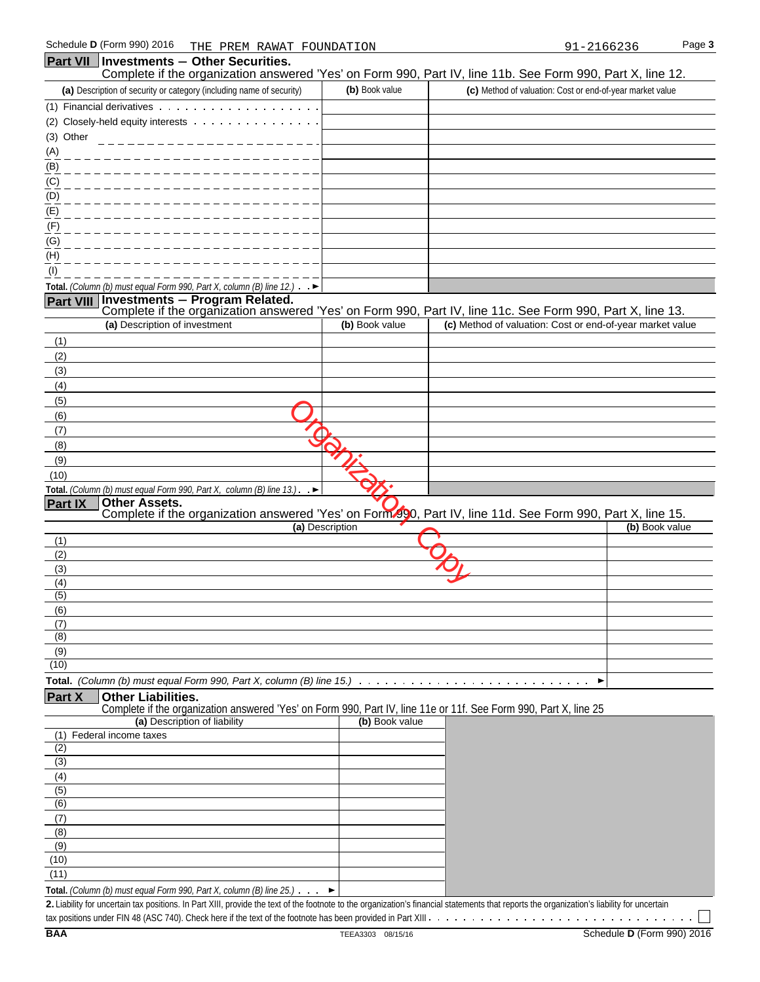|                  | (a) Description of security or category (including name of security)                                                                                | (b) Book value  | (c) Method of valuation: Cost or end-of-year market value |                |  |
|------------------|-----------------------------------------------------------------------------------------------------------------------------------------------------|-----------------|-----------------------------------------------------------|----------------|--|
|                  | (1) Financial derivatives $\overline{\cdots}$                                                                                                       |                 |                                                           |                |  |
|                  | (2) Closely-held equity interests                                                                                                                   |                 |                                                           |                |  |
| (3) Other        |                                                                                                                                                     |                 |                                                           |                |  |
| (A)              |                                                                                                                                                     |                 |                                                           |                |  |
| (B)              |                                                                                                                                                     |                 |                                                           |                |  |
| (C)              |                                                                                                                                                     |                 |                                                           |                |  |
| (D)              |                                                                                                                                                     |                 |                                                           |                |  |
|                  |                                                                                                                                                     |                 |                                                           |                |  |
| (E)              |                                                                                                                                                     |                 |                                                           |                |  |
| (F)              |                                                                                                                                                     |                 |                                                           |                |  |
| (G)              |                                                                                                                                                     |                 |                                                           |                |  |
| (H)              |                                                                                                                                                     |                 |                                                           |                |  |
| (1)              |                                                                                                                                                     |                 |                                                           |                |  |
|                  | Total. (Column (b) must equal Form 990, Part X, column (B) line 12.) $\rightarrow$                                                                  |                 |                                                           |                |  |
| <b>Part VIII</b> | <b>Investments - Program Related.</b><br>Complete if the organization answered 'Yes' on Form 990, Part IV, line 11c. See Form 990, Part X, line 13. |                 |                                                           |                |  |
|                  | (a) Description of investment                                                                                                                       | (b) Book value  | (c) Method of valuation: Cost or end-of-year market value |                |  |
| (1)              |                                                                                                                                                     |                 |                                                           |                |  |
| (2)              |                                                                                                                                                     |                 |                                                           |                |  |
| (3)              |                                                                                                                                                     |                 |                                                           |                |  |
| (4)              |                                                                                                                                                     |                 |                                                           |                |  |
| (5)              |                                                                                                                                                     |                 |                                                           |                |  |
| (6)              |                                                                                                                                                     |                 |                                                           |                |  |
| (7)              |                                                                                                                                                     |                 |                                                           |                |  |
| (8)              |                                                                                                                                                     |                 |                                                           |                |  |
| (9)              |                                                                                                                                                     |                 |                                                           |                |  |
| (10)             |                                                                                                                                                     |                 |                                                           |                |  |
|                  | Total. (Column (b) must equal Form 990, Part X, column (B) line $13$ .). $\blacktriangleright$                                                      |                 |                                                           |                |  |
| Part IX          | <b>Other Assets.</b>                                                                                                                                |                 |                                                           |                |  |
|                  | Complete if the organization answered 'Yes' on Form 990, Part IV, line 11d. See Form 990, Part X, line 15.                                          | (a) Description |                                                           | (b) Book value |  |
| (1)              |                                                                                                                                                     |                 |                                                           |                |  |
| (2)              |                                                                                                                                                     |                 |                                                           |                |  |
| (3)              |                                                                                                                                                     |                 |                                                           |                |  |
| (4)              |                                                                                                                                                     |                 |                                                           |                |  |
| (5)              |                                                                                                                                                     |                 |                                                           |                |  |
| (6)              |                                                                                                                                                     |                 |                                                           |                |  |
| (7)              |                                                                                                                                                     |                 |                                                           |                |  |
| (8)              |                                                                                                                                                     |                 |                                                           |                |  |
| (9)              |                                                                                                                                                     |                 |                                                           |                |  |
| (10)             |                                                                                                                                                     |                 |                                                           |                |  |
|                  |                                                                                                                                                     |                 | ▶                                                         |                |  |
| Part X           | <b>Other Liabilities.</b><br>Complete if the organization answered 'Yes' on Form 990, Part IV, line 11e or 11f. See Form 990, Part X, line 25       |                 |                                                           |                |  |
|                  | (a) Description of liability                                                                                                                        | (b) Book value  |                                                           |                |  |
|                  | (1) Federal income taxes                                                                                                                            |                 |                                                           |                |  |
| (2)              |                                                                                                                                                     |                 |                                                           |                |  |
| (3)              |                                                                                                                                                     |                 |                                                           |                |  |
| (4)              |                                                                                                                                                     |                 |                                                           |                |  |
| (5)              |                                                                                                                                                     |                 |                                                           |                |  |
| (6)              |                                                                                                                                                     |                 |                                                           |                |  |
| (7)              |                                                                                                                                                     |                 |                                                           |                |  |
| (8)              |                                                                                                                                                     |                 |                                                           |                |  |
| (9)              |                                                                                                                                                     |                 |                                                           |                |  |
| (10)             |                                                                                                                                                     |                 |                                                           |                |  |

Total. *(Column (b) must equal Form 990, Part X, column (B) line 25.)*  $\cdot \cdot \cdot$ **2.** Liability for uncertain tax positions. In Part XIII, provide the text of the footnote to the organization's financial statements that reports the organization's liability for uncertain

tax positions under FIN 48 (ASC 740). Check here if the text of the footnote has been provided in Part XIII

(11)

 $\mathbf{I}$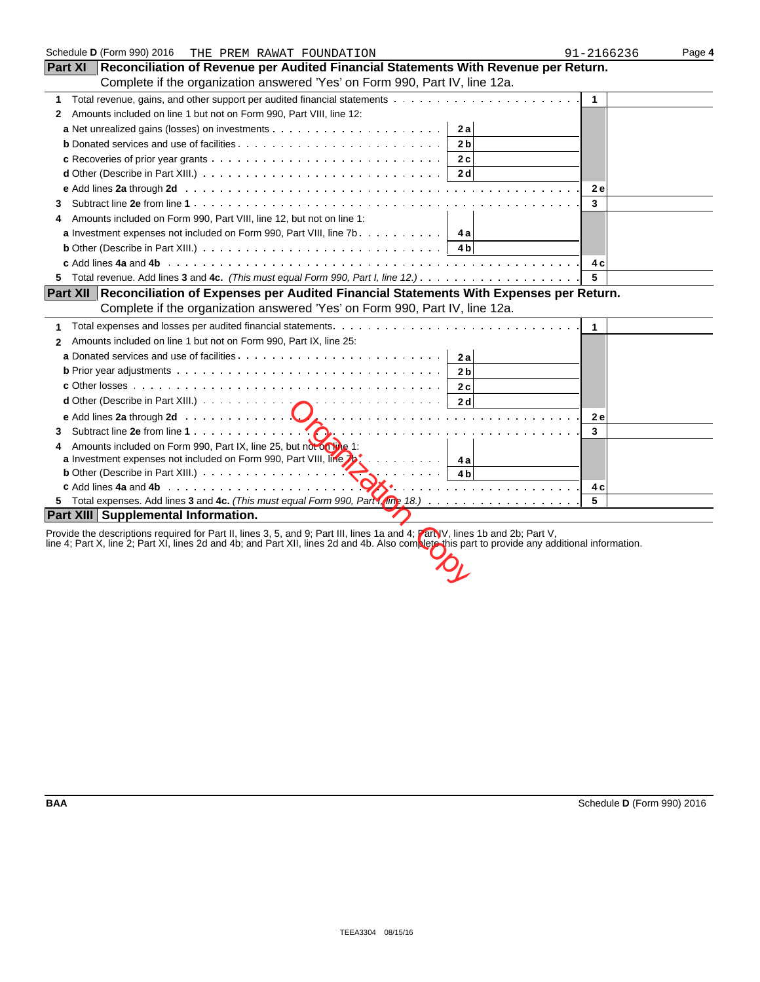| Schedule D (Form 990) 2016<br>THE PREM RAWAT FOUNDATION                                                                                                                                                                                                                          | 91-2166236 | Page 4 |
|----------------------------------------------------------------------------------------------------------------------------------------------------------------------------------------------------------------------------------------------------------------------------------|------------|--------|
| <b>Part XI</b><br>Reconciliation of Revenue per Audited Financial Statements With Revenue per Return.                                                                                                                                                                            |            |        |
| Complete if the organization answered 'Yes' on Form 990, Part IV, line 12a.                                                                                                                                                                                                      |            |        |
| 1                                                                                                                                                                                                                                                                                | 1          |        |
| Amounts included on line 1 but not on Form 990, Part VIII, line 12:<br>$\mathbf{2}$                                                                                                                                                                                              |            |        |
| 2a                                                                                                                                                                                                                                                                               |            |        |
| 2 <sub>b</sub>                                                                                                                                                                                                                                                                   |            |        |
| 2c                                                                                                                                                                                                                                                                               |            |        |
| <b>d</b> Other (Describe in Part XIII.) $\ldots \ldots \ldots \ldots \ldots \ldots \ldots \ldots \ldots \ldots \ldots$<br>2 d                                                                                                                                                    |            |        |
|                                                                                                                                                                                                                                                                                  | 2 e        |        |
| 3                                                                                                                                                                                                                                                                                | 3          |        |
| Amounts included on Form 990, Part VIII, line 12, but not on line 1:<br>4                                                                                                                                                                                                        |            |        |
| <b>a</b> Investment expenses not included on Form 990, Part VIII, line 7b.<br>- 4 a                                                                                                                                                                                              |            |        |
| 4 b                                                                                                                                                                                                                                                                              |            |        |
|                                                                                                                                                                                                                                                                                  | 4 c        |        |
| 5.                                                                                                                                                                                                                                                                               | -5         |        |
| Part XII Reconciliation of Expenses per Audited Financial Statements With Expenses per Return.                                                                                                                                                                                   |            |        |
| Complete if the organization answered 'Yes' on Form 990, Part IV, line 12a.                                                                                                                                                                                                      |            |        |
| Total expenses and losses per audited financial statements<br>1                                                                                                                                                                                                                  | 1          |        |
| Amounts included on line 1 but not on Form 990, Part IX, line 25:<br>$\mathbf{2}$                                                                                                                                                                                                |            |        |
| 2a                                                                                                                                                                                                                                                                               |            |        |
| 2 <sub>b</sub>                                                                                                                                                                                                                                                                   |            |        |
| 2 <sub>c</sub>                                                                                                                                                                                                                                                                   |            |        |
|                                                                                                                                                                                                                                                                                  |            |        |
|                                                                                                                                                                                                                                                                                  | <b>2e</b>  |        |
| Subtract line 2e from line 1 $\dots \dots \dots \dots \dots$                                                                                                                                                                                                                     | 3          |        |
| Amounts included on Form 990, Part IX, line 25, but not on the 1:                                                                                                                                                                                                                |            |        |
| <b>a</b> Investment expenses not included on Form 990, Part VIII, $\lim_{n \to \infty} \frac{1}{n}$ ,<br>- 4 a                                                                                                                                                                   |            |        |
| <b>b</b> Other (Describe in Part XIII.) $\cdots$ $\cdots$ $\cdots$ $\cdots$ $\cdots$ $\cdots$ $\cdots$ $\cdots$ $\cdots$ $\cdots$ $\cdots$ $\cdots$ $\cdots$ $\cdots$ $\cdots$                                                                                                   |            |        |
|                                                                                                                                                                                                                                                                                  | 4 c<br>5   |        |
| <b>Part XIII Supplemental Information.</b>                                                                                                                                                                                                                                       |            |        |
|                                                                                                                                                                                                                                                                                  |            |        |
| Provide the descriptions required for Part II, lines 3, 5, and 9; Part III, lines 1a and 4; Part IV, lines 1b and 2b; Part V,<br>line 4; Part X, line 2; Part XI, lines 2d and 4b; and Part XII, lines 2d and 4b. Also complete this part to provide any additional information. |            |        |
|                                                                                                                                                                                                                                                                                  |            |        |
|                                                                                                                                                                                                                                                                                  |            |        |
|                                                                                                                                                                                                                                                                                  |            |        |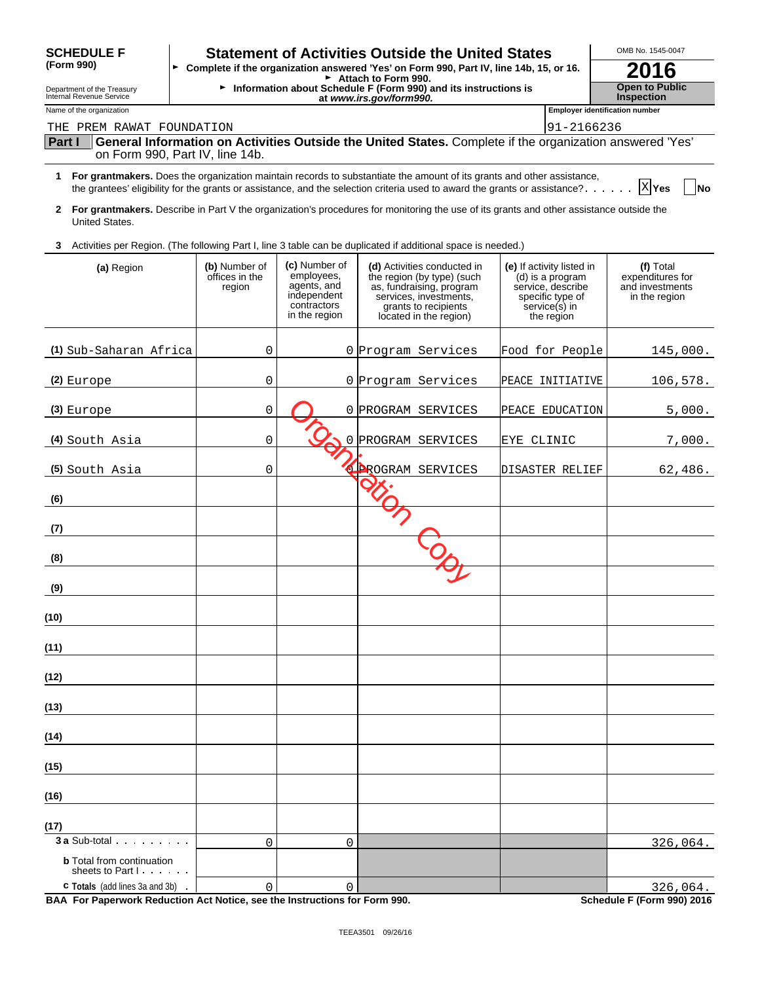| <b>SCHEDULE F</b>                                                             |                                           | OMB No. 1545-0047<br><b>Statement of Activities Outside the United States</b><br>Complete if the organization answered 'Yes' on Form 990, Part IV, line 14b, 15, or 16.<br>2016<br>Attach to Form 990.<br><b>Open to Public</b> |                                                                                                                                                                                                                                                         |                                                                                                                       |                                                                   |  |  |
|-------------------------------------------------------------------------------|-------------------------------------------|---------------------------------------------------------------------------------------------------------------------------------------------------------------------------------------------------------------------------------|---------------------------------------------------------------------------------------------------------------------------------------------------------------------------------------------------------------------------------------------------------|-----------------------------------------------------------------------------------------------------------------------|-------------------------------------------------------------------|--|--|
| (Form 990)                                                                    |                                           |                                                                                                                                                                                                                                 |                                                                                                                                                                                                                                                         |                                                                                                                       |                                                                   |  |  |
| Department of the Treasury<br>Internal Revenue Service                        |                                           | Information about Schedule F (Form 990) and its instructions is<br>at www.irs.gov/form990.                                                                                                                                      |                                                                                                                                                                                                                                                         |                                                                                                                       |                                                                   |  |  |
| Name of the organization                                                      |                                           |                                                                                                                                                                                                                                 |                                                                                                                                                                                                                                                         |                                                                                                                       | <b>Employer identification number</b>                             |  |  |
| THE PREM RAWAT FOUNDATION<br>Part I                                           |                                           |                                                                                                                                                                                                                                 | General Information on Activities Outside the United States. Complete if the organization answered 'Yes'                                                                                                                                                | 91-2166236                                                                                                            |                                                                   |  |  |
|                                                                               | on Form 990, Part IV, line 14b.           |                                                                                                                                                                                                                                 |                                                                                                                                                                                                                                                         |                                                                                                                       |                                                                   |  |  |
|                                                                               |                                           |                                                                                                                                                                                                                                 | 1 For grantmakers. Does the organization maintain records to substantiate the amount of its grants and other assistance,<br>the grantees' eligibility for the grants or assistance, and the selection criteria used to award the grants or assistance?. |                                                                                                                       | X Yes<br><b>No</b>                                                |  |  |
| United States.                                                                |                                           |                                                                                                                                                                                                                                 | 2 For grantmakers. Describe in Part V the organization's procedures for monitoring the use of its grants and other assistance outside the                                                                                                               |                                                                                                                       |                                                                   |  |  |
| 3.                                                                            |                                           |                                                                                                                                                                                                                                 | Activities per Region. (The following Part I, line 3 table can be duplicated if additional space is needed.)                                                                                                                                            |                                                                                                                       |                                                                   |  |  |
| (a) Region                                                                    | (b) Number of<br>offices in the<br>region | (c) Number of<br>employees,<br>agents, and<br>independent<br>contractors<br>in the region                                                                                                                                       | (d) Activities conducted in<br>the region (by type) (such<br>as, fundraising, program<br>services, investments,<br>grants to recipients<br>located in the region)                                                                                       | (e) If activity listed in<br>(d) is a program<br>service, describe<br>specific type of<br>service(s) in<br>the region | (f) Total<br>expenditures for<br>and investments<br>in the region |  |  |
| (1) Sub-Saharan Africa                                                        | 0                                         |                                                                                                                                                                                                                                 | 0 Program Services                                                                                                                                                                                                                                      | Food for People                                                                                                       | 145,000.                                                          |  |  |
| $(2)$ Europe                                                                  | 0                                         |                                                                                                                                                                                                                                 | 0 Program Services                                                                                                                                                                                                                                      | PEACE INITIATIVE                                                                                                      | 106,578.                                                          |  |  |
| $(3)$ Europe                                                                  | 0                                         | 0                                                                                                                                                                                                                               | PROGRAM SERVICES                                                                                                                                                                                                                                        | PEACE EDUCATION                                                                                                       | 5,000.                                                            |  |  |
| (4) South Asia                                                                | 0                                         | $\Omega$                                                                                                                                                                                                                        | PROGRAM SERVICES                                                                                                                                                                                                                                        | EYE CLINIC                                                                                                            | 7,000.                                                            |  |  |
| (5) South Asia                                                                | 0                                         |                                                                                                                                                                                                                                 | PROGRAM SERVICES                                                                                                                                                                                                                                        | DISASTER RELIEF                                                                                                       | 62,486.                                                           |  |  |
| (6)                                                                           |                                           |                                                                                                                                                                                                                                 |                                                                                                                                                                                                                                                         |                                                                                                                       |                                                                   |  |  |
| (7)                                                                           |                                           |                                                                                                                                                                                                                                 |                                                                                                                                                                                                                                                         |                                                                                                                       |                                                                   |  |  |
| (8)                                                                           |                                           |                                                                                                                                                                                                                                 |                                                                                                                                                                                                                                                         |                                                                                                                       |                                                                   |  |  |
| (9)                                                                           |                                           |                                                                                                                                                                                                                                 |                                                                                                                                                                                                                                                         |                                                                                                                       |                                                                   |  |  |
| (10)                                                                          |                                           |                                                                                                                                                                                                                                 |                                                                                                                                                                                                                                                         |                                                                                                                       |                                                                   |  |  |
| (11)                                                                          |                                           |                                                                                                                                                                                                                                 |                                                                                                                                                                                                                                                         |                                                                                                                       |                                                                   |  |  |
| (12)                                                                          |                                           |                                                                                                                                                                                                                                 |                                                                                                                                                                                                                                                         |                                                                                                                       |                                                                   |  |  |
| (13)                                                                          |                                           |                                                                                                                                                                                                                                 |                                                                                                                                                                                                                                                         |                                                                                                                       |                                                                   |  |  |
| (14)                                                                          |                                           |                                                                                                                                                                                                                                 |                                                                                                                                                                                                                                                         |                                                                                                                       |                                                                   |  |  |
| (15)                                                                          |                                           |                                                                                                                                                                                                                                 |                                                                                                                                                                                                                                                         |                                                                                                                       |                                                                   |  |  |
| (16)                                                                          |                                           |                                                                                                                                                                                                                                 |                                                                                                                                                                                                                                                         |                                                                                                                       |                                                                   |  |  |
| (17)                                                                          |                                           |                                                                                                                                                                                                                                 |                                                                                                                                                                                                                                                         |                                                                                                                       |                                                                   |  |  |
| <b>3 a</b> Sub-total<br><b>b</b> Total from continuation<br>sheets to Part I. | 0                                         | 0                                                                                                                                                                                                                               |                                                                                                                                                                                                                                                         |                                                                                                                       | 326,064.                                                          |  |  |
| <b>c</b> Totals (add lines 3a and 3b) .                                       | $\mathbf 0$                               | $\mathbf 0$                                                                                                                                                                                                                     |                                                                                                                                                                                                                                                         |                                                                                                                       | 326,064.                                                          |  |  |

**BAA For Paperwork Reduction Act Notice, see the Instructions for Form 990. Schedule F (Form 990) 2016**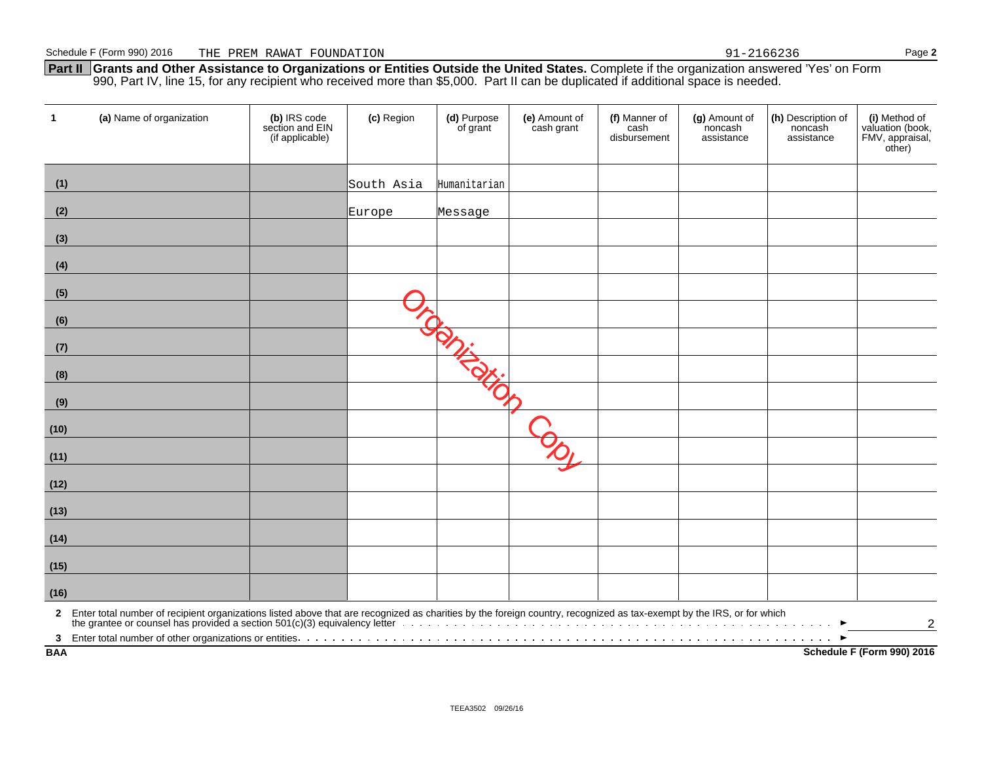**Part II Grants and Other Assistance to Organizations or Entities Outside the United States.** Complete if the organization answered 'Yes' on Form 990, Part IV, line 15, for any recipient who received more than \$5,000. Part II can be duplicated if additional space is needed.

| $\mathbf 1$                | (a) Name of organization                                                                                                                                                                                                      | (b) IRS code<br>section and EIN<br>(if applicable) | (c) Region | (d) Purpose<br>of grant | (e) Amount of<br>cash grant | (f) Manner of<br>cash<br>disbursement | (g) Amount of<br>noncash<br>assistance | (h) Description of<br>noncash<br>assistance | (i) Method of<br>valuation (book,<br>FMV, appraisal,<br>other) |
|----------------------------|-------------------------------------------------------------------------------------------------------------------------------------------------------------------------------------------------------------------------------|----------------------------------------------------|------------|-------------------------|-----------------------------|---------------------------------------|----------------------------------------|---------------------------------------------|----------------------------------------------------------------|
| (1)                        |                                                                                                                                                                                                                               |                                                    | South Asia | Humanitarian            |                             |                                       |                                        |                                             |                                                                |
| (2)                        |                                                                                                                                                                                                                               |                                                    | Europe     | Message                 |                             |                                       |                                        |                                             |                                                                |
| (3)                        |                                                                                                                                                                                                                               |                                                    |            |                         |                             |                                       |                                        |                                             |                                                                |
| (4)                        |                                                                                                                                                                                                                               |                                                    |            |                         |                             |                                       |                                        |                                             |                                                                |
| (5)                        |                                                                                                                                                                                                                               |                                                    |            |                         |                             |                                       |                                        |                                             |                                                                |
| (6)                        |                                                                                                                                                                                                                               |                                                    |            |                         |                             |                                       |                                        |                                             |                                                                |
| (7)                        |                                                                                                                                                                                                                               |                                                    |            |                         |                             |                                       |                                        |                                             |                                                                |
| (8)                        |                                                                                                                                                                                                                               |                                                    |            |                         |                             |                                       |                                        |                                             |                                                                |
| (9)                        |                                                                                                                                                                                                                               |                                                    |            |                         |                             |                                       |                                        |                                             |                                                                |
| (10)                       |                                                                                                                                                                                                                               |                                                    |            |                         |                             |                                       |                                        |                                             |                                                                |
| (11)                       |                                                                                                                                                                                                                               |                                                    |            |                         |                             |                                       |                                        |                                             |                                                                |
| (12)                       |                                                                                                                                                                                                                               |                                                    |            |                         |                             |                                       |                                        |                                             |                                                                |
| (13)                       |                                                                                                                                                                                                                               |                                                    |            |                         |                             |                                       |                                        |                                             |                                                                |
| (14)                       |                                                                                                                                                                                                                               |                                                    |            |                         |                             |                                       |                                        |                                             |                                                                |
| (15)                       |                                                                                                                                                                                                                               |                                                    |            |                         |                             |                                       |                                        |                                             |                                                                |
| (16)                       |                                                                                                                                                                                                                               |                                                    |            |                         |                             |                                       |                                        |                                             |                                                                |
|                            | 2 Enter total number of recipient organizations listed above that are recognized as charities by the foreign country, recognized as tax-exempt by the IRS, or for which the grantee or counsel has provided a section 501(c)( |                                                    |            |                         |                             |                                       |                                        |                                             | $\sqrt{2}$                                                     |
| $\mathbf{3}$<br><b>BAA</b> |                                                                                                                                                                                                                               |                                                    |            |                         |                             |                                       |                                        |                                             | Schedule F (Form 990) 2016                                     |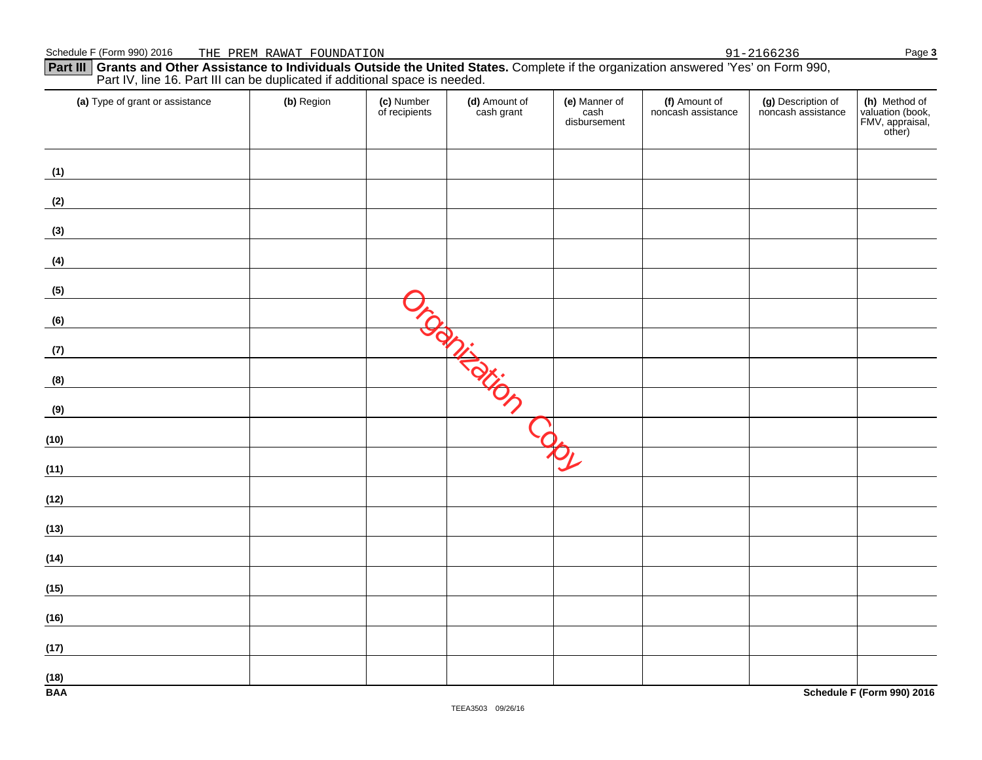**Part III Grants and Other Assistance to Individuals Outside the United States.** Complete if the organization answered 'Yes' on Form 990, Part IV, line 16. Part III can be duplicated if additional space is needed.

| (a) Type of grant or assistance | (b) Region | (c) Number<br>of recipients | (d) Amount of<br>cash grant       | (e) Manner of<br>cash<br>disbursement | (f) Amount of<br>noncash assistance | (g) Description of<br>noncash assistance | (h) Method of<br>valuation (book,<br>FMV, appraisal,<br>other) |
|---------------------------------|------------|-----------------------------|-----------------------------------|---------------------------------------|-------------------------------------|------------------------------------------|----------------------------------------------------------------|
| (1)                             |            |                             |                                   |                                       |                                     |                                          |                                                                |
| (2)                             |            |                             |                                   |                                       |                                     |                                          |                                                                |
| (3)                             |            |                             |                                   |                                       |                                     |                                          |                                                                |
| (4)                             |            |                             |                                   |                                       |                                     |                                          |                                                                |
| (5)                             |            |                             |                                   |                                       |                                     |                                          |                                                                |
| (6)                             |            | $\hat{\varphi}$             |                                   |                                       |                                     |                                          |                                                                |
| (7)                             |            |                             | Anis                              |                                       |                                     |                                          |                                                                |
| (8)                             |            |                             | $\overrightarrow{Q}_{\cancel{K}}$ |                                       |                                     |                                          |                                                                |
| (9)                             |            |                             |                                   |                                       |                                     |                                          |                                                                |
| (10)                            |            |                             |                                   |                                       |                                     |                                          |                                                                |
| (11)                            |            |                             |                                   |                                       |                                     |                                          |                                                                |
| (12)                            |            |                             |                                   |                                       |                                     |                                          |                                                                |
| (13)                            |            |                             |                                   |                                       |                                     |                                          |                                                                |
| (14)                            |            |                             |                                   |                                       |                                     |                                          |                                                                |
| (15)                            |            |                             |                                   |                                       |                                     |                                          |                                                                |
| (16)                            |            |                             |                                   |                                       |                                     |                                          |                                                                |
| (17)                            |            |                             |                                   |                                       |                                     |                                          |                                                                |
| (18)<br><b>BAA</b>              |            |                             |                                   |                                       |                                     |                                          | Schedule F (Form 990) 2016                                     |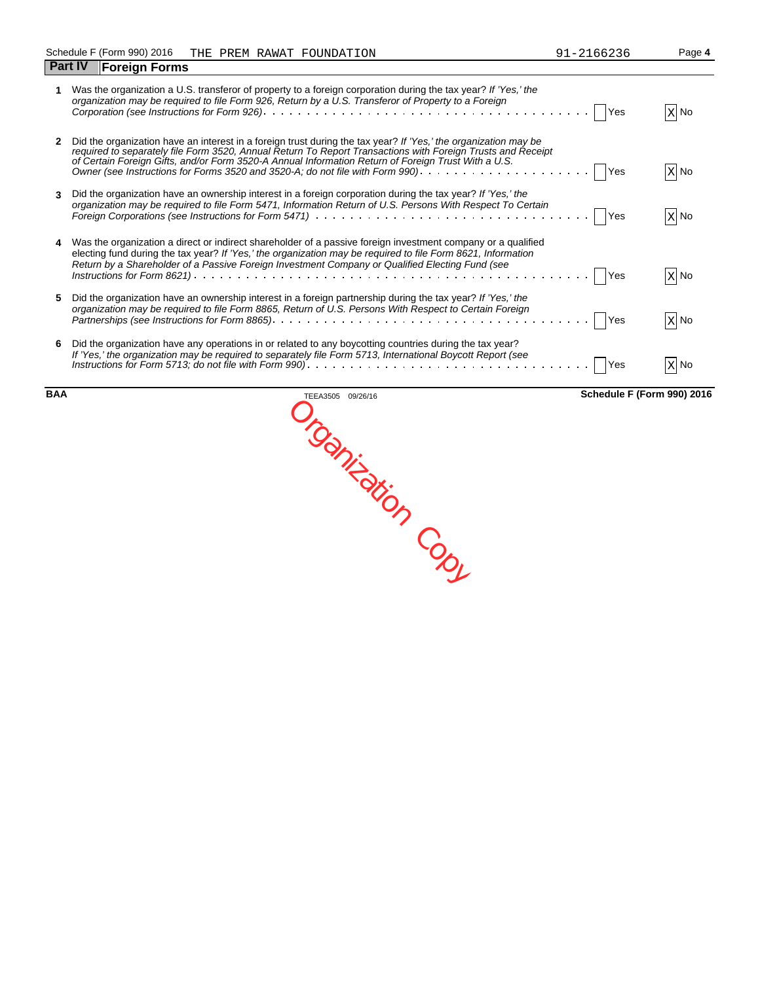|              | Was the organization a U.S. transferor of property to a foreign corporation during the tax year? If 'Yes,' the<br>organization may be required to file Form 926, Return by a U.S. Transferor of Property to a Foreign                                                                                                                                                                                                                                                                                                | $X$ No |
|--------------|----------------------------------------------------------------------------------------------------------------------------------------------------------------------------------------------------------------------------------------------------------------------------------------------------------------------------------------------------------------------------------------------------------------------------------------------------------------------------------------------------------------------|--------|
| $\mathbf{2}$ | Did the organization have an interest in a foreign trust during the tax year? If 'Yes,' the organization may be<br>required to separately file Form 3520, Annual Return To Report Transactions with Foreign Trusts and Receipt<br>of Certain Foreign Gifts, and/or Form 3520-A Annual Information Return of Foreign Trust With a U.S.<br>Owner (see Instructions for Forms 3520 and 3520-A; do not file with Form 990). $\ldots$ , $\ldots$ , $\ldots$ , $\ldots$ , $\ldots$ , $\lfloor$  Yes                        | $X$ No |
| 3            | Did the organization have an ownership interest in a foreign corporation during the tax year? If 'Yes,' the<br>organization may be required to file Form 5471, Information Return of U.S. Persons With Respect To Certain<br>  Yes                                                                                                                                                                                                                                                                                   | $X$ No |
|              | 4 Was the organization a direct or indirect shareholder of a passive foreign investment company or a qualified<br>electing fund during the tax year? If 'Yes,' the organization may be required to file Form 8621, Information<br>Return by a Shareholder of a Passive Foreign Investment Company or Qualified Electing Fund (see<br>Instructions for Form 8621) $\ldots$ $\ldots$ $\ldots$ $\ldots$ $\ldots$ $\ldots$ $\ldots$ $\ldots$ $\ldots$ $\ldots$ $\ldots$ $\ldots$ $\ldots$ $\ldots$ $\lceil$ $\rceil$ Yes | $X$ No |
| 5            | Did the organization have an ownership interest in a foreign partnership during the tax year? If 'Yes,' the<br>organization may be required to file Form 8865, Return of U.S. Persons With Respect to Certain Foreign<br><b>Yes</b>                                                                                                                                                                                                                                                                                  | $X$ No |
| 6            | Did the organization have any operations in or related to any boycotting countries during the tax year?<br>If 'Yes,' the organization may be required to separately file Form 5713, International Boycott Report (see<br>Yes                                                                                                                                                                                                                                                                                         | X No   |

**BAA** Schedule F (Form 990) 2016<br>
Contract Contract Contract Contract Contract Contract Contract Contract Contract Contract Contract Contract Contract Contract Contract Contract Contract Contract Contract Contract Contract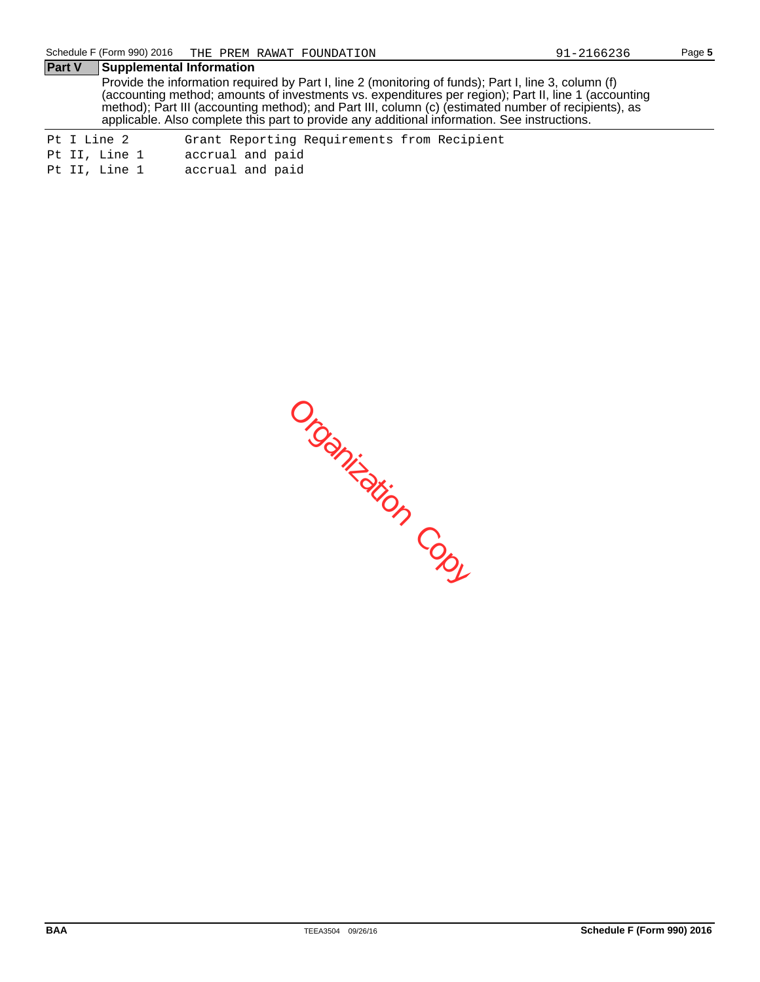#### **Part V Supplemental Information**

Provide the information required by Part I, line 2 (monitoring of funds); Part I, line 3, column (f) (accounting method; amounts of investments vs. expenditures per region); Part II, line 1 (accounting method); Part III (accounting method); and Part III, column (c) (estimated number of recipients), as applicable. Also complete this part to provide any additional information. See instructions.

| Pt I Line 2   | Grant Reporting Requirements from Recipient |
|---------------|---------------------------------------------|
| Pt II, Line 1 | accrual and paid                            |
| Pt II, Line 1 | accrual and paid                            |

Organization Copy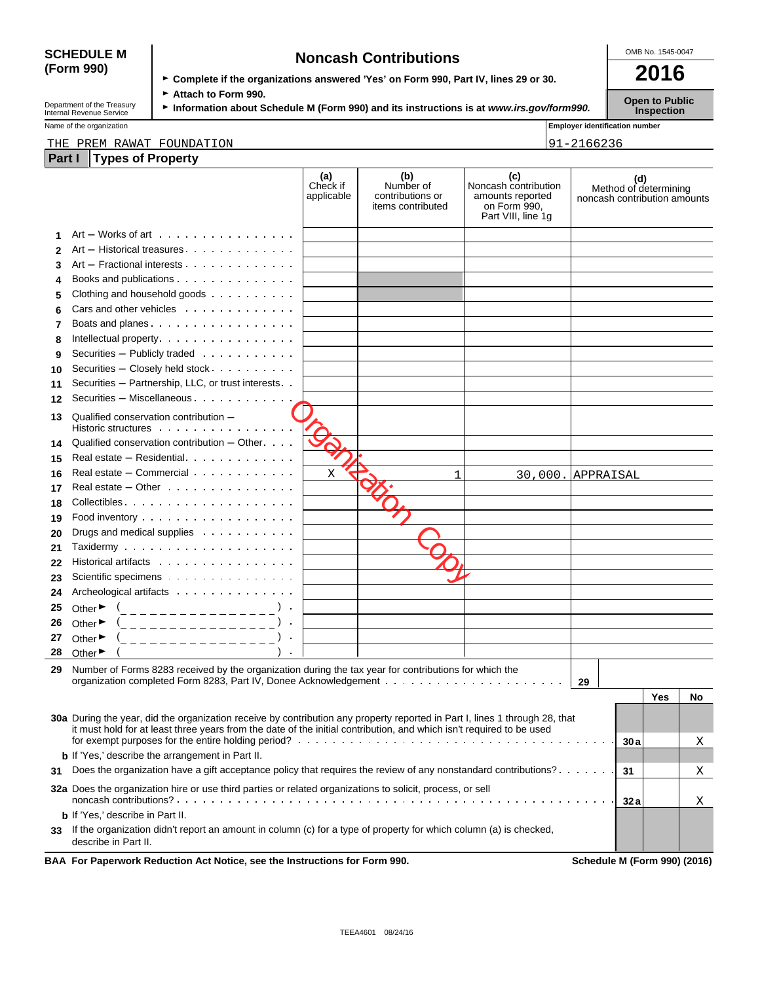# **(Form 990)**

| <b>SCHEDULE M</b> | <b>Noncash Contributions</b>                                                         | OMB No. 1545-0047 |  |  |
|-------------------|--------------------------------------------------------------------------------------|-------------------|--|--|
| (Form 990)        | ► Complete if the organizations answered 'Yes' on Form 990, Part IV, lines 29 or 30. | 2016              |  |  |
|                   |                                                                                      |                   |  |  |

Department of the Treasury **► Attach to Form 990.**<br>Information about Schedule M (Form 990) and its instructions is at *www.irs.gov/form990.* Inspection Inspection

Name of the organization **Name of the organization Employer identification number** 

#### **Part I Types of Property** THE PREM RAWAT FOUNDATION 91-2166236

|          |                                                                                                                                                                                                                                                     | (a)<br>Check if<br>applicable | (b)<br>Number of<br>contributions or<br>items contributed | (c)<br>Noncash contribution<br>amounts reported<br>on Form 990,<br>Part VIII, line 1g | noncash contribution amounts        | (d) | Method of determining |    |
|----------|-----------------------------------------------------------------------------------------------------------------------------------------------------------------------------------------------------------------------------------------------------|-------------------------------|-----------------------------------------------------------|---------------------------------------------------------------------------------------|-------------------------------------|-----|-----------------------|----|
|          | Art - Works of art                                                                                                                                                                                                                                  |                               |                                                           |                                                                                       |                                     |     |                       |    |
| 2        | Art - Historical treasures                                                                                                                                                                                                                          |                               |                                                           |                                                                                       |                                     |     |                       |    |
| 3        | Art - Fractional interests                                                                                                                                                                                                                          |                               |                                                           |                                                                                       |                                     |     |                       |    |
| 4        | Books and publications                                                                                                                                                                                                                              |                               |                                                           |                                                                                       |                                     |     |                       |    |
| 5        | Clothing and household goods                                                                                                                                                                                                                        |                               |                                                           |                                                                                       |                                     |     |                       |    |
| 6        | Cars and other vehicles                                                                                                                                                                                                                             |                               |                                                           |                                                                                       |                                     |     |                       |    |
| 7        | Boats and planes                                                                                                                                                                                                                                    |                               |                                                           |                                                                                       |                                     |     |                       |    |
| 8        | Intellectual property.                                                                                                                                                                                                                              |                               |                                                           |                                                                                       |                                     |     |                       |    |
| 9        | Securities - Publicly traded                                                                                                                                                                                                                        |                               |                                                           |                                                                                       |                                     |     |                       |    |
| 10       | Securities - Closely held stock                                                                                                                                                                                                                     |                               |                                                           |                                                                                       |                                     |     |                       |    |
| 11       | Securities - Partnership, LLC, or trust interests. .                                                                                                                                                                                                |                               |                                                           |                                                                                       |                                     |     |                       |    |
| 12       | Securities - Miscellaneous                                                                                                                                                                                                                          |                               |                                                           |                                                                                       |                                     |     |                       |    |
| 13       | Qualified conservation contribution -<br>Historic structures                                                                                                                                                                                        |                               |                                                           |                                                                                       |                                     |     |                       |    |
|          | Qualified conservation contribution - Other                                                                                                                                                                                                         |                               |                                                           |                                                                                       |                                     |     |                       |    |
| 14       | Real estate – Residential et al., and a set al.                                                                                                                                                                                                     |                               |                                                           |                                                                                       |                                     |     |                       |    |
| 15       | Real estate - Commercial                                                                                                                                                                                                                            |                               |                                                           |                                                                                       |                                     |     |                       |    |
| 16       | Real estate – Other and a state of the state of the state of the state of the state of the state of the state o                                                                                                                                     | Χ                             | 1                                                         | 30,000. APPRAISAL                                                                     |                                     |     |                       |    |
| 17       |                                                                                                                                                                                                                                                     |                               |                                                           |                                                                                       |                                     |     |                       |    |
| 18       |                                                                                                                                                                                                                                                     |                               |                                                           |                                                                                       |                                     |     |                       |    |
| 19       |                                                                                                                                                                                                                                                     |                               |                                                           |                                                                                       |                                     |     |                       |    |
| 20       | Drugs and medical supplies                                                                                                                                                                                                                          |                               |                                                           |                                                                                       |                                     |     |                       |    |
| 21       | Historical artifacts experience and the set of the set of the set of the set of the set of the set of the set o                                                                                                                                     |                               |                                                           |                                                                                       |                                     |     |                       |    |
| 22       | Scientific specimens                                                                                                                                                                                                                                |                               |                                                           |                                                                                       |                                     |     |                       |    |
| 23       | Archeological artifacts                                                                                                                                                                                                                             |                               |                                                           |                                                                                       |                                     |     |                       |    |
| 24       |                                                                                                                                                                                                                                                     |                               |                                                           |                                                                                       |                                     |     |                       |    |
| 25       | Other $\blacktriangleright$<br>(_ _ _ _ _ _ _ _ _ _ _ _ _ _ _ _                                                                                                                                                                                     |                               |                                                           |                                                                                       |                                     |     |                       |    |
| 26       | Other $\blacktriangleright$<br>_______________                                                                                                                                                                                                      |                               |                                                           |                                                                                       |                                     |     |                       |    |
| 27<br>28 | Other $\blacktriangleright$<br>_______________                                                                                                                                                                                                      |                               |                                                           |                                                                                       |                                     |     |                       |    |
|          | Other $\blacktriangleright$                                                                                                                                                                                                                         |                               |                                                           |                                                                                       |                                     |     |                       |    |
| 29       | Number of Forms 8283 received by the organization during the tax year for contributions for which the                                                                                                                                               |                               |                                                           |                                                                                       | 29                                  |     |                       |    |
|          |                                                                                                                                                                                                                                                     |                               |                                                           |                                                                                       |                                     |     | Yes                   | No |
|          |                                                                                                                                                                                                                                                     |                               |                                                           |                                                                                       |                                     |     |                       |    |
|          | 30a During the year, did the organization receive by contribution any property reported in Part I, lines 1 through 28, that<br>it must hold for at least three years from the date of the initial contribution, and which isn't required to be used |                               |                                                           |                                                                                       |                                     |     |                       |    |
|          |                                                                                                                                                                                                                                                     |                               |                                                           |                                                                                       |                                     | 30a |                       | Χ  |
|          | <b>b</b> If 'Yes,' describe the arrangement in Part II.                                                                                                                                                                                             |                               |                                                           |                                                                                       |                                     |     |                       |    |
| 31       | Does the organization have a gift acceptance policy that requires the review of any nonstandard contributions?                                                                                                                                      |                               |                                                           |                                                                                       |                                     | 31  |                       | Χ  |
|          | 32a Does the organization hire or use third parties or related organizations to solicit, process, or sell                                                                                                                                           |                               |                                                           |                                                                                       |                                     | 32a |                       | Χ  |
|          | <b>b</b> If 'Yes,' describe in Part II.                                                                                                                                                                                                             |                               |                                                           |                                                                                       |                                     |     |                       |    |
| 33       | If the organization didn't report an amount in column (c) for a type of property for which column (a) is checked,<br>describe in Part II.                                                                                                           |                               |                                                           |                                                                                       |                                     |     |                       |    |
|          | BAA For Paperwork Reduction Act Notice, see the Instructions for Form 990.                                                                                                                                                                          |                               |                                                           |                                                                                       | <b>Schedule M (Form 990) (2016)</b> |     |                       |    |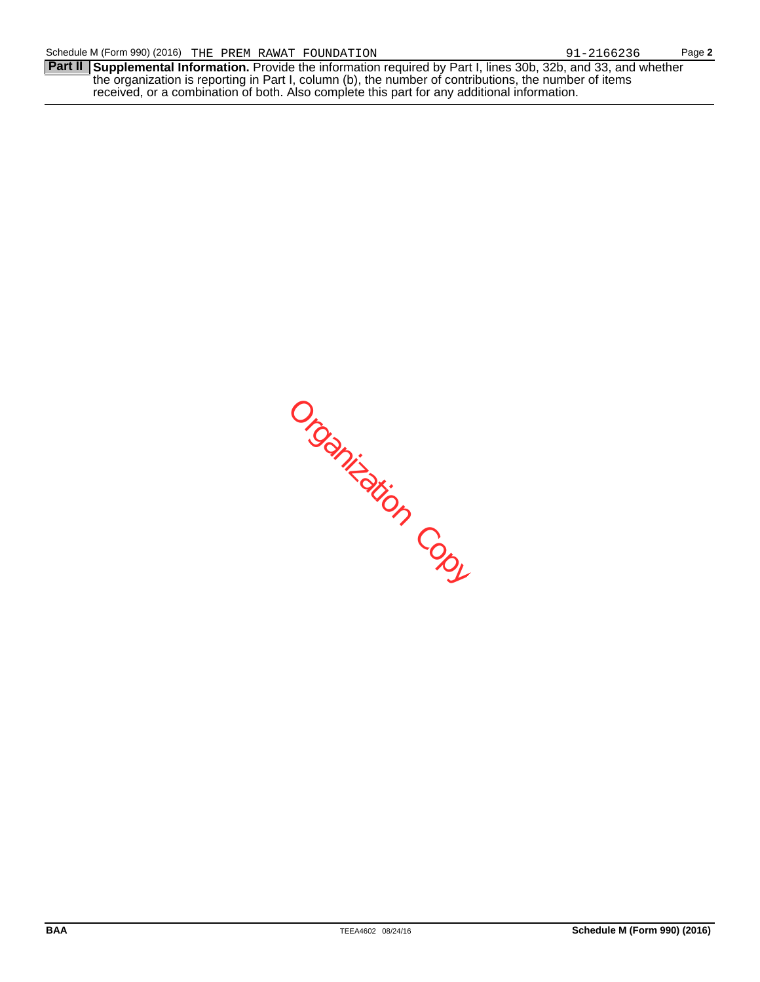**Part II** Supplemental Information. Provide the information required by Part I, lines 30b, 32b, and 33, and whether the organization is reporting in Part I, column (b), the number of contributions, the number of items received, or a combination of both. Also complete this part for any additional information.

Organization Copy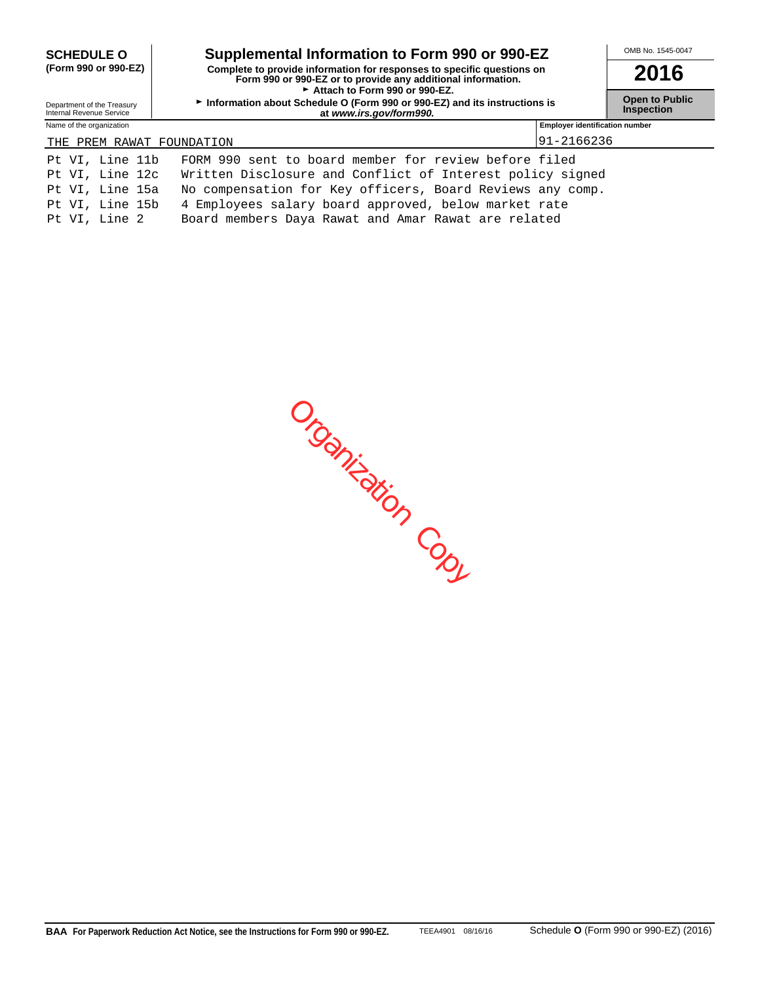| <b>SCHEDULE O</b>                                                            | Supplemental Information to Form 990 or 990-EZ                                                                                                                          | OMB No. 1545-0047                          |      |  |  |
|------------------------------------------------------------------------------|-------------------------------------------------------------------------------------------------------------------------------------------------------------------------|--------------------------------------------|------|--|--|
| (Form 990 or 990-EZ)                                                         | Complete to provide information for responses to specific questions on<br>Form 990 or 990-EZ or to provide any additional information.<br>Attach to Form 990 or 990-EZ. |                                            | 2016 |  |  |
| Department of the Treasury<br>Internal Revenue Service                       | Information about Schedule O (Form 990 or 990-EZ) and its instructions is                                                                                               | <b>Open to Public</b><br><b>Inspection</b> |      |  |  |
| Name of the organization                                                     |                                                                                                                                                                         | <b>Employer identification number</b>      |      |  |  |
| THE PREM RAWAT FOUNDATION                                                    |                                                                                                                                                                         | 91-2166236                                 |      |  |  |
| Pt VI, Line 11b                                                              | FORM 990 sent to board member for review before filed                                                                                                                   |                                            |      |  |  |
| Written Disclosure and Conflict of Interest policy signed<br>Pt VI, Line 12c |                                                                                                                                                                         |                                            |      |  |  |
| No compensation for Key officers, Board Reviews any comp.<br>Pt VI, Line 15a |                                                                                                                                                                         |                                            |      |  |  |
| Pt VI, Line 15b<br>4 Employees salary board approved, below market rate      |                                                                                                                                                                         |                                            |      |  |  |
| Pt VI, Line 2<br>Board members Daya Rawat and Amar Rawat are related         |                                                                                                                                                                         |                                            |      |  |  |

Organization Copy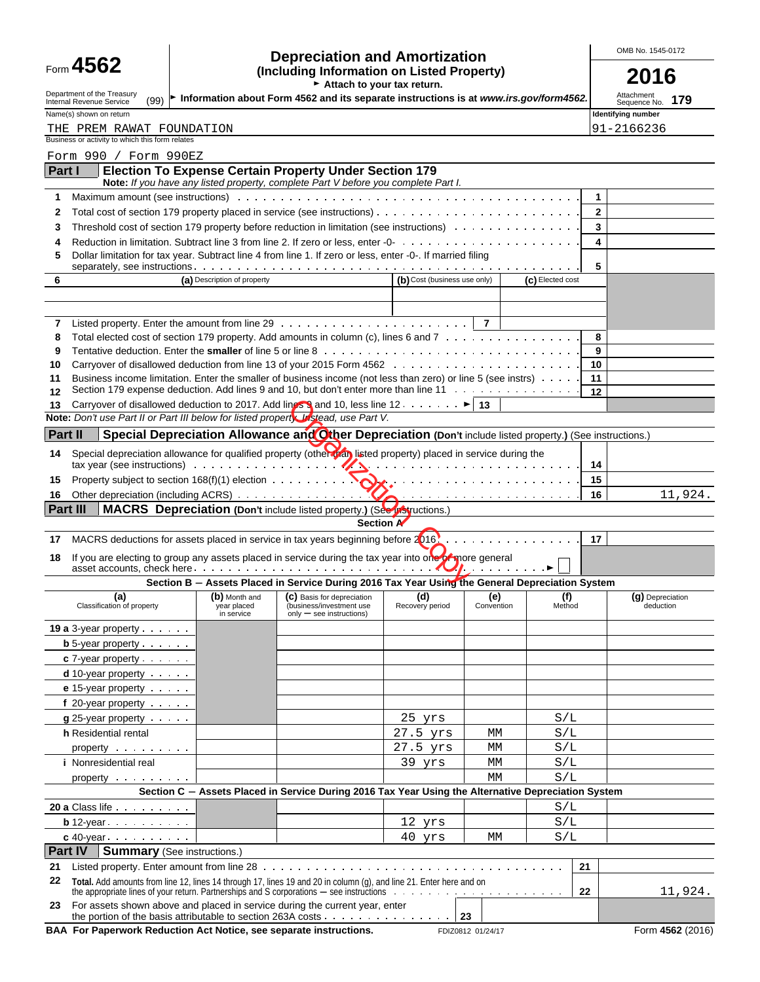# Form **4562 Depreciation and Amortization COMB No. 1545-0172**<br>
(Including Information on Listed Property) **COLE**

|                                                                                                           |                                            | (Including Information on Listed Property)<br>Attach to your tax return.                                                                                                                                                      |                              |                   |                  |              | 6<br>201                           |
|-----------------------------------------------------------------------------------------------------------|--------------------------------------------|-------------------------------------------------------------------------------------------------------------------------------------------------------------------------------------------------------------------------------|------------------------------|-------------------|------------------|--------------|------------------------------------|
| Department of the Treasury<br>(99)<br>Internal Revenue Service                                            |                                            | Information about Form 4562 and its separate instructions is at www.irs.gov/form4562.                                                                                                                                         |                              |                   |                  |              | Attachment<br>179                  |
| Name(s) shown on return                                                                                   |                                            |                                                                                                                                                                                                                               |                              |                   |                  |              | Sequence No.<br>Identifying number |
| THE PREM RAWAT FOUNDATION                                                                                 |                                            |                                                                                                                                                                                                                               |                              |                   |                  |              | 91-2166236                         |
| Business or activity to which this form relates                                                           |                                            |                                                                                                                                                                                                                               |                              |                   |                  |              |                                    |
| Form 990 / Form 990EZ<br>Part I                                                                           |                                            | <b>Election To Expense Certain Property Under Section 179</b>                                                                                                                                                                 |                              |                   |                  |              |                                    |
|                                                                                                           |                                            | Note: If you have any listed property, complete Part V before you complete Part I.                                                                                                                                            |                              |                   |                  |              |                                    |
| 1                                                                                                         |                                            | Maximum amount (see instructions) with example to contact the contract of the contract of the contract of the contract of the contract of the contract of the contract of the contract of the contract of the contract of the |                              |                   |                  | 1            |                                    |
| 2                                                                                                         |                                            | Total cost of section 179 property placed in service (see instructions)                                                                                                                                                       |                              |                   |                  | $\mathbf{2}$ |                                    |
| 3                                                                                                         |                                            |                                                                                                                                                                                                                               |                              |                   |                  | 3            |                                    |
| 4<br>5                                                                                                    |                                            | Dollar limitation for tax year. Subtract line 4 from line 1. If zero or less, enter -0-. If married filing                                                                                                                    |                              |                   |                  | 4            |                                    |
|                                                                                                           |                                            |                                                                                                                                                                                                                               |                              |                   |                  | 5            |                                    |
| 6                                                                                                         | (a) Description of property                |                                                                                                                                                                                                                               | (b) Cost (business use only) |                   | (c) Elected cost |              |                                    |
|                                                                                                           |                                            |                                                                                                                                                                                                                               |                              |                   |                  |              |                                    |
| 7                                                                                                         |                                            |                                                                                                                                                                                                                               |                              | $\overline{7}$    |                  |              |                                    |
| 8                                                                                                         |                                            | Total elected cost of section 179 property. Add amounts in column (c), lines 6 and 7 $\dots$                                                                                                                                  |                              |                   |                  | 8            |                                    |
| 9                                                                                                         |                                            |                                                                                                                                                                                                                               |                              |                   |                  | 9            |                                    |
| 10                                                                                                        |                                            |                                                                                                                                                                                                                               |                              |                   |                  | 10           |                                    |
| 11                                                                                                        |                                            | Business income limitation. Enter the smaller of business income (not less than zero) or line 5 (see instrs)                                                                                                                  |                              |                   |                  | 11           |                                    |
| 12                                                                                                        |                                            | Section 179 expense deduction. Add lines 9 and 10, but don't enter more than line 11                                                                                                                                          |                              |                   |                  | 12           |                                    |
| 13                                                                                                        |                                            | Carryover of disallowed deduction to 2017. Add lines 9 and 10, less line 12. $\dots \dots$                                                                                                                                    |                              |                   |                  |              |                                    |
| Note: Don't use Part II or Part III below for listed property Instead, use Part V.                        |                                            |                                                                                                                                                                                                                               |                              |                   |                  |              |                                    |
| <b>Part II</b>                                                                                            |                                            | Special Depreciation Allowance and Other Depreciation (Don't include listed property.) (See instructions.)                                                                                                                    |                              |                   |                  |              |                                    |
| 14<br>tax year (see instructions) $\cdots$ $\cdots$ $\cdots$                                              |                                            | Special depreciation allowance for qualified property (other than listed property) placed in service during the                                                                                                               |                              |                   |                  | 14           |                                    |
| 15                                                                                                        |                                            | Property subject to section 168(f)(1) election $\cdots \cdot \cdot \cdot$                                                                                                                                                     |                              |                   |                  | 15           |                                    |
| 16                                                                                                        |                                            |                                                                                                                                                                                                                               |                              |                   |                  | 16           | 11,924.                            |
|                                                                                                           |                                            |                                                                                                                                                                                                                               |                              |                   |                  |              |                                    |
|                                                                                                           |                                            |                                                                                                                                                                                                                               |                              |                   |                  |              |                                    |
|                                                                                                           |                                            | MACRS Depreciation (Don't include listed property.) (See pristructions.)<br>Section A                                                                                                                                         |                              |                   |                  |              |                                    |
|                                                                                                           |                                            |                                                                                                                                                                                                                               |                              |                   |                  | 17           |                                    |
|                                                                                                           |                                            |                                                                                                                                                                                                                               |                              |                   |                  |              |                                    |
|                                                                                                           |                                            | If you are electing to group any assets placed in service during the tax year into one of more general                                                                                                                        |                              |                   |                  |              |                                    |
|                                                                                                           |                                            | Section B - Assets Placed in Service During 2016 Tax Year Using the General Depreciation System                                                                                                                               |                              |                   |                  |              |                                    |
| (a)<br>Classification of property                                                                         | (b) Month and<br>year placed<br>in service | (C) Basis for depreciation<br>(business/investment use                                                                                                                                                                        | (d)<br>Recovery period       | (e)<br>Convention | (f)<br>Method    |              | (g) Depreciation<br>deduction      |
|                                                                                                           |                                            | only - see instructions)                                                                                                                                                                                                      |                              |                   |                  |              |                                    |
| <b>b</b> 5-year property $\cdot$                                                                          |                                            |                                                                                                                                                                                                                               |                              |                   |                  |              |                                    |
|                                                                                                           |                                            |                                                                                                                                                                                                                               |                              |                   |                  |              |                                    |
| $c$ 7-year property $\cdots$                                                                              |                                            |                                                                                                                                                                                                                               |                              |                   |                  |              |                                    |
| $d$ 10-year property $\cdots$                                                                             |                                            |                                                                                                                                                                                                                               |                              |                   |                  |              |                                    |
| <b>e</b> 15-year property $\cdot$                                                                         |                                            |                                                                                                                                                                                                                               |                              |                   |                  |              |                                    |
| $f$ 20-year property $\cdots$                                                                             |                                            |                                                                                                                                                                                                                               |                              |                   |                  |              |                                    |
| $g$ 25-year property $\cdots$                                                                             |                                            |                                                                                                                                                                                                                               | 25 yrs                       |                   | S/L              |              |                                    |
| <b>h</b> Residential rental                                                                               |                                            |                                                                                                                                                                                                                               | 27.5 yrs                     | МM                | S/L              |              |                                    |
| property                                                                                                  |                                            |                                                                                                                                                                                                                               | 27.5 yrs                     | МM                | S/L              |              |                                    |
| <i>i</i> Nonresidential real                                                                              |                                            |                                                                                                                                                                                                                               | 39 yrs                       | МM                | S/L              |              |                                    |
| property exercise the contract of the property                                                            |                                            |                                                                                                                                                                                                                               |                              | МM                | S/L              |              |                                    |
|                                                                                                           |                                            | Section C - Assets Placed in Service During 2016 Tax Year Using the Alternative Depreciation System                                                                                                                           |                              |                   |                  |              |                                    |
|                                                                                                           |                                            |                                                                                                                                                                                                                               |                              |                   | S/L              |              |                                    |
| Part III<br>17<br>18<br>19 a 3-year property $\cdots$<br>20 a Class life<br>$\mathbf{b}$ 12-year $\cdots$ |                                            |                                                                                                                                                                                                                               | 12 yrs                       |                   | S/L              |              |                                    |
| $\mathbf{c}$ 40-year $\cdots$ $\cdots$<br><b>Part IV</b><br><b>Summary</b> (See instructions.)            |                                            |                                                                                                                                                                                                                               | 40 yrs                       | МM                | S/L              |              |                                    |

**22 Total.** Add amounts from line 12, lines 14 through 17, lines 19 and 20 in column (g), and line 21. Enter here and on the appropriate lines of your return. Partnerships and S corporations - see instructions **because to construct on 23** For assets shown above and placed in service during the current year, enter the portion of the basis attributable to section 263A costs **2008** 11,924.

**BAA For Paperwork Reduction Act Notice, see separate instructions.** FDIZ0812 01/24/17 FORM 4562 (2016)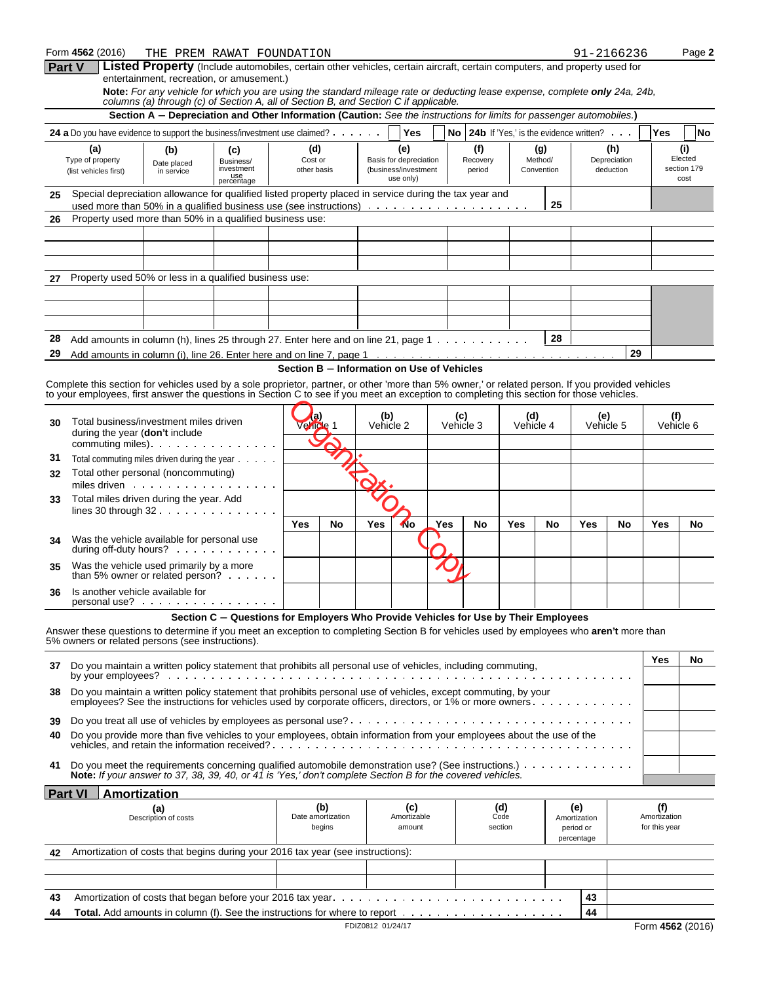|          | Form 4562 (2016)<br><b>Part V</b>                                                                                                                                                                                 | THE PREM RAWAT FOUNDATION<br>Listed Property (Include automobiles, certain other vehicles, certain aircraft, certain computers, and property used for                                                        |                                                                                     |                                            |                                    |                  |                                                                    |            |                           |                        |                              |                                                | 91-2166236                       |                                      | Page 2                                |
|----------|-------------------------------------------------------------------------------------------------------------------------------------------------------------------------------------------------------------------|--------------------------------------------------------------------------------------------------------------------------------------------------------------------------------------------------------------|-------------------------------------------------------------------------------------|--------------------------------------------|------------------------------------|------------------|--------------------------------------------------------------------|------------|---------------------------|------------------------|------------------------------|------------------------------------------------|----------------------------------|--------------------------------------|---------------------------------------|
|          |                                                                                                                                                                                                                   | entertainment, recreation, or amusement.)<br>Note: For any vehicle for which you are using the standard mileage rate or deducting lease expense, complete only 24a, 24b,                                     |                                                                                     |                                            |                                    |                  |                                                                    |            |                           |                        |                              |                                                |                                  |                                      |                                       |
|          |                                                                                                                                                                                                                   | columns (a) through (c) of Section A, all of Section B, and Section C if applicable.<br>Section A - Depreciation and Other Information (Caution: See the instructions for limits for passenger automobiles.) |                                                                                     |                                            |                                    |                  |                                                                    |            |                           |                        |                              |                                                |                                  |                                      |                                       |
|          | 24 a Do you have evidence to support the business/investment use claimed?                                                                                                                                         |                                                                                                                                                                                                              |                                                                                     |                                            |                                    |                  | <b>Yes</b>                                                         |            | No l                      |                        |                              | 24b If 'Yes,' is the evidence written?         |                                  | Yes                                  | No                                    |
|          | (a)<br>Type of property<br>(list vehicles first)                                                                                                                                                                  | (b)<br>Date placed<br>in service                                                                                                                                                                             | (c)<br>Business/<br>investment<br>use<br>percentage                                 | (d)<br>Cost or<br>other basis              |                                    |                  | (e)<br>Basis for depreciation<br>(business/investment<br>use only) |            | (f)<br>Recovery<br>period |                        | (g)<br>Method/<br>Convention |                                                | (h)<br>Depreciation<br>deduction |                                      | (i)<br>Elected<br>section 179<br>cost |
| 25       | Special depreciation allowance for qualified listed property placed in service during the tax year and                                                                                                            |                                                                                                                                                                                                              |                                                                                     |                                            |                                    |                  |                                                                    |            |                           |                        | 25                           |                                                |                                  |                                      |                                       |
| 26       | Property used more than 50% in a qualified business use:                                                                                                                                                          |                                                                                                                                                                                                              |                                                                                     |                                            |                                    |                  |                                                                    |            |                           |                        |                              |                                                |                                  |                                      |                                       |
|          |                                                                                                                                                                                                                   |                                                                                                                                                                                                              |                                                                                     |                                            |                                    |                  |                                                                    |            |                           |                        |                              |                                                |                                  |                                      |                                       |
|          |                                                                                                                                                                                                                   |                                                                                                                                                                                                              |                                                                                     |                                            |                                    |                  |                                                                    |            |                           |                        |                              |                                                |                                  |                                      |                                       |
| 27       | Property used 50% or less in a qualified business use:                                                                                                                                                            |                                                                                                                                                                                                              |                                                                                     |                                            |                                    |                  |                                                                    |            |                           |                        |                              |                                                |                                  |                                      |                                       |
|          |                                                                                                                                                                                                                   |                                                                                                                                                                                                              |                                                                                     |                                            |                                    |                  |                                                                    |            |                           |                        |                              |                                                |                                  |                                      |                                       |
|          |                                                                                                                                                                                                                   |                                                                                                                                                                                                              |                                                                                     |                                            |                                    |                  |                                                                    |            |                           |                        |                              |                                                |                                  |                                      |                                       |
| 28       | Add amounts in column (h), lines 25 through 27. Enter here and on line 21, page $1, \ldots, \ldots, \ldots$                                                                                                       |                                                                                                                                                                                                              |                                                                                     |                                            |                                    |                  |                                                                    |            |                           |                        | 28                           |                                                |                                  |                                      |                                       |
| 29       |                                                                                                                                                                                                                   |                                                                                                                                                                                                              |                                                                                     |                                            |                                    |                  |                                                                    |            |                           |                        |                              |                                                | 29                               |                                      |                                       |
|          | Complete this section for vehicles used by a sole proprietor, partner, or other 'more than 5% owner,' or related person. If you provided vehicles                                                                 |                                                                                                                                                                                                              |                                                                                     | Section B - Information on Use of Vehicles |                                    |                  |                                                                    |            |                           |                        |                              |                                                |                                  |                                      |                                       |
|          | to your employees, first answer the questions in Section C to see if you meet an exception to completing this section for those vehicles.                                                                         |                                                                                                                                                                                                              |                                                                                     |                                            |                                    |                  |                                                                    |            |                           |                        |                              |                                                |                                  |                                      |                                       |
| 30       | Total business/investment miles driven<br>during the year (don't include                                                                                                                                          |                                                                                                                                                                                                              |                                                                                     | (a)                                        | Vehicle 1                          | (b)<br>Vehicle 2 |                                                                    |            | (c)<br>Vehicle 3          |                        | (d)<br>Vehicle 4             |                                                | (e)<br>Vehicle 5                 | $_{\rm (f)}$                         | Vehicle 6                             |
| 31<br>32 | commuting miles). $\ldots$<br>Total commuting miles driven during the year $\cdots$<br>Total other personal (noncommuting)                                                                                        |                                                                                                                                                                                                              |                                                                                     |                                            |                                    |                  |                                                                    |            |                           |                        |                              |                                                |                                  |                                      |                                       |
| 33       | miles driven<br>Total miles driven during the year. Add                                                                                                                                                           |                                                                                                                                                                                                              |                                                                                     |                                            |                                    |                  |                                                                    |            |                           |                        |                              |                                                |                                  |                                      |                                       |
|          | lines 30 through $32 \cdot \cdot \cdot \cdot \cdot \cdot \cdot \cdot \cdot \cdot \cdot$                                                                                                                           |                                                                                                                                                                                                              |                                                                                     | Yes                                        | No                                 | Yes              | <b>No</b>                                                          | <b>Yes</b> | No                        | Yes                    | No                           | Yes                                            | No                               | Yes                                  | No.                                   |
| 34       | Was the vehicle available for personal use<br>during off-duty hours? $\ldots$                                                                                                                                     |                                                                                                                                                                                                              |                                                                                     |                                            |                                    |                  |                                                                    |            |                           |                        |                              |                                                |                                  |                                      |                                       |
| 35       | Was the vehicle used primarily by a more<br>than 5% owner or related person?                                                                                                                                      |                                                                                                                                                                                                              |                                                                                     |                                            |                                    |                  |                                                                    |            |                           |                        |                              |                                                |                                  |                                      |                                       |
| 36       | Is another vehicle available for<br>personal use?                                                                                                                                                                 |                                                                                                                                                                                                              |                                                                                     |                                            |                                    |                  |                                                                    |            |                           |                        |                              |                                                |                                  |                                      |                                       |
|          |                                                                                                                                                                                                                   |                                                                                                                                                                                                              | Section C - Questions for Employers Who Provide Vehicles for Use by Their Employees |                                            |                                    |                  |                                                                    |            |                           |                        |                              |                                                |                                  |                                      |                                       |
|          | Answer these questions to determine if you meet an exception to completing Section B for vehicles used by employees who aren't more than<br>5% owners or related persons (see instructions).                      |                                                                                                                                                                                                              |                                                                                     |                                            |                                    |                  |                                                                    |            |                           |                        |                              |                                                |                                  |                                      |                                       |
|          | 37 Do you maintain a written policy statement that prohibits all personal use of vehicles, including commuting,                                                                                                   |                                                                                                                                                                                                              |                                                                                     |                                            |                                    |                  |                                                                    |            |                           |                        |                              |                                                |                                  | Yes                                  | No                                    |
| 38       | Do you maintain a written policy statement that prohibits personal use of vehicles, except commuting, by your                                                                                                     |                                                                                                                                                                                                              |                                                                                     |                                            |                                    |                  |                                                                    |            |                           |                        |                              |                                                |                                  |                                      |                                       |
| 39       |                                                                                                                                                                                                                   |                                                                                                                                                                                                              |                                                                                     |                                            |                                    |                  |                                                                    |            |                           |                        |                              |                                                |                                  |                                      |                                       |
| 40       | Do you provide more than five vehicles to your employees, obtain information from your employees about the use of the                                                                                             |                                                                                                                                                                                                              |                                                                                     |                                            |                                    |                  |                                                                    |            |                           |                        |                              |                                                |                                  |                                      |                                       |
| 41       | Do you meet the requirements concerning qualified automobile demonstration use? (See instructions.)<br>Note: If your answer to 37, 38, 39, 40, or 41 is 'Yes,' don't complete Section B for the covered vehicles. |                                                                                                                                                                                                              |                                                                                     |                                            |                                    |                  |                                                                    |            |                           |                        |                              |                                                |                                  |                                      |                                       |
|          | <b>Part VI</b><br><b>Amortization</b>                                                                                                                                                                             |                                                                                                                                                                                                              |                                                                                     |                                            |                                    |                  |                                                                    |            |                           |                        |                              |                                                |                                  |                                      |                                       |
|          |                                                                                                                                                                                                                   | (a)<br>Description of costs                                                                                                                                                                                  |                                                                                     |                                            | (b)<br>Date amortization<br>begins |                  | (c)<br>Amortizable<br>amount                                       |            |                           | (d)<br>Code<br>section |                              | (e)<br>Amortization<br>period or<br>percentage |                                  | (f)<br>Amortization<br>for this year |                                       |
| 42       | Amortization of costs that begins during your 2016 tax year (see instructions):                                                                                                                                   |                                                                                                                                                                                                              |                                                                                     |                                            |                                    |                  |                                                                    |            |                           |                        |                              |                                                |                                  |                                      |                                       |
|          |                                                                                                                                                                                                                   |                                                                                                                                                                                                              |                                                                                     |                                            |                                    |                  |                                                                    |            |                           |                        |                              |                                                |                                  |                                      |                                       |
|          |                                                                                                                                                                                                                   |                                                                                                                                                                                                              |                                                                                     |                                            |                                    |                  |                                                                    |            |                           |                        |                              |                                                |                                  |                                      |                                       |
| 43       |                                                                                                                                                                                                                   |                                                                                                                                                                                                              |                                                                                     |                                            |                                    |                  |                                                                    |            |                           |                        |                              | 43                                             |                                  |                                      |                                       |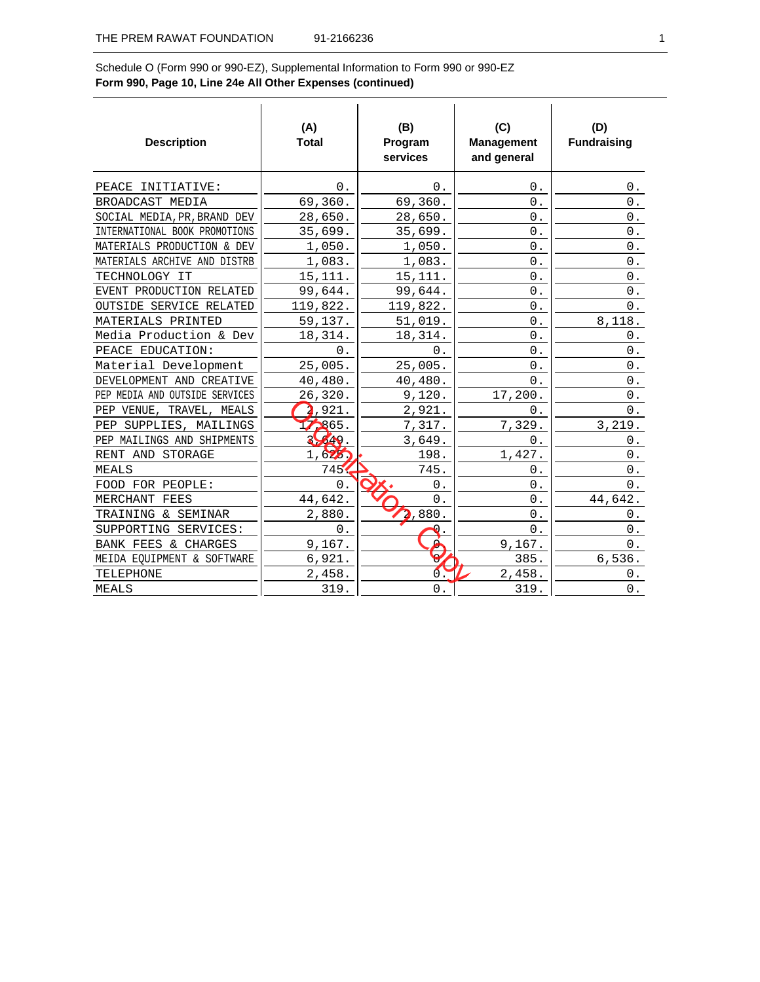Schedule O (Form 990 or 990-EZ), Supplemental Information to Form 990 or 990-EZ **Form 990, Page 10, Line 24e All Other Expenses (continued)**

| <b>Description</b>             | (A)<br><b>Total</b> | (B)<br>Program<br>services | (C)<br><b>Management</b><br>and general | (D)<br><b>Fundraising</b> |
|--------------------------------|---------------------|----------------------------|-----------------------------------------|---------------------------|
| PEACE INITIATIVE:              | 0.                  | 0.                         | 0.                                      | 0.                        |
| BROADCAST MEDIA                | 69,360.             | 69,360.                    | $0$ .                                   | $0$ .                     |
| SOCIAL MEDIA, PR, BRAND DEV    | 28,650.             | 28,650.                    | 0.                                      | 0.                        |
| INTERNATIONAL BOOK PROMOTIONS  | 35,699.             | 35,699.                    | 0.                                      | 0.                        |
| MATERIALS PRODUCTION & DEV     | 1,050.              | 1,050.                     | 0.                                      | 0.                        |
| MATERIALS ARCHIVE AND DISTRB   | 1,083.              | 1,083.                     | 0.                                      | 0.                        |
| TECHNOLOGY IT                  | 15,111.             | 15,111.                    | 0.                                      | 0.                        |
| EVENT PRODUCTION RELATED       | 99,644.             | 99,644.                    | 0.                                      | $0$ .                     |
| OUTSIDE SERVICE RELATED        | 119,822.            | 119,822.                   | 0.                                      | $0$ .                     |
| MATERIALS PRINTED              | 59,137.             | 51,019.                    | 0.                                      | 8,118.                    |
| Media Production & Dev         | 18,314.             | 18,314.                    | 0.                                      | 0.                        |
| PEACE EDUCATION:               | $0$ .               | 0.                         | $0$ .                                   | $0$ .                     |
| Material Development           | 25,005.             | 25,005.                    | 0.                                      | $0$ .                     |
| DEVELOPMENT AND CREATIVE       | 40,480.             | 40,480.                    | 0.                                      | 0.                        |
| PEP MEDIA AND OUTSIDE SERVICES | 26,320.             | 9,120.                     | 17,200.                                 | 0.                        |
| PEP VENUE, TRAVEL, MEALS       | 2,921.              | 2,921.                     | 0.                                      | $0$ .                     |
| PEP SUPPLIES, MAILINGS         | 17865.              | 7,317.                     | 7,329.                                  | 3,219.                    |
| PEP MAILINGS AND SHIPMENTS     | 8549.               | 3,649.                     | 0.                                      | 0.                        |
| RENT AND STORAGE               | 1,625               | 198.                       | 1,427.                                  | $0$ .                     |
| <b>MEALS</b>                   | 745'                | 745.                       | 0.                                      | $0$ .                     |
| FOOD FOR PEOPLE:               | 0.                  | 0.                         | 0.                                      | $0$ .                     |
| MERCHANT FEES                  | 44,642.             | 0.                         | 0.                                      | 44,642.                   |
| TRAINING & SEMINAR             | 2,880.              | $\overline{\bf{2}}$ ,880.  | 0.                                      | 0.                        |
| SUPPORTING SERVICES:           | 0.                  | $\mathbf 0$ .              | 0.                                      | 0.                        |
| BANK FEES & CHARGES            | 9,167.              | o                          | 9,167.                                  | $0$ .                     |
| MEIDA EQUIPMENT & SOFTWARE     | 6,921.              | ۴                          | 385.                                    | 6,536.                    |
| TELEPHONE                      | 2,458.              | $\delta$                   | 2,458.                                  | 0.                        |
| MEALS                          | 319.                | 0.                         | 319.                                    | 0.                        |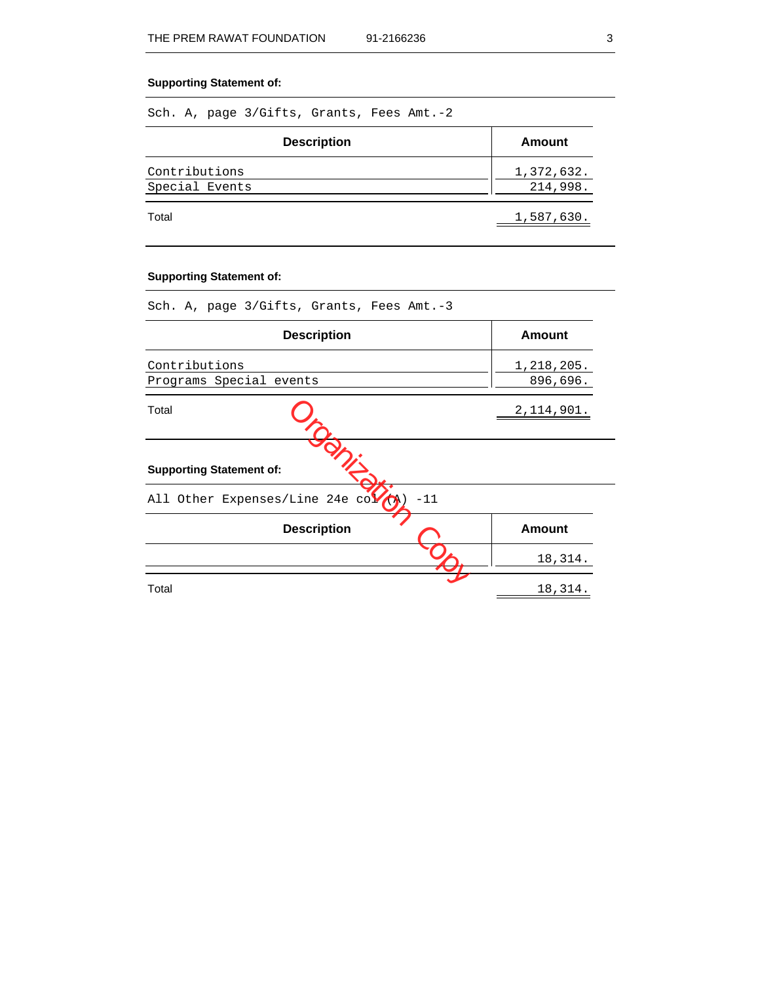### **Supporting Statement of:**

Sch. A, page 3/Gifts, Grants, Fees Amt.-2

| <b>Description</b>              | <b>Amount</b>          |
|---------------------------------|------------------------|
| Contributions<br>Special Events | 1,372,632.<br>214,998. |
| Total                           | 1,587,630.             |

### **Supporting Statement of:**

Sch. A, page 3/Gifts, Grants, Fees Amt.-3

| <b>Description</b>                                         | Amount        |
|------------------------------------------------------------|---------------|
| Contributions                                              | 1,218,205.    |
| Programs Special events                                    | 896,696.      |
| Total                                                      | 2, 114, 901.  |
| <b>Supporting Statement of:</b>                            |               |
| $-11$<br>All Other Expenses/Line 24e col<br>$(\mathbf{A})$ |               |
| <b>Description</b>                                         | <b>Amount</b> |
|                                                            | 18,314.       |
| Total                                                      | 18,314        |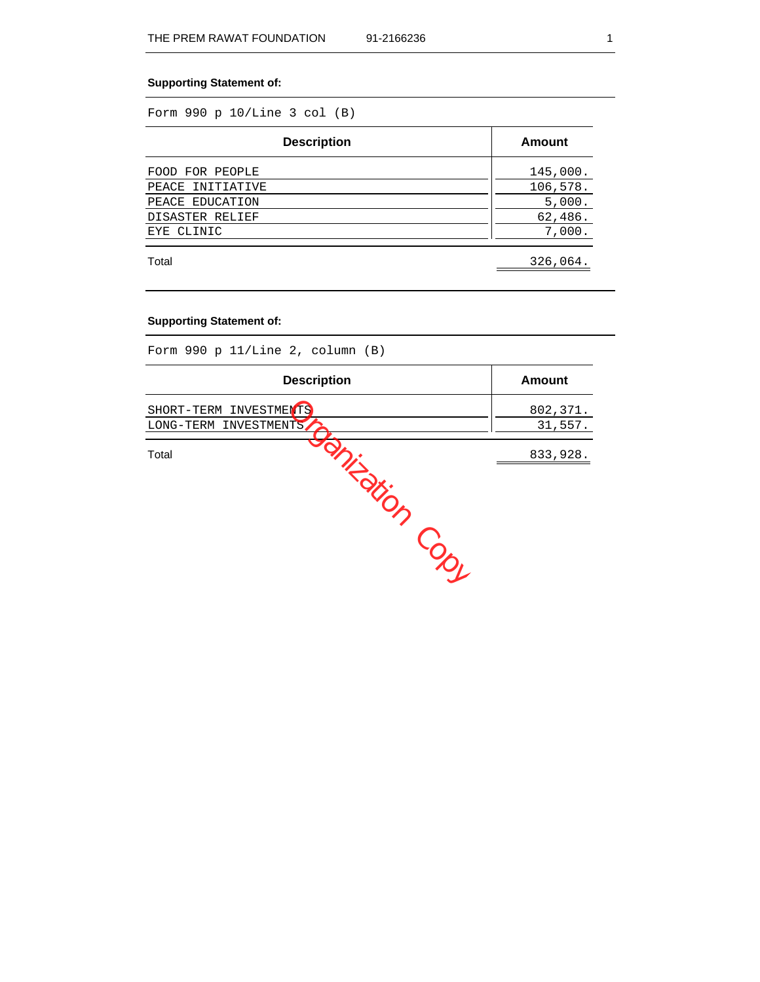### **Supporting Statement of:**

Form 990 p 10/Line 3 col (B)

| <b>Description</b> | <b>Amount</b> |
|--------------------|---------------|
| FOOD FOR PEOPLE    | 145,000.      |
| PEACE INITIATIVE   | 106,578.      |
| PEACE EDUCATION    | 5,000.        |
| DISASTER RELIEF    | 62,486.       |
| EYE CLINIC         | 7,000.        |
| Total              | 326,064.      |

## **Supporting Statement of:**

| Form 990 p $11/Line$ 2, column (B)               |                     |
|--------------------------------------------------|---------------------|
| <b>Description</b>                               | <b>Amount</b>       |
| SHORT-TERM INVESTMENTS<br>LONG-TERM INVESTMENTS, | 802,371.<br>31,557. |
| Total                                            | 833,928.            |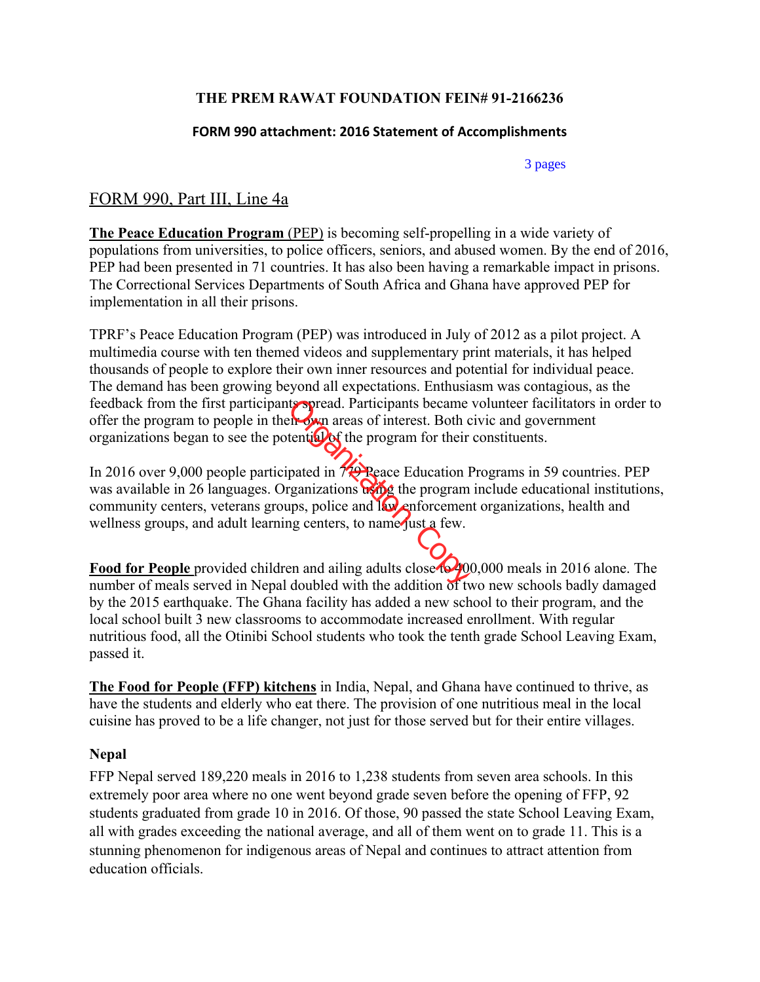# **THE PREM RAWAT FOUNDATION FEIN# 91-2166236**

# **FORM 990 attachment: 2016 Statement of Accomplishments**

### 3 pages

# FORM 990, Part III, Line 4a

**The Peace Education Program** (PEP) is becoming self-propelling in a wide variety of populations from universities, to police officers, seniors, and abused women. By the end of 2016, PEP had been presented in 71 countries. It has also been having a remarkable impact in prisons. The Correctional Services Departments of South Africa and Ghana have approved PEP for implementation in all their prisons.

TPRF's Peace Education Program (PEP) was introduced in July of 2012 as a pilot project. A multimedia course with ten themed videos and supplementary print materials, it has helped thousands of people to explore their own inner resources and potential for individual peace. The demand has been growing beyond all expectations. Enthusiasm was contagious, as the feedback from the first participants spread. Participants became volunteer facilitators in order to offer the program to people in their own areas of interest. Both civic and government organizations began to see the potential of the program for their constituents.

In 2016 over 9,000 people participated in 779 Peace Education Programs in 59 countries. PEP was available in 26 languages. Organizations using the program include educational institutions, community centers, veterans groups, police and law enforcement organizations, health and wellness groups, and adult learning centers, to name just a few. ts spread. Participants became<br>
ein gwn areas of interest. Both of<br>
tential of the program for their<br>
pated in 779 Beace Education<br>
liganizations using the program<br>
ups, police and law enforcement<br>
ing centers, to name ju

**Food for People** provided children and ailing adults close to 40,000 meals in 2016 alone. The number of meals served in Nepal doubled with the addition of two new schools badly damaged by the 2015 earthquake. The Ghana facility has added a new school to their program, and the local school built 3 new classrooms to accommodate increased enrollment. With regular nutritious food, all the Otinibi School students who took the tenth grade School Leaving Exam, passed it.

**The Food for People (FFP) kitchens** in India, Nepal, and Ghana have continued to thrive, as have the students and elderly who eat there. The provision of one nutritious meal in the local cuisine has proved to be a life changer, not just for those served but for their entire villages.

# **Nepal**

FFP Nepal served 189,220 meals in 2016 to 1,238 students from seven area schools. In this extremely poor area where no one went beyond grade seven before the opening of FFP, 92 students graduated from grade 10 in 2016. Of those, 90 passed the state School Leaving Exam, all with grades exceeding the national average, and all of them went on to grade 11. This is a stunning phenomenon for indigenous areas of Nepal and continues to attract attention from education officials.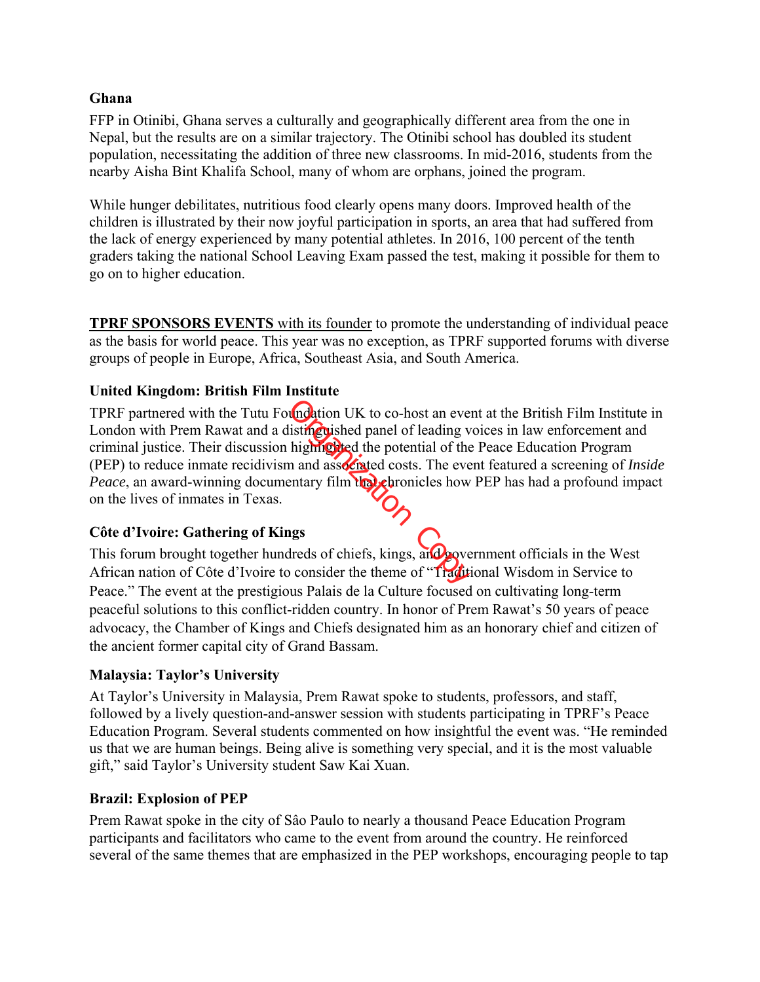## **Ghana**

FFP in Otinibi, Ghana serves a culturally and geographically different area from the one in Nepal, but the results are on a similar trajectory. The Otinibi school has doubled its student population, necessitating the addition of three new classrooms. In mid-2016, students from the nearby Aisha Bint Khalifa School, many of whom are orphans, joined the program.

While hunger debilitates, nutritious food clearly opens many doors. Improved health of the children is illustrated by their now joyful participation in sports, an area that had suffered from the lack of energy experienced by many potential athletes. In 2016, 100 percent of the tenth graders taking the national School Leaving Exam passed the test, making it possible for them to go on to higher education.

**TPRF SPONSORS EVENTS** with its founder to promote the understanding of individual peace as the basis for world peace. This year was no exception, as TPRF supported forums with diverse groups of people in Europe, Africa, Southeast Asia, and South America.

# **United Kingdom: British Film Institute**

TPRF partnered with the Tutu Foundation UK to co-host an event at the British Film Institute in London with Prem Rawat and a distinguished panel of leading voices in law enforcement and criminal justice. Their discussion highlighted the potential of the Peace Education Program (PEP) to reduce inmate recidivism and associated costs. The event featured a screening of *Inside Peace*, an award-winning documentary film that chronicles how PEP has had a profound impact on the lives of inmates in Texas. **Modation UK** to co-host an eve<br>
listing wished panel of leading v<br>
highlighted the potential of the<br>
m and associated costs. The eve<br>
entary film that chronicles how<br>
and the property<br>
or consider the theme of "Tradity<br>
c

# **Côte d'Ivoire: Gathering of Kings**

This forum brought together hundreds of chiefs, kings, and government officials in the West African nation of Côte d'Ivoire to consider the theme of "Traditional Wisdom in Service to Peace." The event at the prestigious Palais de la Culture focused on cultivating long-term peaceful solutions to this conflict-ridden country. In honor of Prem Rawat's 50 years of peace advocacy, the Chamber of Kings and Chiefs designated him as an honorary chief and citizen of the ancient former capital city of Grand Bassam.

# **Malaysia: Taylor's University**

At Taylor's University in Malaysia, Prem Rawat spoke to students, professors, and staff, followed by a lively question-and-answer session with students participating in TPRF's Peace Education Program. Several students commented on how insightful the event was. "He reminded us that we are human beings. Being alive is something very special, and it is the most valuable gift," said Taylor's University student Saw Kai Xuan.

### **Brazil: Explosion of PEP**

Prem Rawat spoke in the city of Sâo Paulo to nearly a thousand Peace Education Program participants and facilitators who came to the event from around the country. He reinforced several of the same themes that are emphasized in the PEP workshops, encouraging people to tap